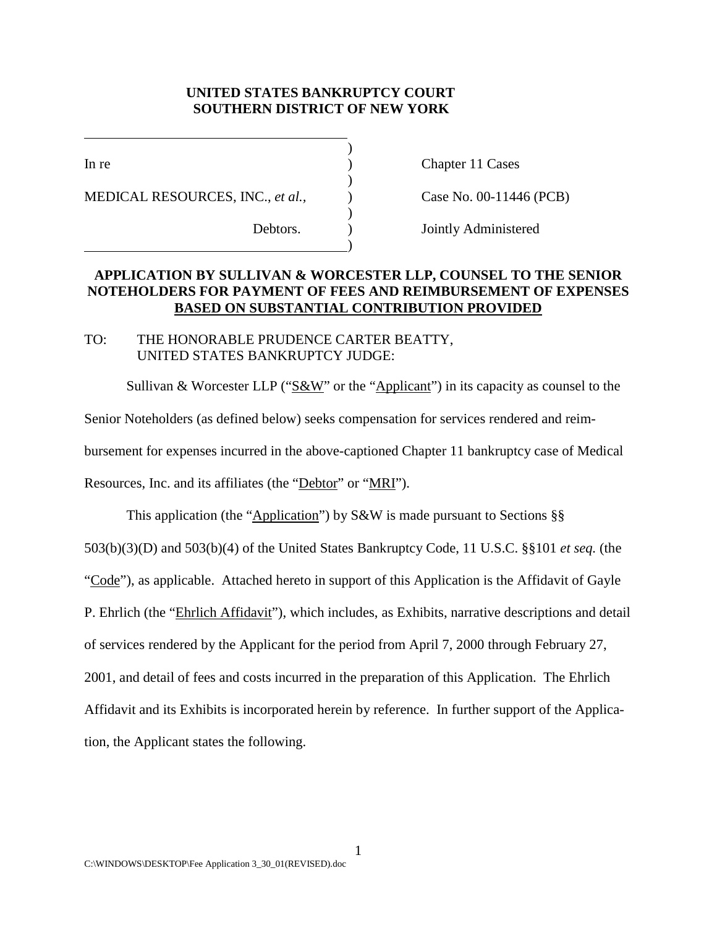# **UNITED STATES BANKRUPTCY COURT SOUTHERN DISTRICT OF NEW YORK**

l

MEDICAL RESOURCES, INC., *et al.,* ) Case No. 00-11446 (PCB)

 $\qquad \qquad \qquad \qquad$ 

In re Chapter 11 Cases

Debtors. ) Jointly Administered

# **APPLICATION BY SULLIVAN & WORCESTER LLP, COUNSEL TO THE SENIOR NOTEHOLDERS FOR PAYMENT OF FEES AND REIMBURSEMENT OF EXPENSES BASED ON SUBSTANTIAL CONTRIBUTION PROVIDED**

)

)

)

# TO: THE HONORABLE PRUDENCE CARTER BEATTY, UNITED STATES BANKRUPTCY JUDGE:

Sullivan & Worcester LLP (" $S\&W$ " or the "Applicant") in its capacity as counsel to the

Senior Noteholders (as defined below) seeks compensation for services rendered and reim-

bursement for expenses incurred in the above-captioned Chapter 11 bankruptcy case of Medical

Resources, Inc. and its affiliates (the "Debtor" or "MRI").

This application (the "Application") by  $S\&W$  is made pursuant to Sections §§ 503(b)(3)(D) and 503(b)(4) of the United States Bankruptcy Code, 11 U.S.C. §§101 *et seq.* (the "Code"), as applicable. Attached hereto in support of this Application is the Affidavit of Gayle P. Ehrlich (the "Ehrlich Affidavit"), which includes, as Exhibits, narrative descriptions and detail of services rendered by the Applicant for the period from April 7, 2000 through February 27, 2001, and detail of fees and costs incurred in the preparation of this Application. The Ehrlich Affidavit and its Exhibits is incorporated herein by reference. In further support of the Application, the Applicant states the following.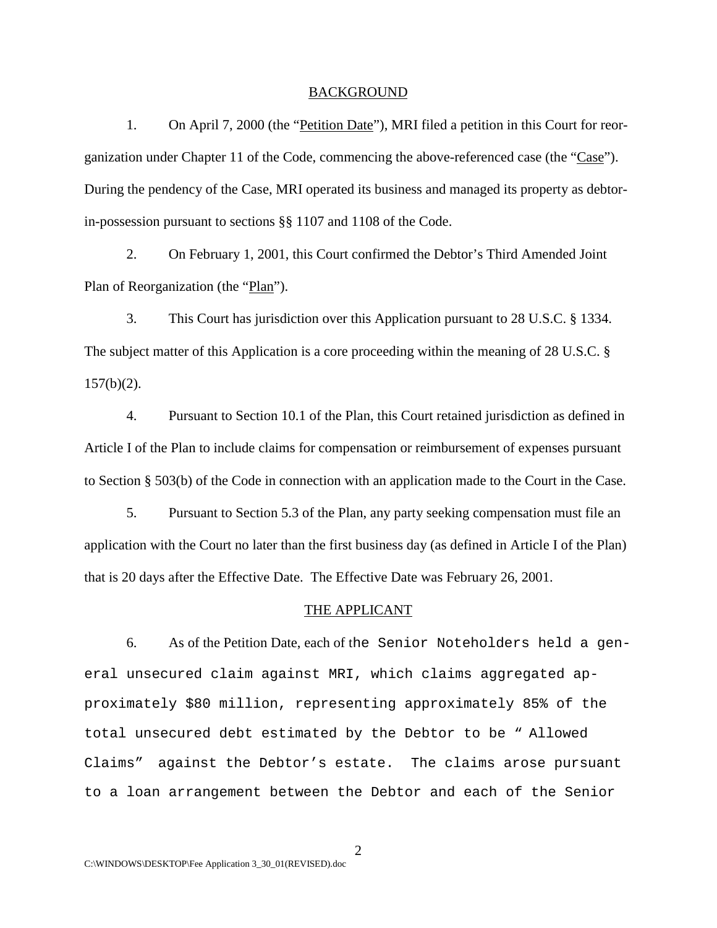#### BACKGROUND

1. On April 7, 2000 (the "Petition Date"), MRI filed a petition in this Court for reorganization under Chapter 11 of the Code, commencing the above-referenced case (the "Case"). During the pendency of the Case, MRI operated its business and managed its property as debtorin-possession pursuant to sections §§ 1107 and 1108 of the Code.

2. On February 1, 2001, this Court confirmed the Debtor's Third Amended Joint Plan of Reorganization (the "Plan").

3. This Court has jurisdiction over this Application pursuant to 28 U.S.C. § 1334. The subject matter of this Application is a core proceeding within the meaning of 28 U.S.C. §  $157(b)(2)$ .

4. Pursuant to Section 10.1 of the Plan, this Court retained jurisdiction as defined in Article I of the Plan to include claims for compensation or reimbursement of expenses pursuant to Section § 503(b) of the Code in connection with an application made to the Court in the Case.

5. Pursuant to Section 5.3 of the Plan, any party seeking compensation must file an application with the Court no later than the first business day (as defined in Article I of the Plan) that is 20 days after the Effective Date. The Effective Date was February 26, 2001.

#### THE APPLICANT

6. As of the Petition Date, each of the Senior Noteholders held a general unsecured claim against MRI, which claims aggregated approximately \$80 million, representing approximately 85% of the total unsecured debt estimated by the Debtor to be " Allowed Claims" against the Debtor's estate. The claims arose pursuant to a loan arrangement between the Debtor and each of the Senior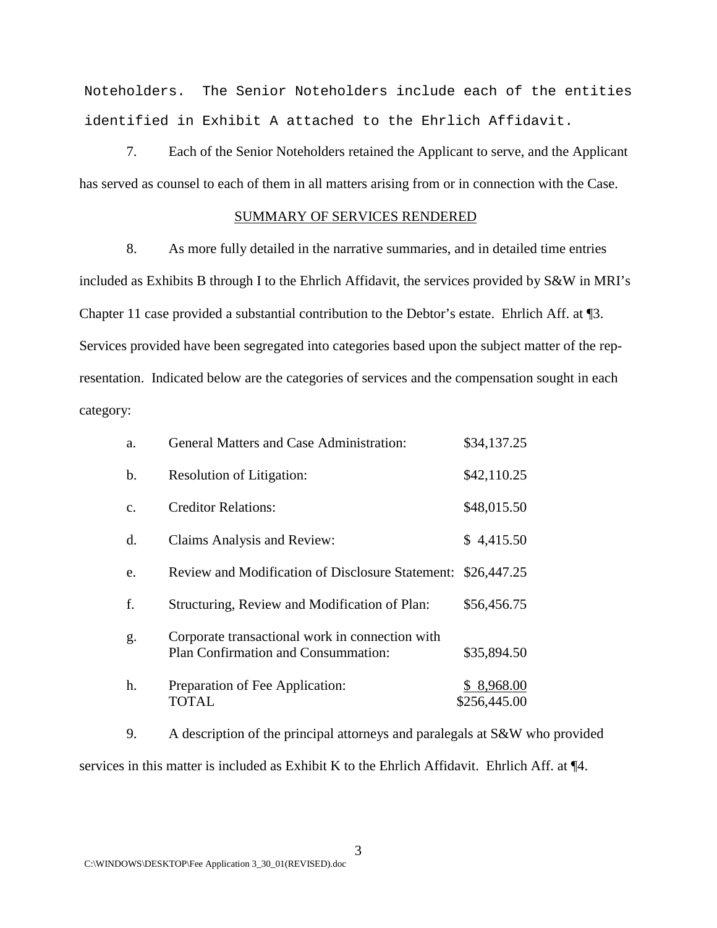Noteholders. The Senior Noteholders include each of the entities identified in Exhibit A attached to the Ehrlich Affidavit.

7. Each of the Senior Noteholders retained the Applicant to serve, and the Applicant has served as counsel to each of them in all matters arising from or in connection with the Case.

#### SUMMARY OF SERVICES RENDERED

8. As more fully detailed in the narrative summaries, and in detailed time entries included as Exhibits B through I to the Ehrlich Affidavit, the services provided by S&W in MRI's Chapter 11 case provided a substantial contribution to the Debtor's estate. Ehrlich Aff. at ¶3. Services provided have been segregated into categories based upon the subject matter of the representation. Indicated below are the categories of services and the compensation sought in each category:

| a.            | <b>General Matters and Case Administration:</b>                                        | \$34,137.25                |
|---------------|----------------------------------------------------------------------------------------|----------------------------|
| b.            | <b>Resolution of Litigation:</b>                                                       | \$42,110.25                |
| $C_{\bullet}$ | <b>Creditor Relations:</b>                                                             | \$48,015.50                |
| d.            | Claims Analysis and Review:                                                            | \$4,415.50                 |
| e.            | <b>Review and Modification of Disclosure Statement:</b>                                | \$26,447.25                |
| f.            | Structuring, Review and Modification of Plan:                                          | \$56,456.75                |
| g.            | Corporate transactional work in connection with<br>Plan Confirmation and Consummation: | \$35,894.50                |
| h.            | Preparation of Fee Application:<br><b>TOTAL</b>                                        | \$8,968.00<br>\$256,445.00 |

9. A description of the principal attorneys and paralegals at S&W who provided services in this matter is included as Exhibit K to the Ehrlich Affidavit. Ehrlich Aff. at  $\P 4$ .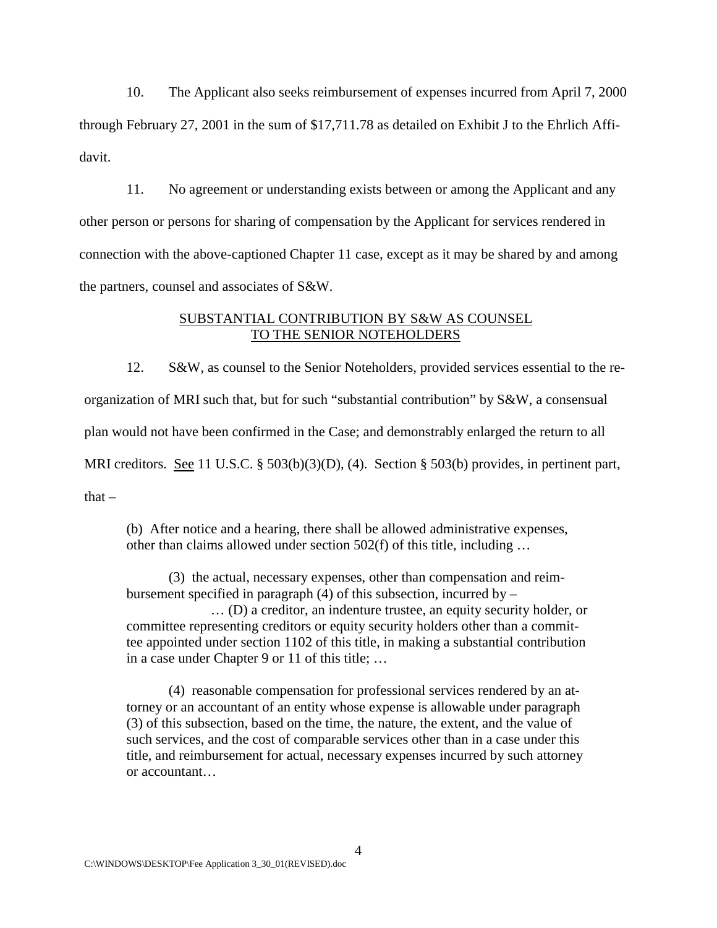10. The Applicant also seeks reimbursement of expenses incurred from April 7, 2000 through February 27, 2001 in the sum of \$17,711.78 as detailed on Exhibit J to the Ehrlich Affidavit.

11. No agreement or understanding exists between or among the Applicant and any other person or persons for sharing of compensation by the Applicant for services rendered in connection with the above-captioned Chapter 11 case, except as it may be shared by and among the partners, counsel and associates of S&W.

# SUBSTANTIAL CONTRIBUTION BY S&W AS COUNSEL TO THE SENIOR NOTEHOLDERS

12. S&W, as counsel to the Senior Noteholders, provided services essential to the reorganization of MRI such that, but for such "substantial contribution" by S&W, a consensual plan would not have been confirmed in the Case; and demonstrably enlarged the return to all MRI creditors. See 11 U.S.C. § 503(b)(3)(D), (4). Section § 503(b) provides, in pertinent part,

 $that -$ 

(b) After notice and a hearing, there shall be allowed administrative expenses, other than claims allowed under section 502(f) of this title, including …

(3) the actual, necessary expenses, other than compensation and reimbursement specified in paragraph  $(4)$  of this subsection, incurred by – … (D) a creditor, an indenture trustee, an equity security holder, or

committee representing creditors or equity security holders other than a committee appointed under section 1102 of this title, in making a substantial contribution in a case under Chapter 9 or 11 of this title; …

(4) reasonable compensation for professional services rendered by an attorney or an accountant of an entity whose expense is allowable under paragraph (3) of this subsection, based on the time, the nature, the extent, and the value of such services, and the cost of comparable services other than in a case under this title, and reimbursement for actual, necessary expenses incurred by such attorney or accountant…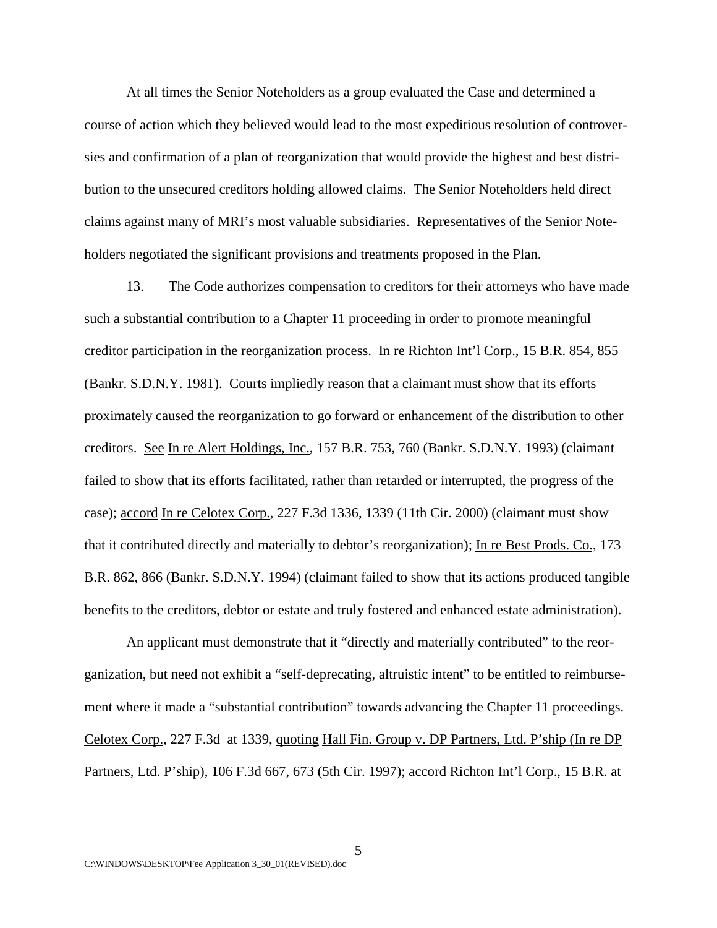At all times the Senior Noteholders as a group evaluated the Case and determined a course of action which they believed would lead to the most expeditious resolution of controversies and confirmation of a plan of reorganization that would provide the highest and best distribution to the unsecured creditors holding allowed claims. The Senior Noteholders held direct claims against many of MRI's most valuable subsidiaries. Representatives of the Senior Noteholders negotiated the significant provisions and treatments proposed in the Plan.

13. The Code authorizes compensation to creditors for their attorneys who have made such a substantial contribution to a Chapter 11 proceeding in order to promote meaningful creditor participation in the reorganization process. In re Richton Int'l Corp., 15 B.R. 854, 855 (Bankr. S.D.N.Y. 1981). Courts impliedly reason that a claimant must show that its efforts proximately caused the reorganization to go forward or enhancement of the distribution to other creditors. See In re Alert Holdings, Inc., 157 B.R. 753, 760 (Bankr. S.D.N.Y. 1993) (claimant failed to show that its efforts facilitated, rather than retarded or interrupted, the progress of the case); accord In re Celotex Corp., 227 F.3d 1336, 1339 (11th Cir. 2000) (claimant must show that it contributed directly and materially to debtor's reorganization); In re Best Prods. Co., 173 B.R. 862, 866 (Bankr. S.D.N.Y. 1994) (claimant failed to show that its actions produced tangible benefits to the creditors, debtor or estate and truly fostered and enhanced estate administration).

An applicant must demonstrate that it "directly and materially contributed" to the reorganization, but need not exhibit a "self-deprecating, altruistic intent" to be entitled to reimbursement where it made a "substantial contribution" towards advancing the Chapter 11 proceedings. Celotex Corp., 227 F.3d at 1339, quoting Hall Fin. Group v. DP Partners, Ltd. P'ship (In re DP Partners, Ltd. P'ship), 106 F.3d 667, 673 (5th Cir. 1997); accord Richton Int'l Corp., 15 B.R. at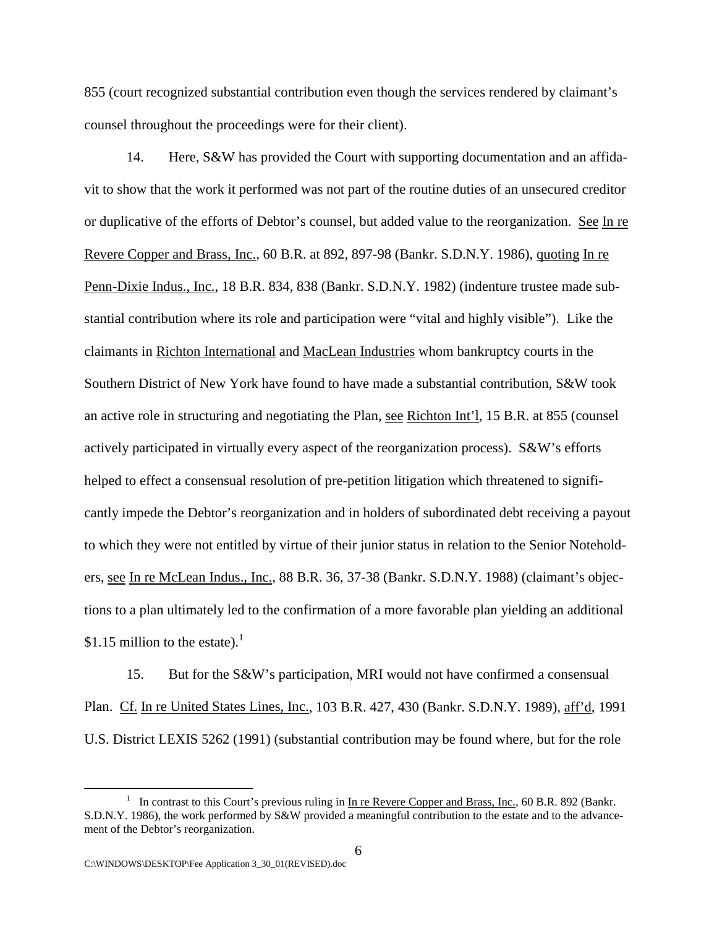855 (court recognized substantial contribution even though the services rendered by claimant's counsel throughout the proceedings were for their client).

14. Here, S&W has provided the Court with supporting documentation and an affidavit to show that the work it performed was not part of the routine duties of an unsecured creditor or duplicative of the efforts of Debtor's counsel, but added value to the reorganization. See In re Revere Copper and Brass, Inc., 60 B.R. at 892, 897-98 (Bankr. S.D.N.Y. 1986), quoting In re Penn-Dixie Indus., Inc., 18 B.R. 834, 838 (Bankr. S.D.N.Y. 1982) (indenture trustee made substantial contribution where its role and participation were "vital and highly visible"). Like the claimants in Richton International and MacLean Industries whom bankruptcy courts in the Southern District of New York have found to have made a substantial contribution, S&W took an active role in structuring and negotiating the Plan, see Richton Int'l, 15 B.R. at 855 (counsel actively participated in virtually every aspect of the reorganization process). S&W's efforts helped to effect a consensual resolution of pre-petition litigation which threatened to significantly impede the Debtor's reorganization and in holders of subordinated debt receiving a payout to which they were not entitled by virtue of their junior status in relation to the Senior Noteholders, see In re McLean Indus., Inc., 88 B.R. 36, 37-38 (Bankr. S.D.N.Y. 1988) (claimant's objections to a plan ultimately led to the confirmation of a more favorable plan yielding an additional \$1.15 million to the estate). $\frac{1}{1}$ 

15. But for the S&W's participation, MRI would not have confirmed a consensual Plan. Cf. In re United States Lines, Inc., 103 B.R. 427, 430 (Bankr. S.D.N.Y. 1989), aff'd, 1991 U.S. District LEXIS 5262 (1991) (substantial contribution may be found where, but for the role

 $\frac{1}{1}$ <sup>1</sup> In contrast to this Court's previous ruling in  $\underline{In}$  re Revere Copper and Brass, Inc., 60 B.R. 892 (Bankr. S.D.N.Y. 1986), the work performed by S&W provided a meaningful contribution to the estate and to the advancement of the Debtor's reorganization.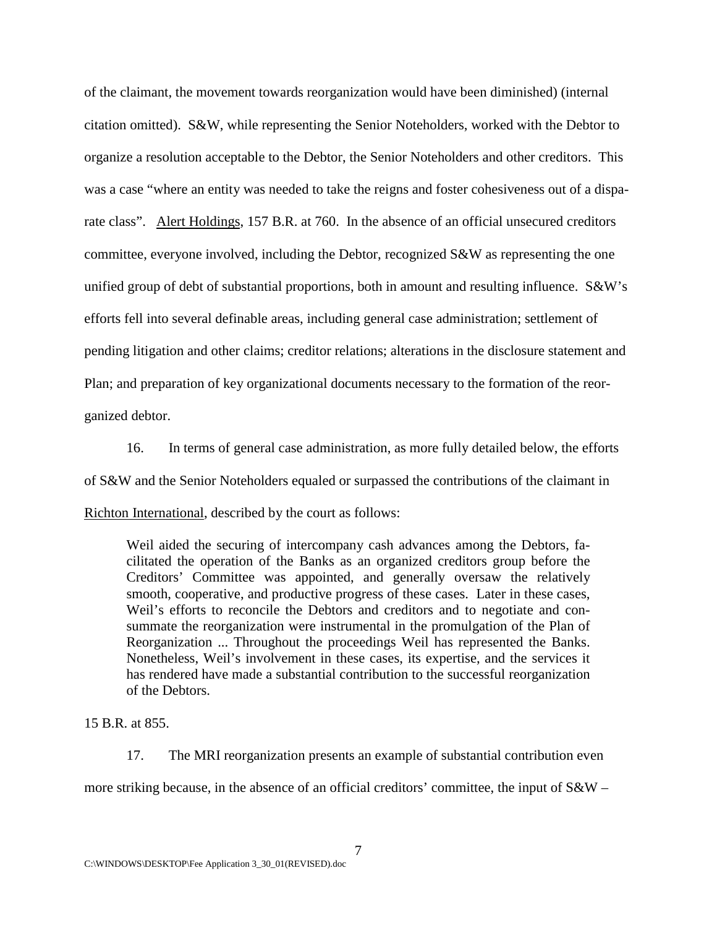of the claimant, the movement towards reorganization would have been diminished) (internal citation omitted). S&W, while representing the Senior Noteholders, worked with the Debtor to organize a resolution acceptable to the Debtor, the Senior Noteholders and other creditors. This was a case "where an entity was needed to take the reigns and foster cohesiveness out of a disparate class". Alert Holdings, 157 B.R. at 760. In the absence of an official unsecured creditors committee, everyone involved, including the Debtor, recognized S&W as representing the one unified group of debt of substantial proportions, both in amount and resulting influence. S&W's efforts fell into several definable areas, including general case administration; settlement of pending litigation and other claims; creditor relations; alterations in the disclosure statement and Plan; and preparation of key organizational documents necessary to the formation of the reorganized debtor.

16. In terms of general case administration, as more fully detailed below, the efforts of S&W and the Senior Noteholders equaled or surpassed the contributions of the claimant in Richton International, described by the court as follows:

Weil aided the securing of intercompany cash advances among the Debtors, facilitated the operation of the Banks as an organized creditors group before the Creditors' Committee was appointed, and generally oversaw the relatively smooth, cooperative, and productive progress of these cases. Later in these cases, Weil's efforts to reconcile the Debtors and creditors and to negotiate and consummate the reorganization were instrumental in the promulgation of the Plan of Reorganization ... Throughout the proceedings Weil has represented the Banks. Nonetheless, Weil's involvement in these cases, its expertise, and the services it has rendered have made a substantial contribution to the successful reorganization of the Debtors.

15 B.R. at 855.

17. The MRI reorganization presents an example of substantial contribution even more striking because, in the absence of an official creditors' committee, the input of S&W –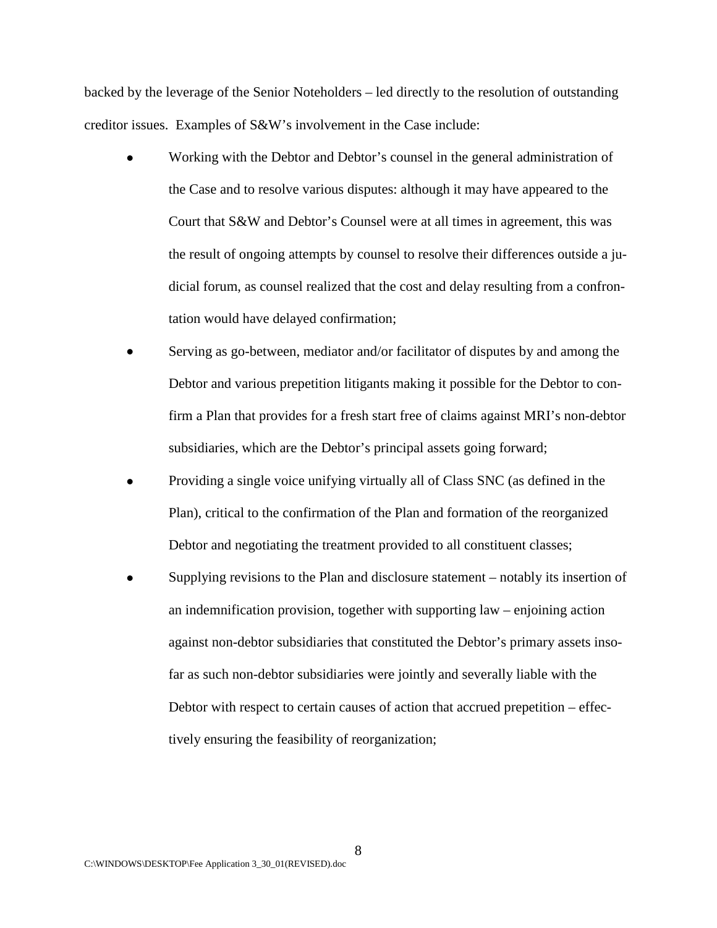backed by the leverage of the Senior Noteholders – led directly to the resolution of outstanding creditor issues. Examples of S&W's involvement in the Case include:

- Working with the Debtor and Debtor's counsel in the general administration of the Case and to resolve various disputes: although it may have appeared to the Court that S&W and Debtor's Counsel were at all times in agreement, this was the result of ongoing attempts by counsel to resolve their differences outside a judicial forum, as counsel realized that the cost and delay resulting from a confrontation would have delayed confirmation;
- Serving as go-between, mediator and/or facilitator of disputes by and among the Debtor and various prepetition litigants making it possible for the Debtor to confirm a Plan that provides for a fresh start free of claims against MRI's non-debtor subsidiaries, which are the Debtor's principal assets going forward;
- ! Providing a single voice unifying virtually all of Class SNC (as defined in the Plan), critical to the confirmation of the Plan and formation of the reorganized Debtor and negotiating the treatment provided to all constituent classes;
- Supplying revisions to the Plan and disclosure statement notably its insertion of an indemnification provision, together with supporting law – enjoining action against non-debtor subsidiaries that constituted the Debtor's primary assets insofar as such non-debtor subsidiaries were jointly and severally liable with the Debtor with respect to certain causes of action that accrued prepetition – effectively ensuring the feasibility of reorganization;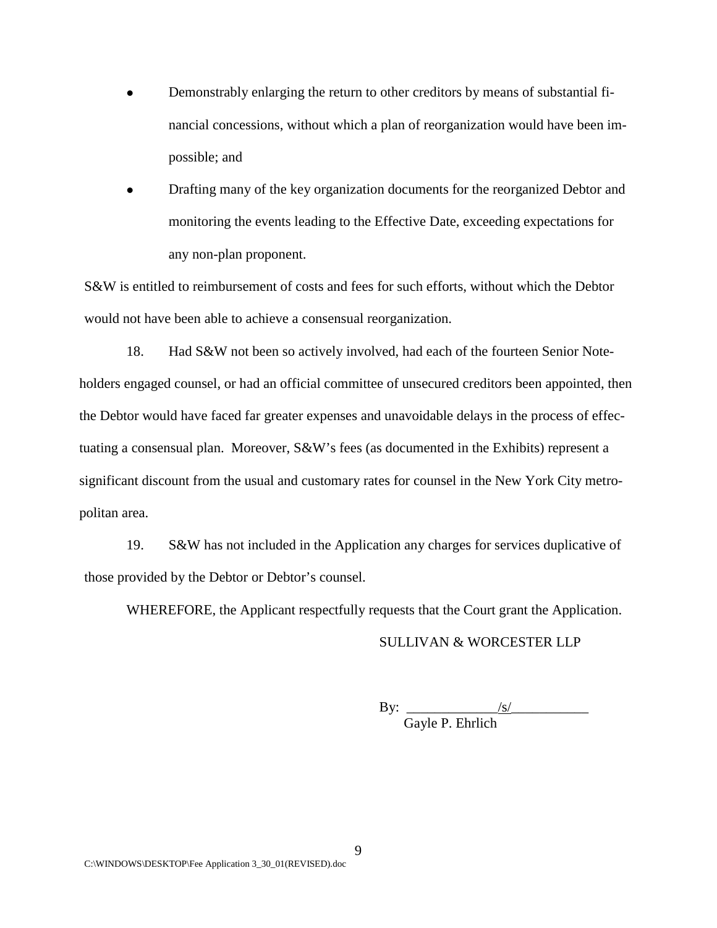- ! Demonstrably enlarging the return to other creditors by means of substantial financial concessions, without which a plan of reorganization would have been impossible; and
- ! Drafting many of the key organization documents for the reorganized Debtor and monitoring the events leading to the Effective Date, exceeding expectations for any non-plan proponent.

S&W is entitled to reimbursement of costs and fees for such efforts, without which the Debtor would not have been able to achieve a consensual reorganization.

18. Had S&W not been so actively involved, had each of the fourteen Senior Noteholders engaged counsel, or had an official committee of unsecured creditors been appointed, then the Debtor would have faced far greater expenses and unavoidable delays in the process of effectuating a consensual plan. Moreover, S&W's fees (as documented in the Exhibits) represent a significant discount from the usual and customary rates for counsel in the New York City metropolitan area.

19. S&W has not included in the Application any charges for services duplicative of those provided by the Debtor or Debtor's counsel.

WHEREFORE, the Applicant respectfully requests that the Court grant the Application.

# SULLIVAN & WORCESTER LLP

By: \_\_\_\_\_\_\_\_\_\_\_\_\_/s/\_\_\_\_\_\_\_\_\_\_\_ Gayle P. Ehrlich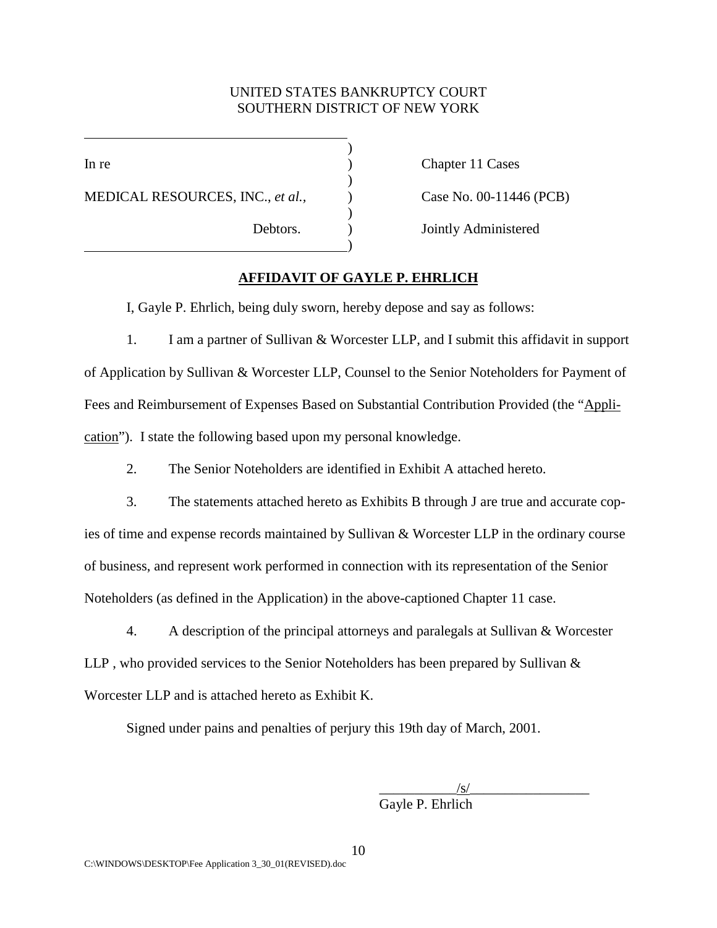# UNITED STATES BANKRUPTCY COURT SOUTHERN DISTRICT OF NEW YORK

)

)

)

l

MEDICAL RESOURCES, INC., *et al.*,  $\qquad \qquad$  Case No. 00-11446 (PCB)

 $\qquad \qquad \qquad \qquad$ 

In re Chapter 11 Cases

Debtors. ) Jointly Administered

# **AFFIDAVIT OF GAYLE P. EHRLICH**

I, Gayle P. Ehrlich, being duly sworn, hereby depose and say as follows:

1. I am a partner of Sullivan & Worcester LLP, and I submit this affidavit in support of Application by Sullivan & Worcester LLP, Counsel to the Senior Noteholders for Payment of Fees and Reimbursement of Expenses Based on Substantial Contribution Provided (the "Application"). I state the following based upon my personal knowledge.

2. The Senior Noteholders are identified in Exhibit A attached hereto.

3. The statements attached hereto as Exhibits B through J are true and accurate copies of time and expense records maintained by Sullivan & Worcester LLP in the ordinary course of business, and represent work performed in connection with its representation of the Senior Noteholders (as defined in the Application) in the above-captioned Chapter 11 case.

4. A description of the principal attorneys and paralegals at Sullivan & Worcester LLP , who provided services to the Senior Noteholders has been prepared by Sullivan & Worcester LLP and is attached hereto as Exhibit K.

Signed under pains and penalties of perjury this 19th day of March, 2001.

 $\sqrt{s/2}$ 

Gayle P. Ehrlich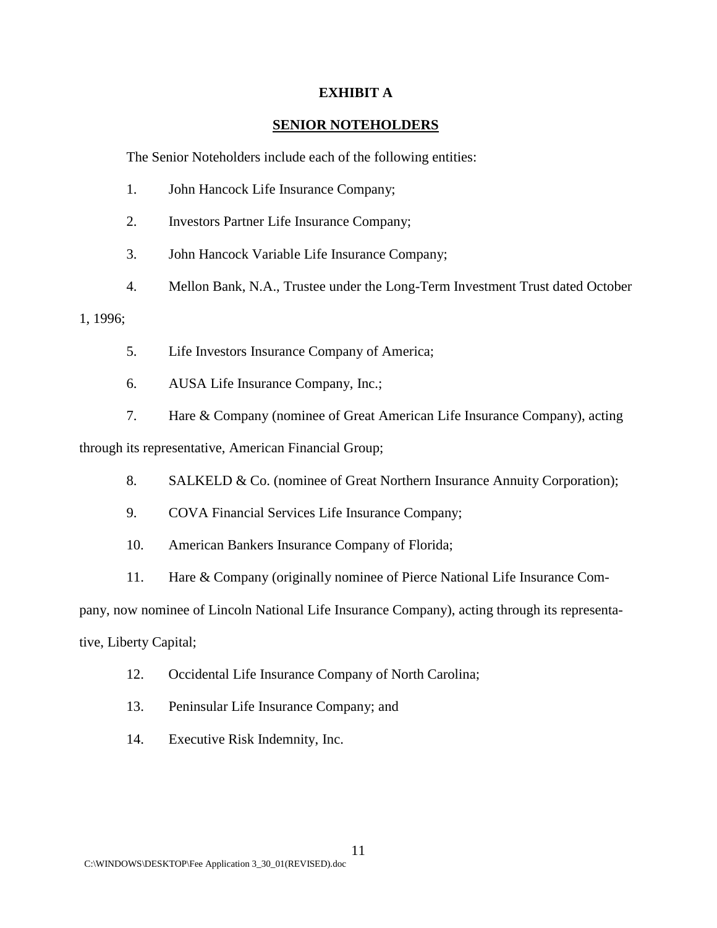## **EXHIBIT A**

# **SENIOR NOTEHOLDERS**

The Senior Noteholders include each of the following entities:

- 1. John Hancock Life Insurance Company;
- 2. Investors Partner Life Insurance Company;
- 3. John Hancock Variable Life Insurance Company;
- 4. Mellon Bank, N.A., Trustee under the Long-Term Investment Trust dated October

# 1, 1996;

- 5. Life Investors Insurance Company of America;
- 6. AUSA Life Insurance Company, Inc.;
- 7. Hare & Company (nominee of Great American Life Insurance Company), acting

through its representative, American Financial Group;

- 8. SALKELD & Co. (nominee of Great Northern Insurance Annuity Corporation);
- 9. COVA Financial Services Life Insurance Company;
- 10. American Bankers Insurance Company of Florida;
- 11. Hare & Company (originally nominee of Pierce National Life Insurance Com-

pany, now nominee of Lincoln National Life Insurance Company), acting through its representa-

tive, Liberty Capital;

- 12. Occidental Life Insurance Company of North Carolina;
- 13. Peninsular Life Insurance Company; and
- 14. Executive Risk Indemnity, Inc.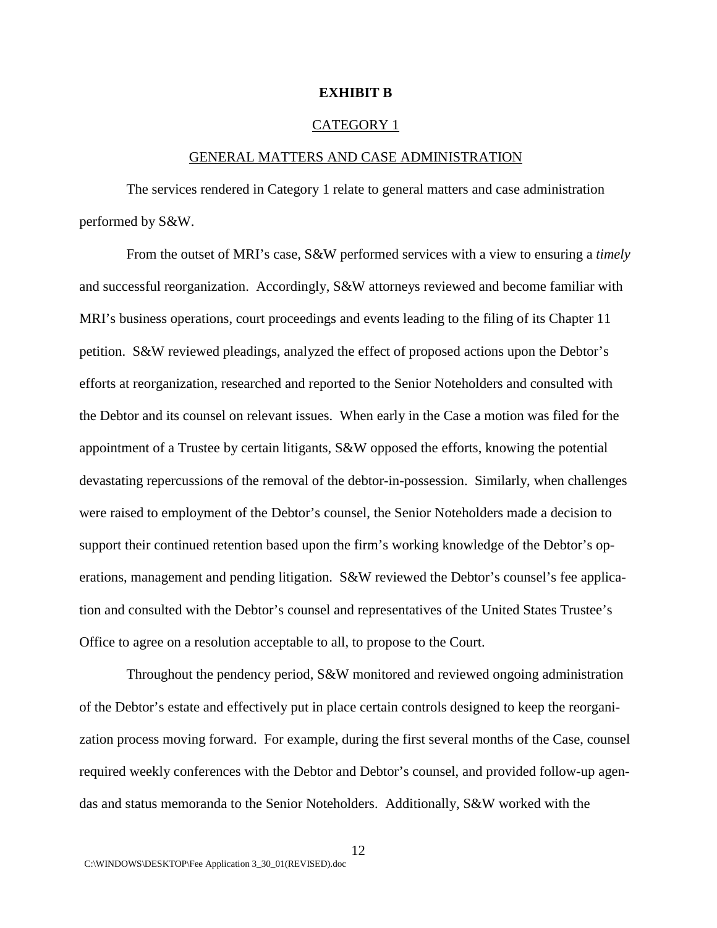#### **EXHIBIT B**

#### CATEGORY 1

#### GENERAL MATTERS AND CASE ADMINISTRATION

The services rendered in Category 1 relate to general matters and case administration performed by S&W.

From the outset of MRI's case, S&W performed services with a view to ensuring a *timely* and successful reorganization. Accordingly, S&W attorneys reviewed and become familiar with MRI's business operations, court proceedings and events leading to the filing of its Chapter 11 petition. S&W reviewed pleadings, analyzed the effect of proposed actions upon the Debtor's efforts at reorganization, researched and reported to the Senior Noteholders and consulted with the Debtor and its counsel on relevant issues. When early in the Case a motion was filed for the appointment of a Trustee by certain litigants, S&W opposed the efforts, knowing the potential devastating repercussions of the removal of the debtor-in-possession. Similarly, when challenges were raised to employment of the Debtor's counsel, the Senior Noteholders made a decision to support their continued retention based upon the firm's working knowledge of the Debtor's operations, management and pending litigation. S&W reviewed the Debtor's counsel's fee application and consulted with the Debtor's counsel and representatives of the United States Trustee's Office to agree on a resolution acceptable to all, to propose to the Court.

Throughout the pendency period, S&W monitored and reviewed ongoing administration of the Debtor's estate and effectively put in place certain controls designed to keep the reorganization process moving forward. For example, during the first several months of the Case, counsel required weekly conferences with the Debtor and Debtor's counsel, and provided follow-up agendas and status memoranda to the Senior Noteholders. Additionally, S&W worked with the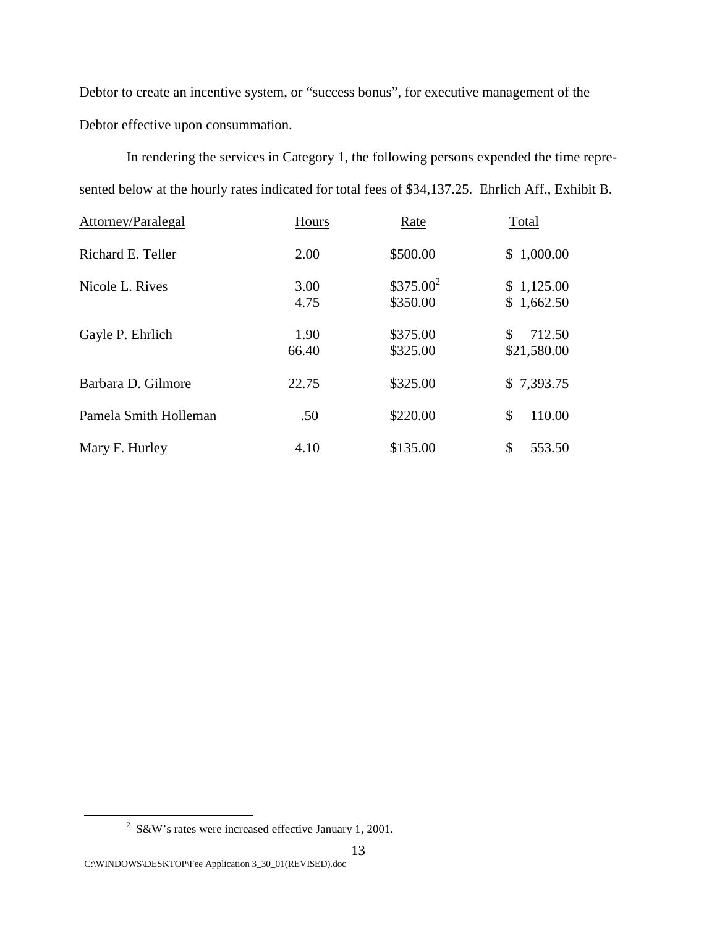Debtor to create an incentive system, or "success bonus", for executive management of the Debtor effective upon consummation.

In rendering the services in Category 1, the following persons expended the time represented below at the hourly rates indicated for total fees of \$34,137.25. Ehrlich Aff., Exhibit B.

| Attorney/Paralegal    | Hours         | Rate                    | Total                       |
|-----------------------|---------------|-------------------------|-----------------------------|
| Richard E. Teller     | 2.00          | \$500.00                | \$1,000.00                  |
| Nicole L. Rives       | 3.00<br>4.75  | $$375.00^2$<br>\$350.00 | \$1,125.00<br>\$1,662.50    |
| Gayle P. Ehrlich      | 1.90<br>66.40 | \$375.00<br>\$325.00    | \$<br>712.50<br>\$21,580.00 |
| Barbara D. Gilmore    | 22.75         | \$325.00                | \$7,393.75                  |
| Pamela Smith Holleman | .50           | \$220.00                | 110.00<br>\$                |
| Mary F. Hurley        | 4.10          | \$135.00                | \$<br>553.50                |

 $\overline{\phantom{a}}$  $2$  S&W's rates were increased effective January 1, 2001.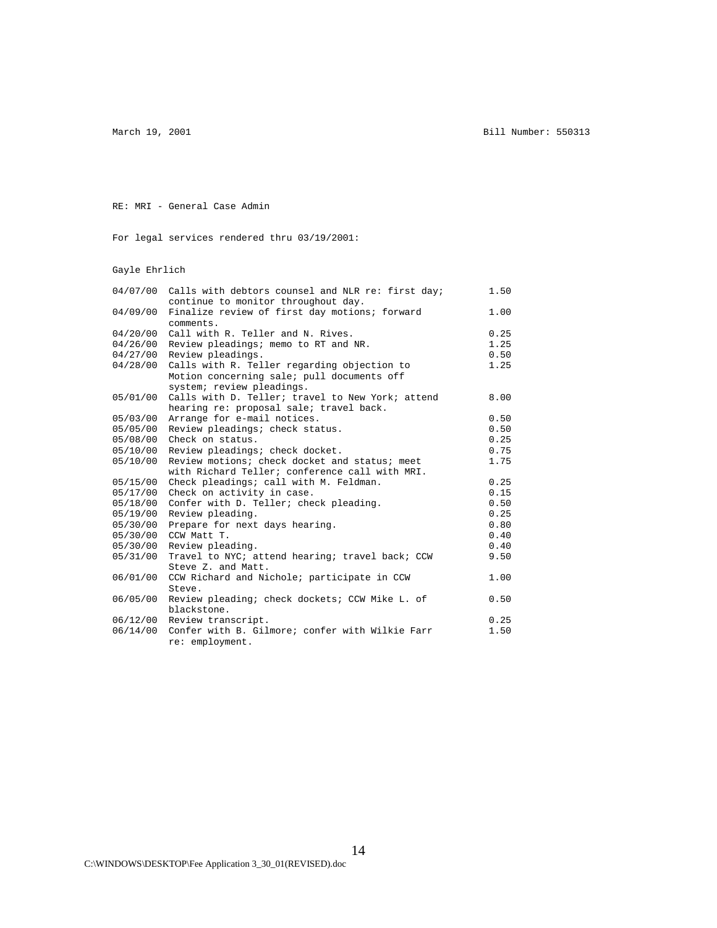March 19, 2001 **Bill Number: 550313** 

RE: MRI - General Case Admin

For legal services rendered thru 03/19/2001:

Gayle Ehrlich

| 04/07/00 | Calls with debtors counsel and NLR re: first day;<br>continue to monitor throughout day. | 1.50 |
|----------|------------------------------------------------------------------------------------------|------|
| 04/09/00 | Finalize review of first day motions; forward                                            | 1.00 |
|          | comments.                                                                                |      |
| 04/20/00 | Call with R. Teller and N. Rives.                                                        | 0.25 |
| 04/26/00 | Review pleadings; memo to RT and NR.                                                     | 1.25 |
| 04/27/00 | Review pleadings.                                                                        | 0.50 |
| 04/28/00 | Calls with R. Teller regarding objection to                                              | 1.25 |
|          | Motion concerning sale; pull documents off                                               |      |
|          | system; review pleadings.                                                                |      |
| 05/01/00 | Calls with D. Teller; travel to New York; attend                                         | 8.00 |
|          | hearing re: proposal sale; travel back.                                                  |      |
| 05/03/00 | Arrange for e-mail notices.                                                              | 0.50 |
| 05/05/00 | Review pleadings; check status.                                                          | 0.50 |
| 05/08/00 | Check on status.                                                                         | 0.25 |
| 05/10/00 | Review pleadings; check docket.                                                          | 0.75 |
| 05/10/00 | Review motions; check docket and status; meet                                            | 1.75 |
|          | with Richard Teller; conference call with MRI.                                           |      |
| 05/15/00 | Check pleadings; call with M. Feldman.                                                   | 0.25 |
| 05/17/00 | Check on activity in case.                                                               | 0.15 |
| 05/18/00 | Confer with D. Teller; check pleading.                                                   | 0.50 |
| 05/19/00 | Review pleading.                                                                         | 0.25 |
| 05/30/00 | Prepare for next days hearing.                                                           | 0.80 |
| 05/30/00 | CCW Matt T.                                                                              | 0.40 |
| 05/30/00 | Review pleading.                                                                         | 0.40 |
| 05/31/00 | Travel to NYC; attend hearing; travel back; CCW                                          | 9.50 |
|          | Steve Z. and Matt.                                                                       |      |
| 06/01/00 | CCW Richard and Nichole; participate in CCW                                              | 1.00 |
|          | Steve.                                                                                   |      |
| 06/05/00 | Review pleading; check dockets; CCW Mike L. of                                           | 0.50 |
|          | blackstone.                                                                              |      |
| 06/12/00 | Review transcript.                                                                       | 0.25 |
| 06/14/00 | Confer with B. Gilmore; confer with Wilkie Farr                                          | 1.50 |
|          | re: employment.                                                                          |      |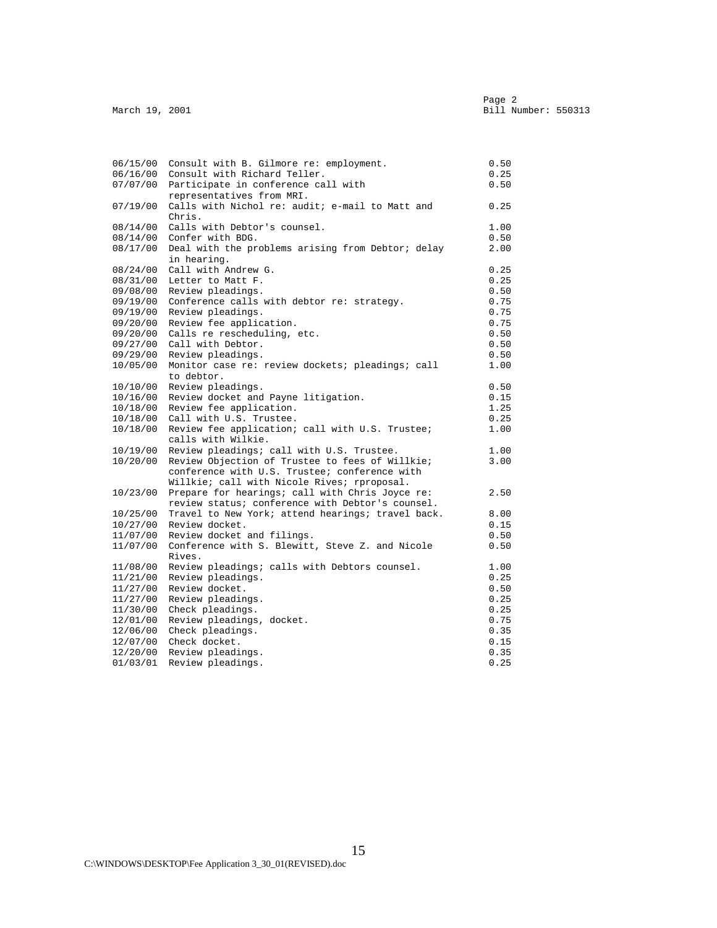| 06/15/00<br>06/16/00 | Consult with B. Gilmore re: employment.<br>Consult with Richard Teller.                      | 0.50<br>0.25 |
|----------------------|----------------------------------------------------------------------------------------------|--------------|
| 07/07/00             | Participate in conference call with                                                          | 0.50         |
|                      | representatives from MRI.                                                                    |              |
| 07/19/00             | Calls with Nichol re: audit; e-mail to Matt and                                              | 0.25         |
|                      | Chris.                                                                                       |              |
| 08/14/00             | Calls with Debtor's counsel.                                                                 | 1.00         |
| 08/14/00             | Confer with BDG.                                                                             | 0.50         |
| 08/17/00             | Deal with the problems arising from Debtor; delay                                            | 2.00         |
|                      | in hearing.                                                                                  |              |
| 08/24/00             | Call with Andrew G.                                                                          | 0.25         |
| 08/31/00             | Letter to Matt F.                                                                            | 0.25         |
| 09/08/00             | Review pleadings.                                                                            | 0.50         |
| 09/19/00             | Conference calls with debtor re: strategy.                                                   | 0.75         |
| 09/19/00             | Review pleadings.                                                                            | 0.75         |
| 09/20/00             | Review fee application.                                                                      | 0.75         |
| 09/20/00             | Calls re rescheduling, etc.                                                                  | 0.50         |
| 09/27/00             | Call with Debtor.                                                                            | 0.50         |
| 09/29/00             | Review pleadings.                                                                            | 0.50         |
| 10/05/00             | Monitor case re: review dockets; pleadings; call                                             | 1.00         |
|                      | to debtor.                                                                                   |              |
| 10/10/00             | Review pleadings.                                                                            | 0.50         |
| 10/16/00             | Review docket and Payne litigation.                                                          | 0.15         |
| 10/18/00             | Review fee application.                                                                      | 1.25         |
| 10/18/00             | Call with U.S. Trustee.                                                                      | 0.25         |
| 10/18/00             | Review fee application; call with U.S. Trustee;                                              | 1.00         |
| 10/19/00             | calls with Wilkie.                                                                           | 1.00         |
| 10/20/00             | Review pleadings; call with U.S. Trustee.<br>Review Objection of Trustee to fees of Willkie; | 3.00         |
|                      | conference with U.S. Trustee; conference with                                                |              |
|                      | Willkie; call with Nicole Rives; rproposal.                                                  |              |
| 10/23/00             | Prepare for hearings; call with Chris Joyce re:                                              | 2.50         |
|                      | review status; conference with Debtor's counsel.                                             |              |
| 10/25/00             | Travel to New York; attend hearings; travel back.                                            | 8.00         |
| 10/27/00             | Review docket.                                                                               | 0.15         |
| 11/07/00             | Review docket and filings.                                                                   | 0.50         |
| 11/07/00             | Conference with S. Blewitt, Steve Z. and Nicole                                              | 0.50         |
|                      | Rives.                                                                                       |              |
| 11/08/00             | Review pleadings; calls with Debtors counsel.                                                | 1.00         |
| 11/21/00             | Review pleadings.                                                                            | 0.25         |
| 11/27/00             | Review docket.                                                                               | 0.50         |
| 11/27/00             | Review pleadings.                                                                            | 0.25         |
| 11/30/00             | Check pleadings.                                                                             | 0.25         |
| 12/01/00             | Review pleadings, docket.                                                                    | 0.75         |
| 12/06/00             | Check pleadings.                                                                             | 0.35         |
| 12/07/00             | Check docket.                                                                                | 0.15         |
| 12/20/00             | Review pleadings.                                                                            | 0.35         |
| 01/03/01             | Review pleadings.                                                                            | 0.25         |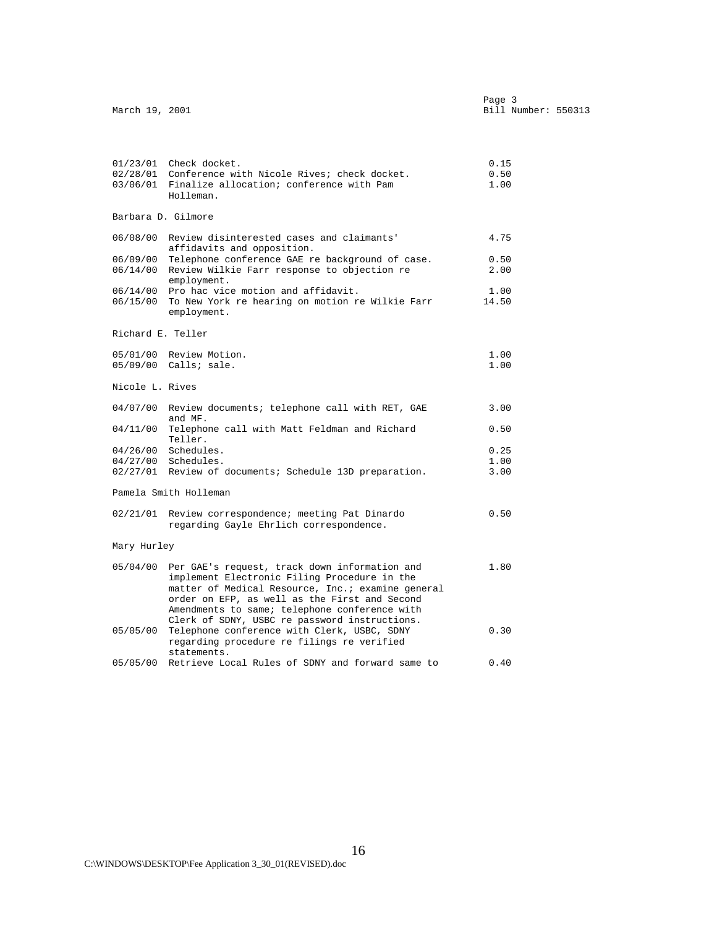| March 19, 2001    |                                                                                                                                                                                                                                                               | Page 3<br>Bill Number: 550313 |
|-------------------|---------------------------------------------------------------------------------------------------------------------------------------------------------------------------------------------------------------------------------------------------------------|-------------------------------|
|                   |                                                                                                                                                                                                                                                               |                               |
|                   | 01/23/01 Check docket.                                                                                                                                                                                                                                        | 0.15                          |
|                   | 02/28/01 Conference with Nicole Rives; check docket.                                                                                                                                                                                                          | 0.50                          |
|                   | 03/06/01 Finalize allocation; conference with Pam                                                                                                                                                                                                             | 1.00                          |
|                   | Holleman.                                                                                                                                                                                                                                                     |                               |
|                   | Barbara D. Gilmore                                                                                                                                                                                                                                            |                               |
|                   | 06/08/00 Review disinterested cases and claimants'<br>affidavits and opposition.                                                                                                                                                                              | 4.75                          |
|                   | 06/09/00 Telephone conference GAE re background of case.                                                                                                                                                                                                      | 0.50                          |
|                   | 06/14/00 Review Wilkie Farr response to objection re<br>employment.                                                                                                                                                                                           | 2.00                          |
|                   | 06/14/00 Pro hac vice motion and affidavit.                                                                                                                                                                                                                   | 1.00                          |
|                   | 06/15/00 To New York re hearing on motion re Wilkie Farr<br>employment.                                                                                                                                                                                       | 14.50                         |
| Richard E. Teller |                                                                                                                                                                                                                                                               |                               |
|                   | 05/01/00 Review Motion.                                                                                                                                                                                                                                       | 1.00                          |
|                   | 05/09/00 Calls; sale.                                                                                                                                                                                                                                         | 1.00                          |
| Nicole L. Rives   |                                                                                                                                                                                                                                                               |                               |
|                   | 04/07/00 Review documents; telephone call with RET, GAE<br>and MF.                                                                                                                                                                                            | 3.00                          |
|                   | 04/11/00 Telephone call with Matt Feldman and Richard<br>Teller.                                                                                                                                                                                              | 0.50                          |
|                   | 04/26/00 Schedules.                                                                                                                                                                                                                                           | 0.25                          |
|                   | $04/27/00$ Schedules.                                                                                                                                                                                                                                         | 1.00                          |
|                   | 02/27/01 Review of documents; Schedule 13D preparation.                                                                                                                                                                                                       | 3.00                          |
|                   | Pamela Smith Holleman                                                                                                                                                                                                                                         |                               |
|                   | 02/21/01 Review correspondence; meeting Pat Dinardo<br>regarding Gayle Ehrlich correspondence.                                                                                                                                                                | 0.50                          |
| Mary Hurley       |                                                                                                                                                                                                                                                               |                               |
|                   | 05/04/00 Per GAE's request, track down information and<br>implement Electronic Filing Procedure in the<br>matter of Medical Resource, Inc.; examine general<br>order on EFP, as well as the First and Second<br>Amendments to same; telephone conference with | 1.80                          |
|                   | Clerk of SDNY, USBC re password instructions.<br>05/05/00 Telephone conference with Clerk, USBC, SDNY<br>regarding procedure re filings re verified<br>statements.                                                                                            | 0.30                          |
|                   | 05/05/00 Retrieve Local Rules of SDNY and forward same to                                                                                                                                                                                                     | 0.40                          |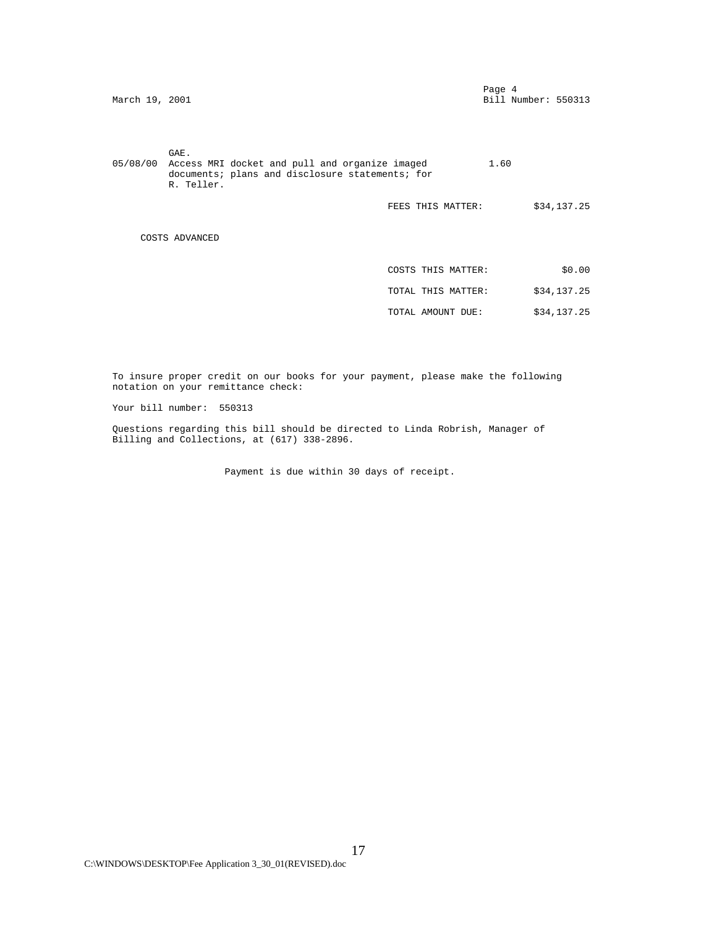| March 19, 2001     | Page 4<br>Bill Number: 550313                                                                                                                                                           |
|--------------------|-----------------------------------------------------------------------------------------------------------------------------------------------------------------------------------------|
| GAE.<br>R. Teller. | 1.60                                                                                                                                                                                    |
|                    | \$34,137.25                                                                                                                                                                             |
| COSTS ADVANCED     |                                                                                                                                                                                         |
|                    | \$0.00                                                                                                                                                                                  |
|                    | \$34,137.25                                                                                                                                                                             |
|                    | \$34,137.25                                                                                                                                                                             |
|                    | Access MRI docket and pull and organize imaged<br>documents; plans and disclosure statements; for<br>FEES THIS MATTER:<br>COSTS THIS MATTER:<br>TOTAL THIS MATTER:<br>TOTAL AMOUNT DUE: |

 To insure proper credit on our books for your payment, please make the following notation on your remittance check:

Your bill number: 550313

 Questions regarding this bill should be directed to Linda Robrish, Manager of Billing and Collections, at (617) 338-2896.

Payment is due within 30 days of receipt.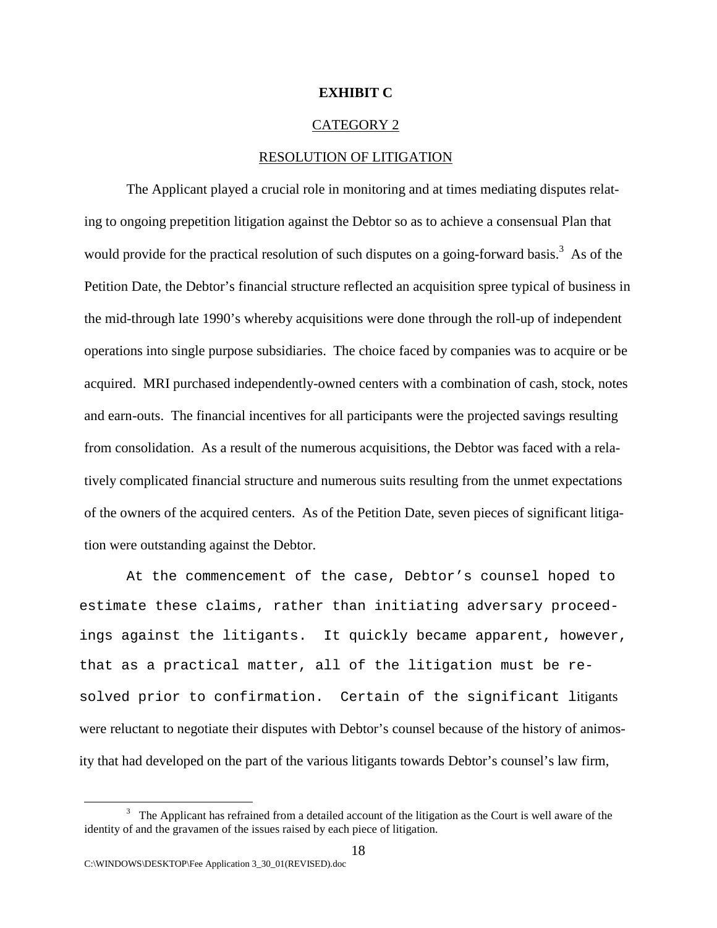## **EXHIBIT C**

#### CATEGORY 2

#### RESOLUTION OF LITIGATION

The Applicant played a crucial role in monitoring and at times mediating disputes relating to ongoing prepetition litigation against the Debtor so as to achieve a consensual Plan that would provide for the practical resolution of such disputes on a going-forward basis.<sup>3</sup> As of the Petition Date, the Debtor's financial structure reflected an acquisition spree typical of business in the mid-through late 1990's whereby acquisitions were done through the roll-up of independent operations into single purpose subsidiaries. The choice faced by companies was to acquire or be acquired. MRI purchased independently-owned centers with a combination of cash, stock, notes and earn-outs. The financial incentives for all participants were the projected savings resulting from consolidation. As a result of the numerous acquisitions, the Debtor was faced with a relatively complicated financial structure and numerous suits resulting from the unmet expectations of the owners of the acquired centers. As of the Petition Date, seven pieces of significant litigation were outstanding against the Debtor.

At the commencement of the case, Debtor's counsel hoped to estimate these claims, rather than initiating adversary proceedings against the litigants. It quickly became apparent, however, that as a practical matter, all of the litigation must be resolved prior to confirmation. Certain of the significant litigants were reluctant to negotiate their disputes with Debtor's counsel because of the history of animosity that had developed on the part of the various litigants towards Debtor's counsel's law firm,

 <sup>3</sup> <sup>3</sup> The Applicant has refrained from a detailed account of the litigation as the Court is well aware of the identity of and the gravamen of the issues raised by each piece of litigation.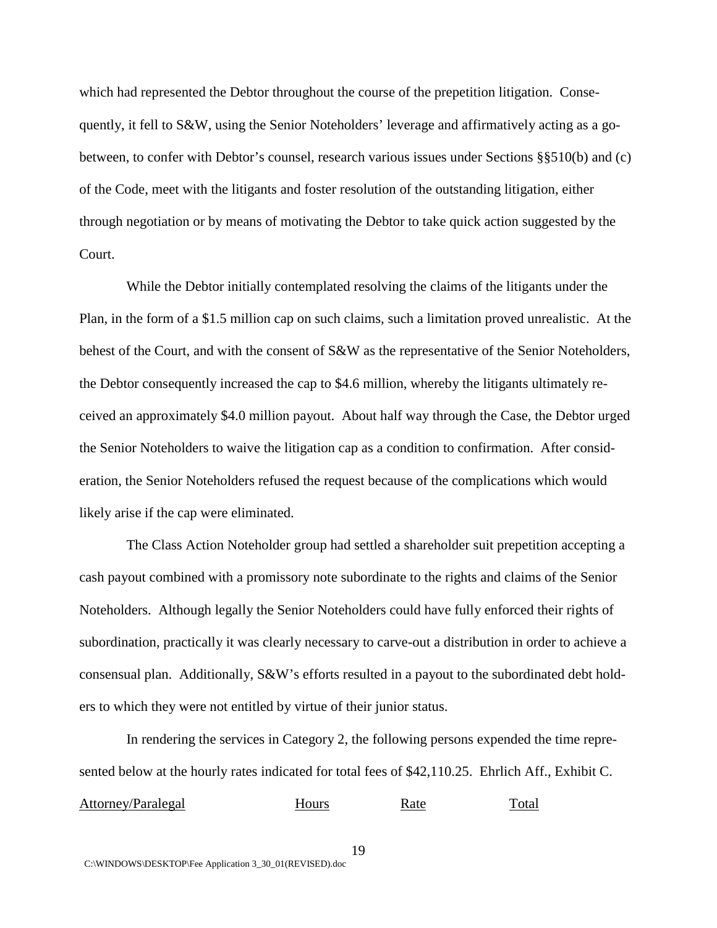which had represented the Debtor throughout the course of the prepetition litigation. Consequently, it fell to S&W, using the Senior Noteholders' leverage and affirmatively acting as a gobetween, to confer with Debtor's counsel, research various issues under Sections §§510(b) and (c) of the Code, meet with the litigants and foster resolution of the outstanding litigation, either through negotiation or by means of motivating the Debtor to take quick action suggested by the Court.

While the Debtor initially contemplated resolving the claims of the litigants under the Plan, in the form of a \$1.5 million cap on such claims, such a limitation proved unrealistic. At the behest of the Court, and with the consent of S&W as the representative of the Senior Noteholders, the Debtor consequently increased the cap to \$4.6 million, whereby the litigants ultimately received an approximately \$4.0 million payout. About half way through the Case, the Debtor urged the Senior Noteholders to waive the litigation cap as a condition to confirmation. After consideration, the Senior Noteholders refused the request because of the complications which would likely arise if the cap were eliminated.

The Class Action Noteholder group had settled a shareholder suit prepetition accepting a cash payout combined with a promissory note subordinate to the rights and claims of the Senior Noteholders. Although legally the Senior Noteholders could have fully enforced their rights of subordination, practically it was clearly necessary to carve-out a distribution in order to achieve a consensual plan. Additionally, S&W's efforts resulted in a payout to the subordinated debt holders to which they were not entitled by virtue of their junior status.

In rendering the services in Category 2, the following persons expended the time represented below at the hourly rates indicated for total fees of \$42,110.25. Ehrlich Aff., Exhibit C.

Attorney/Paralegal Hours Rate Total

C:\WINDOWS\DESKTOP\Fee Application 3\_30\_01(REVISED).doc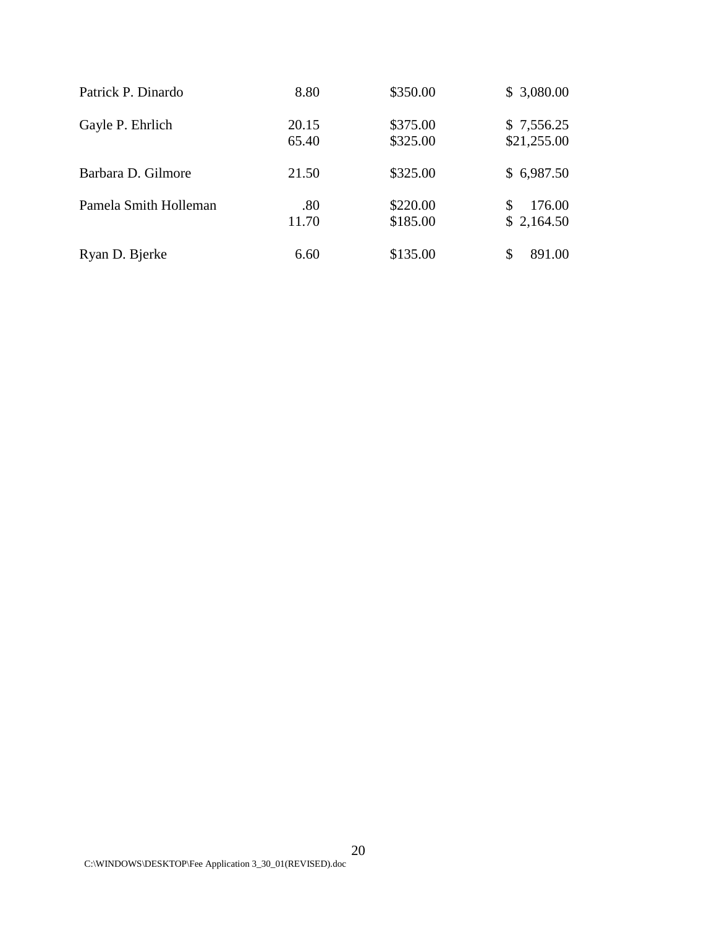| Patrick P. Dinardo    | 8.80           | \$350.00             | \$3,080.00                |
|-----------------------|----------------|----------------------|---------------------------|
| Gayle P. Ehrlich      | 20.15<br>65.40 | \$375.00<br>\$325.00 | \$7,556.25<br>\$21,255.00 |
| Barbara D. Gilmore    | 21.50          | \$325.00             | \$6,987.50                |
| Pamela Smith Holleman | .80<br>11.70   | \$220.00<br>\$185.00 | 176.00<br>S<br>\$2,164.50 |
| Ryan D. Bjerke        | 6.60           | \$135.00             | 891.00                    |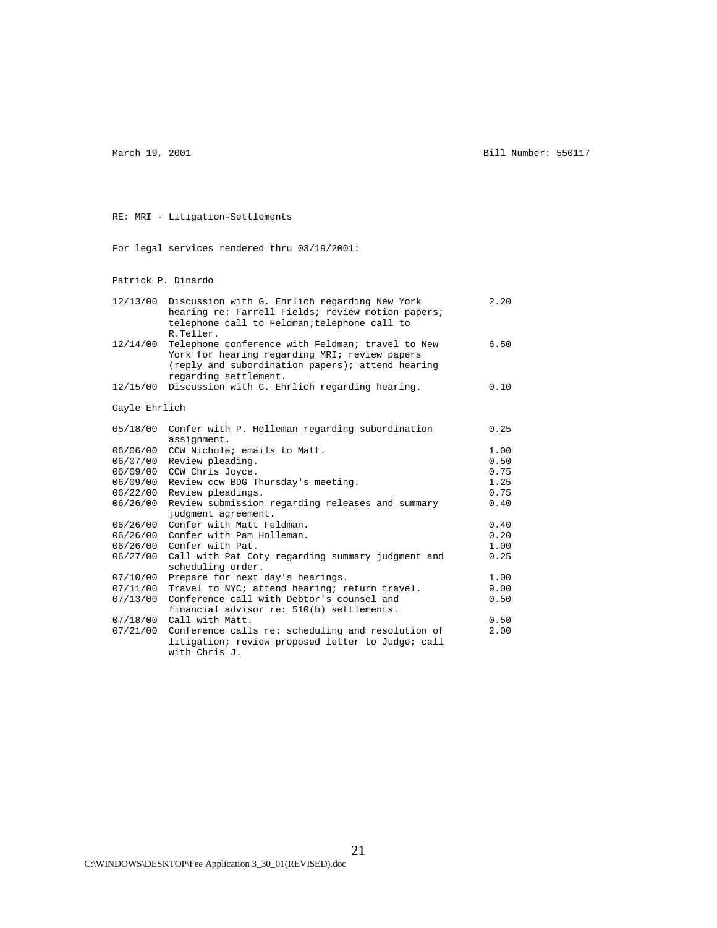March 19, 2001 **Bill Number: 550117** 

#### RE: MRI - Litigation-Settlements

For legal services rendered thru 03/19/2001:

Patrick P. Dinardo

| 12/13/00 | Discussion with G. Ehrlich regarding New York<br>hearing re: Farrell Fields; review motion papers;<br>telephone call to Feldman; telephone call to<br>R.Teller.                | 2.20 |
|----------|--------------------------------------------------------------------------------------------------------------------------------------------------------------------------------|------|
| 12/14/00 | Telephone conference with Feldman; travel to New<br>York for hearing regarding MRI; review papers<br>(reply and subordination papers); attend hearing<br>regarding settlement. | 6.50 |
| 12/15/00 | Discussion with G. Ehrlich regarding hearing.                                                                                                                                  | 0.10 |
|          | Gayle Ehrlich                                                                                                                                                                  |      |
| 05/18/00 | Confer with P. Holleman regarding subordination<br>assignment.                                                                                                                 | 0.25 |
| 06/06/00 | CCW Nichole; emails to Matt.                                                                                                                                                   | 1.00 |
| 06/07/00 | Review pleading.                                                                                                                                                               | 0.50 |
| 06/09/00 | CCW Chris Joyce.                                                                                                                                                               | 0.75 |
| 06/09/00 | Review ccw BDG Thursday's meeting.                                                                                                                                             | 1.25 |
| 06/22/00 | Review pleadings.                                                                                                                                                              | 0.75 |
| 06/26/00 | Review submission regarding releases and summary                                                                                                                               | 0.40 |
|          | judgment agreement.                                                                                                                                                            |      |
| 06/26/00 | Confer with Matt Feldman.                                                                                                                                                      | 0.40 |
| 06/26/00 | Confer with Pam Holleman.                                                                                                                                                      | 0.20 |
| 06/26/00 | Confer with Pat.                                                                                                                                                               | 1.00 |
| 06/27/00 | Call with Pat Coty regarding summary judgment and<br>scheduling order.                                                                                                         | 0.25 |
| 07/10/00 | Prepare for next day's hearings.                                                                                                                                               | 1.00 |
| 07/11/00 | Travel to NYC; attend hearing; return travel.                                                                                                                                  | 9.00 |
| 07/13/00 | Conference call with Debtor's counsel and                                                                                                                                      | 0.50 |
|          | financial advisor re: 510(b) settlements.                                                                                                                                      |      |
| 07/18/00 | Call with Matt.                                                                                                                                                                | 0.50 |
| 07/21/00 | Conference calls re: scheduling and resolution of<br>litigation; review proposed letter to Judge; call<br>with Chris J.                                                        | 2.00 |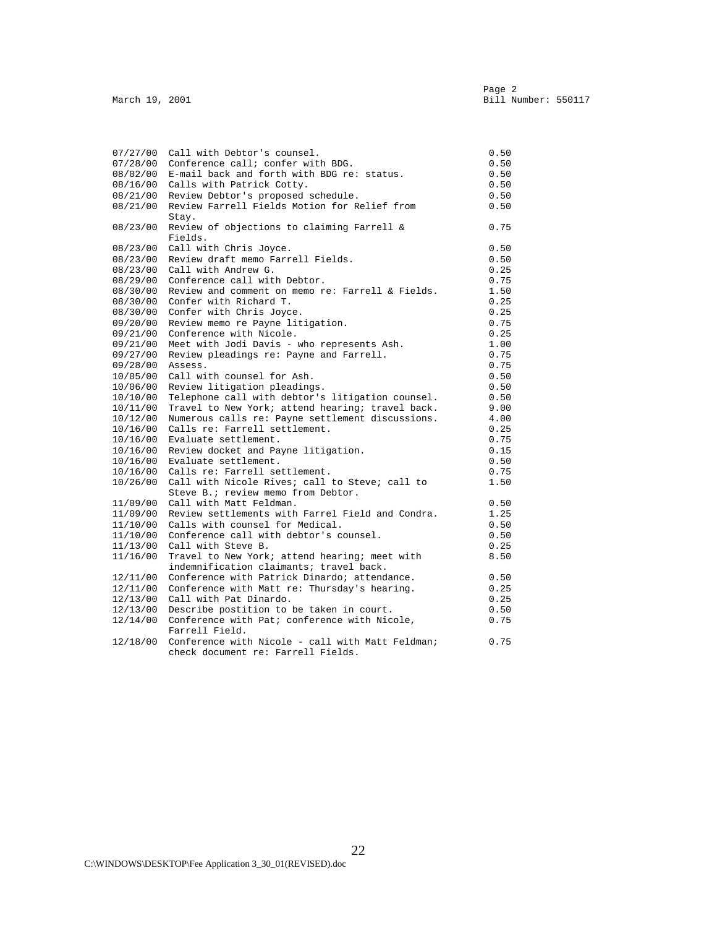| 07/27/00 | Call with Debtor's counsel.                                                        | 0.50         |
|----------|------------------------------------------------------------------------------------|--------------|
| 07/28/00 | Conference call; confer with BDG.                                                  | 0.50         |
|          | E-mail back and forth with BDG re: status.                                         | 0.50         |
| 08/02/00 | Calls with Patrick Cotty.                                                          |              |
| 08/16/00 |                                                                                    | 0.50         |
| 08/21/00 | Review Debtor's proposed schedule.<br>Review Farrell Fields Motion for Relief from | 0.50<br>0.50 |
| 08/21/00 |                                                                                    |              |
|          | Stay.                                                                              |              |
| 08/23/00 | Review of objections to claiming Farrell &                                         | 0.75         |
|          | Fields.                                                                            |              |
| 08/23/00 | Call with Chris Joyce.                                                             | 0.50         |
| 08/23/00 | Review draft memo Farrell Fields.                                                  | 0.50         |
| 08/23/00 | Call with Andrew G.                                                                | 0.25         |
| 08/29/00 | Conference call with Debtor.                                                       | 0.75         |
| 08/30/00 | Review and comment on memo re: Farrell & Fields.                                   | 1.50         |
| 08/30/00 | Confer with Richard T.                                                             | 0.25         |
| 08/30/00 | Confer with Chris Joyce.                                                           | 0.25         |
| 09/20/00 | Review memo re Payne litigation.                                                   | 0.75         |
| 09/21/00 | Conference with Nicole.                                                            | 0.25         |
| 09/21/00 | Meet with Jodi Davis - who represents Ash.                                         | 1.00         |
| 09/27/00 | Review pleadings re: Payne and Farrell.                                            | 0.75         |
| 09/28/00 | Assess.                                                                            | 0.75         |
| 10/05/00 | Call with counsel for Ash.                                                         | 0.50         |
| 10/06/00 | Review litigation pleadings.                                                       | 0.50         |
| 10/10/00 | Telephone call with debtor's litigation counsel.                                   | 0.50         |
| 10/11/00 | Travel to New York; attend hearing; travel back.                                   | 9.00         |
| 10/12/00 | Numerous calls re: Payne settlement discussions.                                   | 4.00         |
| 10/16/00 | Calls re: Farrell settlement.                                                      | 0.25         |
| 10/16/00 | Evaluate settlement.                                                               | 0.75         |
| 10/16/00 | Review docket and Payne litigation.                                                | 0.15         |
| 10/16/00 | Evaluate settlement.                                                               | 0.50         |
| 10/16/00 | Calls re: Farrell settlement.                                                      | 0.75         |
| 10/26/00 | Call with Nicole Rives; call to Steve; call to                                     | 1.50         |
|          | Steve B.; review memo from Debtor.                                                 |              |
| 11/09/00 | Call with Matt Feldman.                                                            | 0.50         |
| 11/09/00 | Review settlements with Farrel Field and Condra.                                   | 1.25         |
| 11/10/00 | Calls with counsel for Medical.                                                    | 0.50         |
| 11/10/00 | Conference call with debtor's counsel.                                             | 0.50         |
| 11/13/00 | Call with Steve B.                                                                 | 0.25         |
| 11/16/00 | Travel to New York; attend hearing; meet with                                      | 8.50         |
|          | indemnification claimants; travel back.                                            |              |
| 12/11/00 | Conference with Patrick Dinardo; attendance.                                       | 0.50         |
| 12/11/00 | Conference with Matt re: Thursday's hearing.                                       | 0.25         |
| 12/13/00 | Call with Pat Dinardo.                                                             | 0.25         |
| 12/13/00 | Describe postition to be taken in court.                                           | 0.50         |
| 12/14/00 | Conference with Pat; conference with Nicole,                                       | 0.75         |
|          | Farrell Field.                                                                     |              |
| 12/18/00 | Conference with Nicole - call with Matt Feldman;                                   | 0.75         |
|          | check document re: Farrell Fields.                                                 |              |
|          |                                                                                    |              |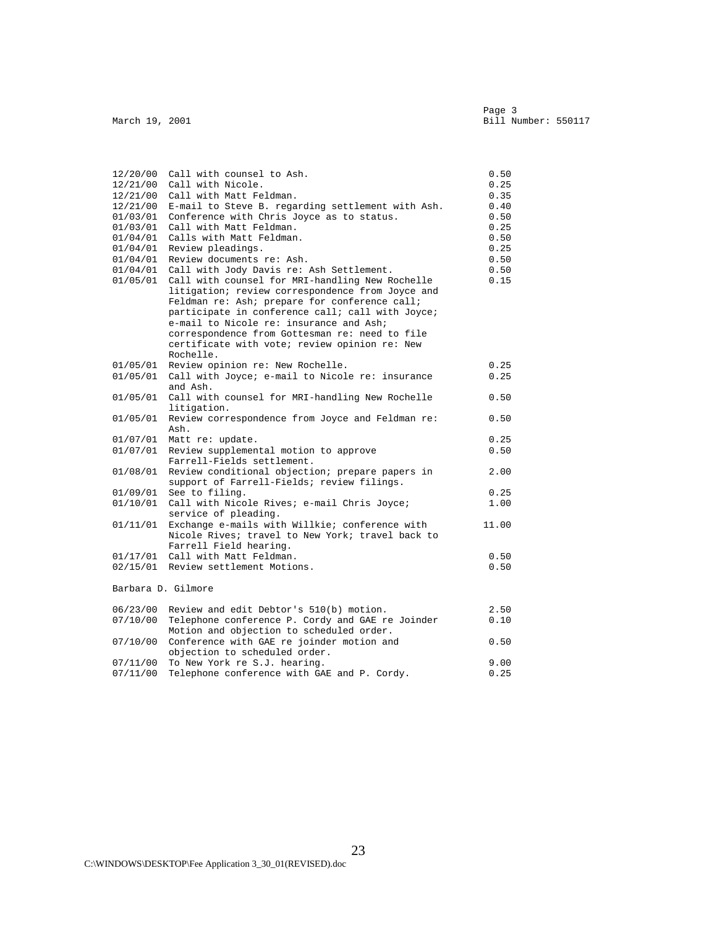| 12/20/00 | Call with counsel to Ash.                                  | 0.50  |
|----------|------------------------------------------------------------|-------|
| 12/21/00 | Call with Nicole.                                          | 0.25  |
| 12/21/00 | Call with Matt Feldman.                                    | 0.35  |
|          | 12/21/00 E-mail to Steve B. regarding settlement with Ash. | 0.40  |
| 01/03/01 | Conference with Chris Joyce as to status.                  | 0.50  |
|          | 01/03/01 Call with Matt Feldman.                           | 0.25  |
|          | 01/04/01 Calls with Matt Feldman.                          | 0.50  |
| 01/04/01 | Review pleadings.                                          | 0.25  |
| 01/04/01 | Review documents re: Ash.                                  | 0.50  |
| 01/04/01 | Call with Jody Davis re: Ash Settlement.                   | 0.50  |
| 01/05/01 | Call with counsel for MRI-handling New Rochelle            | 0.15  |
|          | litigation; review correspondence from Joyce and           |       |
|          | Feldman re: Ash; prepare for conference call;              |       |
|          | participate in conference call; call with Joyce;           |       |
|          | e-mail to Nicole re: insurance and Ash;                    |       |
|          | correspondence from Gottesman re: need to file             |       |
|          | certificate with vote; review opinion re: New              |       |
|          | Rochelle.                                                  |       |
| 01/05/01 | Review opinion re: New Rochelle.                           | 0.25  |
| 01/05/01 | Call with Joyce; e-mail to Nicole re: insurance            | 0.25  |
|          | and Ash.                                                   |       |
| 01/05/01 | Call with counsel for MRI-handling New Rochelle            | 0.50  |
|          | litigation.                                                |       |
| 01/05/01 | Review correspondence from Joyce and Feldman re:           | 0.50  |
|          | Ash.                                                       |       |
| 01/07/01 | Matt re: update.                                           | 0.25  |
| 01/07/01 | Review supplemental motion to approve                      | 0.50  |
|          | Farrell-Fields settlement.                                 |       |
| 01/08/01 | Review conditional objection; prepare papers in            | 2.00  |
|          | support of Farrell-Fields; review filings.                 |       |
| 01/09/01 | See to filing.                                             | 0.25  |
| 01/10/01 | Call with Nicole Rives; e-mail Chris Joyce;                | 1.00  |
|          | service of pleading.                                       |       |
| 01/11/01 | Exchange e-mails with Willkie; conference with             | 11.00 |
|          | Nicole Rives; travel to New York; travel back to           |       |
|          | Farrell Field hearing.                                     |       |
|          | 01/17/01 Call with Matt Feldman.                           | 0.50  |
|          | 02/15/01 Review settlement Motions.                        | 0.50  |
|          | Barbara D. Gilmore                                         |       |
|          |                                                            |       |
| 06/23/00 | Review and edit Debtor's 510(b) motion.                    | 2.50  |
| 07/10/00 | Telephone conference P. Cordy and GAE re Joinder           | 0.10  |
|          | Motion and objection to scheduled order.                   |       |
| 07/10/00 | Conference with GAE re joinder motion and                  | 0.50  |
|          | objection to scheduled order.                              |       |
| 07/11/00 | To New York re S.J. hearing.                               | 9.00  |
| 07/11/00 | Telephone conference with GAE and P. Cordy.                | 0.25  |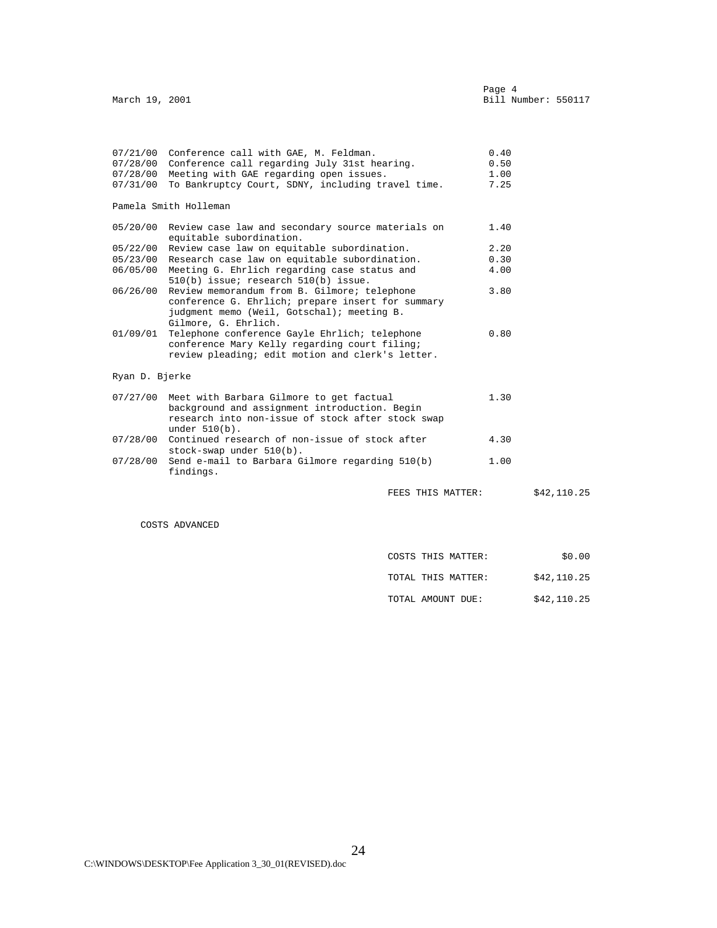|                            | 07/21/00 Conference call with GAE, M. Feldman.                                                                                                                              | 0.40 |  |
|----------------------------|-----------------------------------------------------------------------------------------------------------------------------------------------------------------------------|------|--|
|                            | 07/28/00 Conference call regarding July 31st hearing.                                                                                                                       | 0.50 |  |
| 07/28/00                   | Meeting with GAE regarding open issues.                                                                                                                                     | 1.00 |  |
| 07/31/00                   | To Bankruptcy Court, SDNY, including travel time.                                                                                                                           | 7.25 |  |
|                            | Pamela Smith Holleman                                                                                                                                                       |      |  |
|                            | 05/20/00 Review case law and secondary source materials on<br>equitable subordination.                                                                                      | 1.40 |  |
|                            | 05/22/00 Review case law on equitable subordination.                                                                                                                        | 2.20 |  |
|                            | 05/23/00 Research case law on equitable subordination.                                                                                                                      | 0.30 |  |
|                            | 06/05/00 Meeting G. Ehrlich regarding case status and<br>510(b) issue; research 510(b) issue.                                                                               | 4.00 |  |
| 06/26/00                   | Review memorandum from B. Gilmore; telephone<br>conference G. Ehrlich; prepare insert for summary<br>judgment memo (Weil, Gotschal); meeting B.<br>Gilmore, G. Ehrlich.     | 3.80 |  |
| 01/09/01                   | Telephone conference Gayle Ehrlich; telephone<br>conference Mary Kelly regarding court filing;<br>review pleading; edit motion and clerk's letter.                          | 0.80 |  |
|                            |                                                                                                                                                                             |      |  |
|                            |                                                                                                                                                                             |      |  |
|                            | 07/27/00 Meet with Barbara Gilmore to get factual<br>background and assignment introduction. Begin<br>research into non-issue of stock after stock swap<br>under $510(b)$ . | 1.30 |  |
| Ryan D. Bjerke<br>07/28/00 | Continued research of non-issue of stock after                                                                                                                              | 4.30 |  |
| 07/28/00                   | stock-swap under 510(b).<br>Send e-mail to Barbara Gilmore regarding 510(b)<br>findings.                                                                                    | 1.00 |  |

COSTS ADVANCED

| COSTS<br>THIS MATTER<br>_____ | 00<br>ሓ ጣ<br>5U |
|-------------------------------|-----------------|
|                               |                 |

TOTAL THIS MATTER: \$42,110.25

TOTAL AMOUNT DUE: \$42,110.25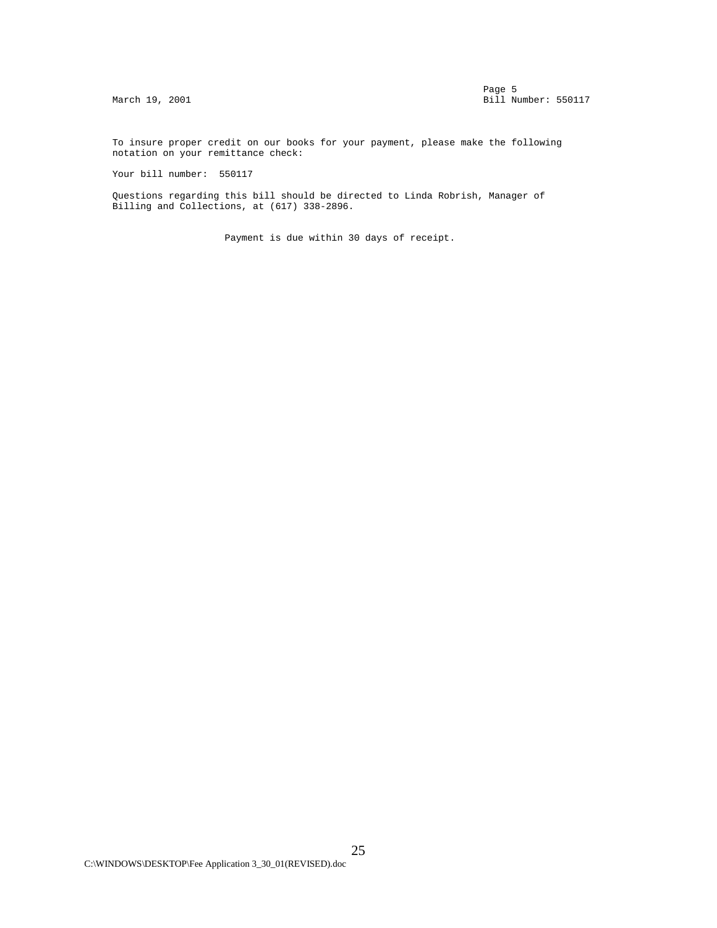To insure proper credit on our books for your payment, please make the following notation on your remittance check:

Your bill number: 550117

 Questions regarding this bill should be directed to Linda Robrish, Manager of Billing and Collections, at (617) 338-2896.

Payment is due within 30 days of receipt.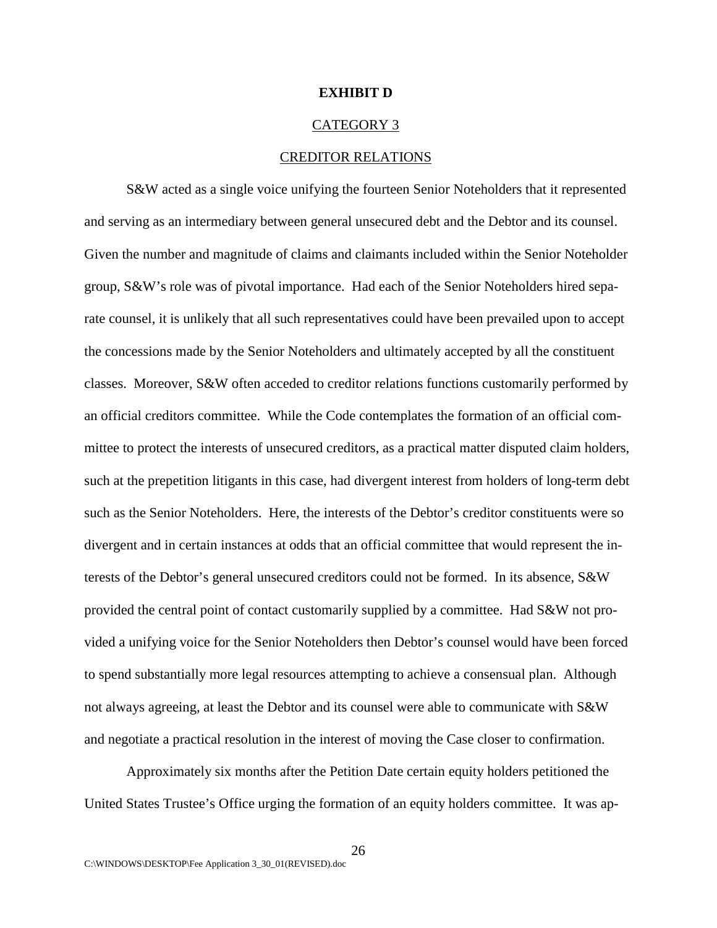#### **EXHIBIT D**

#### CATEGORY 3

#### CREDITOR RELATIONS

S&W acted as a single voice unifying the fourteen Senior Noteholders that it represented and serving as an intermediary between general unsecured debt and the Debtor and its counsel. Given the number and magnitude of claims and claimants included within the Senior Noteholder group, S&W's role was of pivotal importance. Had each of the Senior Noteholders hired separate counsel, it is unlikely that all such representatives could have been prevailed upon to accept the concessions made by the Senior Noteholders and ultimately accepted by all the constituent classes. Moreover, S&W often acceded to creditor relations functions customarily performed by an official creditors committee. While the Code contemplates the formation of an official committee to protect the interests of unsecured creditors, as a practical matter disputed claim holders, such at the prepetition litigants in this case, had divergent interest from holders of long-term debt such as the Senior Noteholders. Here, the interests of the Debtor's creditor constituents were so divergent and in certain instances at odds that an official committee that would represent the interests of the Debtor's general unsecured creditors could not be formed. In its absence, S&W provided the central point of contact customarily supplied by a committee. Had S&W not provided a unifying voice for the Senior Noteholders then Debtor's counsel would have been forced to spend substantially more legal resources attempting to achieve a consensual plan. Although not always agreeing, at least the Debtor and its counsel were able to communicate with S&W and negotiate a practical resolution in the interest of moving the Case closer to confirmation.

Approximately six months after the Petition Date certain equity holders petitioned the United States Trustee's Office urging the formation of an equity holders committee. It was ap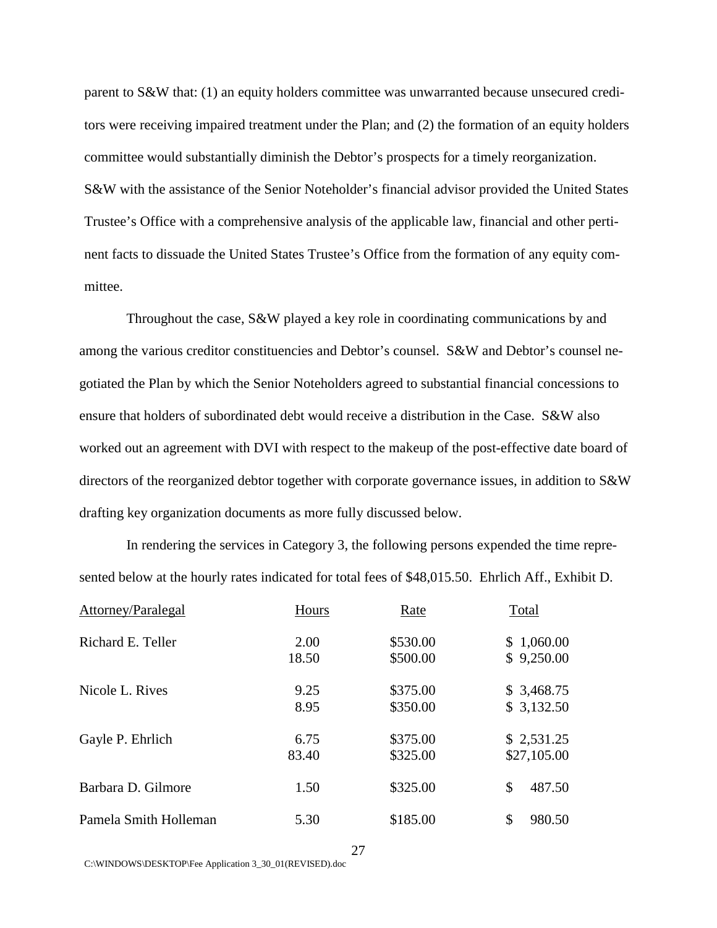parent to S&W that: (1) an equity holders committee was unwarranted because unsecured creditors were receiving impaired treatment under the Plan; and (2) the formation of an equity holders committee would substantially diminish the Debtor's prospects for a timely reorganization. S&W with the assistance of the Senior Noteholder's financial advisor provided the United States Trustee's Office with a comprehensive analysis of the applicable law, financial and other pertinent facts to dissuade the United States Trustee's Office from the formation of any equity committee.

Throughout the case, S&W played a key role in coordinating communications by and among the various creditor constituencies and Debtor's counsel. S&W and Debtor's counsel negotiated the Plan by which the Senior Noteholders agreed to substantial financial concessions to ensure that holders of subordinated debt would receive a distribution in the Case. S&W also worked out an agreement with DVI with respect to the makeup of the post-effective date board of directors of the reorganized debtor together with corporate governance issues, in addition to S&W drafting key organization documents as more fully discussed below.

In rendering the services in Category 3, the following persons expended the time represented below at the hourly rates indicated for total fees of \$48,015.50. Ehrlich Aff., Exhibit D.

| Attorney/Paralegal    | Hours | Rate     | Total        |
|-----------------------|-------|----------|--------------|
| Richard E. Teller     | 2.00  | \$530.00 | \$1,060.00   |
|                       | 18.50 | \$500.00 | \$9,250.00   |
| Nicole L. Rives       | 9.25  | \$375.00 | \$3,468.75   |
|                       | 8.95  | \$350.00 | \$3,132.50   |
| Gayle P. Ehrlich      | 6.75  | \$375.00 | \$2,531.25   |
|                       | 83.40 | \$325.00 | \$27,105.00  |
| Barbara D. Gilmore    | 1.50  | \$325.00 | \$<br>487.50 |
| Pamela Smith Holleman | 5.30  | \$185.00 | \$<br>980.50 |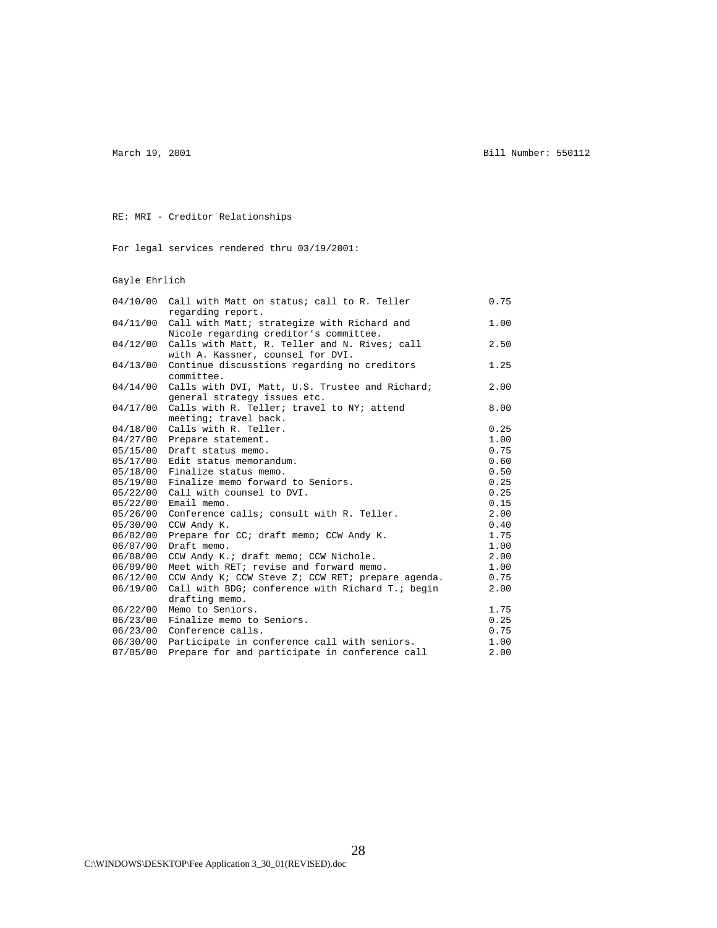March 19, 2001 **Bill Number: 550112** 

RE: MRI - Creditor Relationships

For legal services rendered thru 03/19/2001:

#### Gayle Ehrlich

| 04/10/00 | Call with Matt on status; call to R. Teller<br>regarding report. | 0.75 |
|----------|------------------------------------------------------------------|------|
| 04/11/00 | Call with Matt; strategize with Richard and                      | 1.00 |
|          | Nicole regarding creditor's committee.                           |      |
| 04/12/00 | Calls with Matt, R. Teller and N. Rives; call                    | 2.50 |
|          | with A. Kassner, counsel for DVI.                                |      |
| 04/13/00 | Continue discusstions regarding no creditors                     | 1.25 |
|          | committee.                                                       |      |
| 04/14/00 | Calls with DVI, Matt, U.S. Trustee and Richard;                  | 2.00 |
|          | general strategy issues etc.                                     |      |
| 04/17/00 | Calls with R. Teller; travel to NY; attend                       | 8.00 |
|          | meeting; travel back.                                            |      |
| 04/18/00 | Calls with R. Teller.                                            | 0.25 |
| 04/27/00 | Prepare statement.                                               | 1.00 |
| 05/15/00 | Draft status memo.                                               | 0.75 |
| 05/17/00 | Edit status memorandum.                                          | 0.60 |
| 05/18/00 | Finalize status memo.                                            | 0.50 |
| 05/19/00 | Finalize memo forward to Seniors.                                | 0.25 |
| 05/22/00 | Call with counsel to DVI.                                        | 0.25 |
| 05/22/00 | Email memo.                                                      | 0.15 |
| 05/26/00 | Conference calls; consult with R. Teller.                        | 2.00 |
| 05/30/00 | CCW Andy K.                                                      | 0.40 |
| 06/02/00 | Prepare for CC; draft memo; CCW Andy K.                          | 1.75 |
| 06/07/00 | Draft memo.                                                      | 1.00 |
| 06/08/00 | CCW Andy K.; draft memo; CCW Nichole.                            | 2.00 |
| 06/09/00 | Meet with RET; revise and forward memo.                          | 1.00 |
| 06/12/00 | CCW Andy K; CCW Steve Z; CCW RET; prepare agenda.                | 0.75 |
| 06/19/00 | Call with BDG; conference with Richard T.; begin                 | 2.00 |
|          | drafting memo.                                                   |      |
| 06/22/00 | Memo to Seniors.                                                 | 1.75 |
| 06/23/00 | Finalize memo to Seniors.                                        | 0.25 |
| 06/23/00 | Conference calls.                                                | 0.75 |
| 06/30/00 | Participate in conference call with seniors.                     | 1.00 |
| 07/05/00 | Prepare for and participate in conference call                   | 2.00 |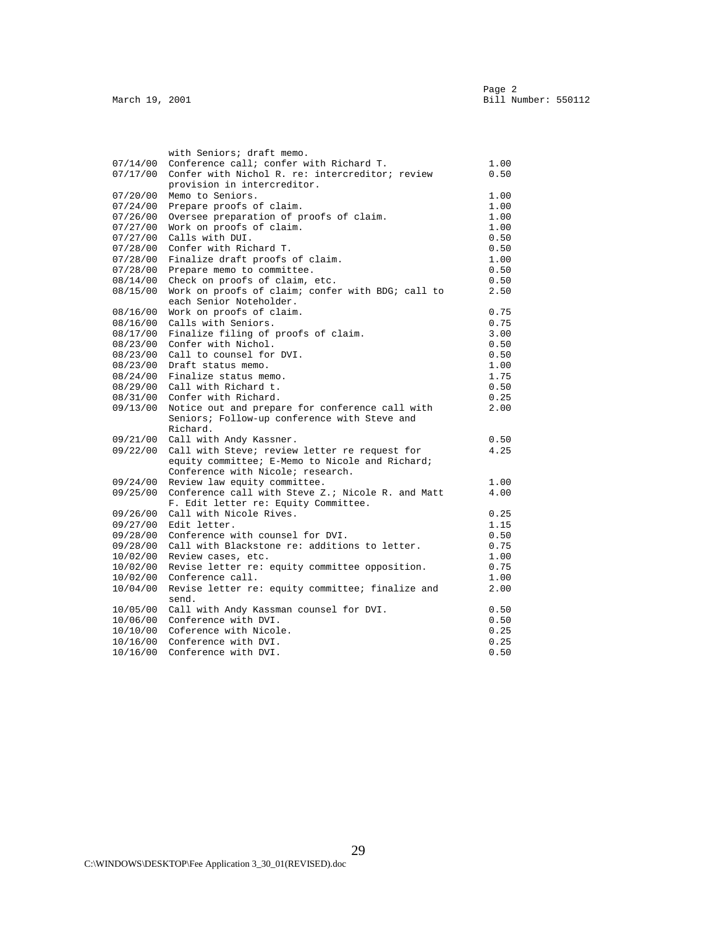|          | with Seniors; draft memo.                                  |      |
|----------|------------------------------------------------------------|------|
| 07/14/00 | Conference call; confer with Richard T.                    | 1.00 |
| 07/17/00 | Confer with Nichol R. re: intercreditor; review            | 0.50 |
|          | provision in intercreditor.                                |      |
| 07/20/00 | Memo to Seniors.                                           | 1.00 |
| 07/24/00 | Prepare proofs of claim.                                   | 1.00 |
| 07/26/00 | Oversee preparation of proofs of claim.                    | 1.00 |
| 07/27/00 | Work on proofs of claim.                                   | 1.00 |
| 07/27/00 | Calls with DUI.                                            | 0.50 |
| 07/28/00 | Confer with Richard T.                                     | 0.50 |
| 07/28/00 | Finalize draft proofs of claim.                            | 1.00 |
| 07/28/00 | Prepare memo to committee.                                 | 0.50 |
| 08/14/00 | Check on proofs of claim, etc.                             | 0.50 |
| 08/15/00 | Work on proofs of claim; confer with BDG; call to          | 2.50 |
|          | each Senior Noteholder.                                    |      |
| 08/16/00 | Work on proofs of claim.                                   | 0.75 |
| 08/16/00 | Calls with Seniors.                                        | 0.75 |
| 08/17/00 | Finalize filing of proofs of claim.                        | 3.00 |
|          | 08/23/00 Confer with Nichol.                               | 0.50 |
| 08/23/00 | Call to counsel for DVI.                                   | 0.50 |
| 08/23/00 | Draft status memo.                                         | 1.00 |
| 08/24/00 | Finalize status memo.                                      | 1.75 |
|          | 08/29/00 Call with Richard t.                              | 0.50 |
|          | 08/31/00 Confer with Richard.                              | 0.25 |
| 09/13/00 | Notice out and prepare for conference call with            | 2.00 |
|          | Seniors; Follow-up conference with Steve and               |      |
|          | Richard.                                                   |      |
| 09/21/00 | Call with Andy Kassner.                                    | 0.50 |
|          | 09/22/00 Call with Steve; review letter re request for     | 4.25 |
|          | equity committee; E-Memo to Nicole and Richard;            |      |
|          | Conference with Nicole; research.                          |      |
| 09/24/00 | Review law equity committee.                               | 1.00 |
|          | 09/25/00 Conference call with Steve Z.; Nicole R. and Matt | 4.00 |
|          | F. Edit letter re: Equity Committee.                       |      |
| 09/26/00 | Call with Nicole Rives.                                    | 0.25 |
| 09/27/00 | Edit letter.                                               | 1.15 |
| 09/28/00 | Conference with counsel for DVI.                           | 0.50 |
| 09/28/00 | Call with Blackstone re: additions to letter.              | 0.75 |
| 10/02/00 | Review cases, etc.                                         | 1.00 |
| 10/02/00 | Revise letter re: equity committee opposition.             | 0.75 |
| 10/02/00 | Conference call.                                           | 1.00 |
| 10/04/00 | Revise letter re: equity committee; finalize and           | 2.00 |
|          | send.                                                      |      |
| 10/05/00 | Call with Andy Kassman counsel for DVI.                    | 0.50 |
| 10/06/00 | Conference with DVI.                                       | 0.50 |
|          | 10/10/00 Coference with Nicole.                            | 0.25 |
|          | 10/16/00 Conference with DVI.                              | 0.25 |
|          | 10/16/00 Conference with DVI.                              | 0.50 |
|          |                                                            |      |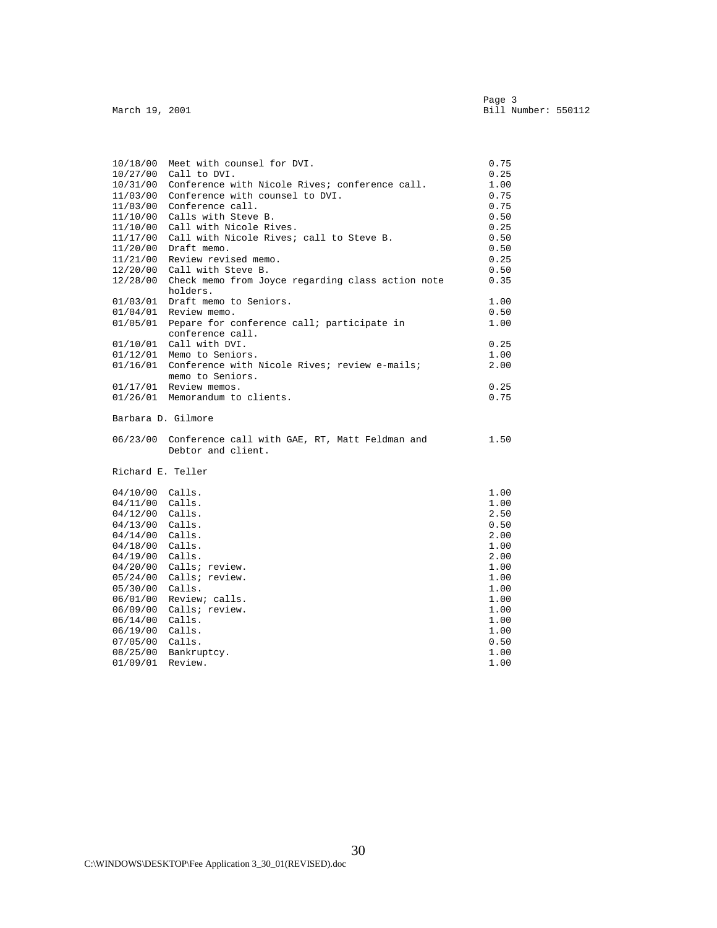| 10/18/00          | Meet with counsel for DVI.                        | 0.75 |
|-------------------|---------------------------------------------------|------|
| 10/27/00          | Call to DVI.                                      | 0.25 |
| 10/31/00          | Conference with Nicole Rives; conference call.    | 1.00 |
| 11/03/00          | Conference with counsel to DVI.                   | 0.75 |
| 11/03/00          | Conference call.                                  | 0.75 |
| 11/10/00          | Calls with Steve B.                               | 0.50 |
| 11/10/00          | Call with Nicole Rives.                           | 0.25 |
| 11/17/00          | Call with Nicole Rives; call to Steve B.          | 0.50 |
| 11/20/00          | Draft memo.                                       | 0.50 |
| 11/21/00          | Review revised memo.                              | 0.25 |
| 12/20/00          | Call with Steve B.                                | 0.50 |
| 12/28/00          | Check memo from Joyce regarding class action note | 0.35 |
|                   | holders.                                          |      |
| 01/03/01          | Draft memo to Seniors.                            | 1.00 |
|                   | $01/04/01$ Review memo.                           | 0.50 |
| 01/05/01          | Pepare for conference call; participate in        | 1.00 |
|                   | conference call.                                  |      |
| 01/10/01          | Call with DVI.                                    | 0.25 |
| 01/12/01          | Memo to Seniors.                                  | 1.00 |
| 01/16/01          | Conference with Nicole Rives; review e-mails;     | 2.00 |
|                   | memo to Seniors.                                  |      |
|                   | $01/17/01$ Review memos.                          | 0.25 |
|                   | 01/26/01 Memorandum to clients.                   | 0.75 |
|                   |                                                   |      |
|                   | Barbara D. Gilmore                                |      |
| 06/23/00          | Conference call with GAE, RT, Matt Feldman and    | 1.50 |
|                   | Debtor and client.                                |      |
| Richard E. Teller |                                                   |      |
|                   |                                                   |      |
| 04/10/00          | Calls.                                            | 1.00 |
| 04/11/00          | Calls.                                            | 1.00 |
| 04/12/00          | Calls.                                            | 2.50 |
| 04/13/00          | Calls.                                            | 0.50 |
| 04/14/00          | Calls.                                            | 2.00 |
| 04/18/00          | Calls.                                            | 1.00 |
| 04/19/00          | Calls.                                            | 2.00 |
| 04/20/00          | Calls; review.                                    | 1.00 |
| 05/24/00          | Calls; review.                                    | 1.00 |
| 05/30/00          | Calls.                                            | 1.00 |
| 06/01/00          | Review; calls.                                    | 1.00 |
| 06/09/00          | Calls; review.                                    | 1.00 |
| 06/14/00          | Calls.                                            | 1.00 |
| 06/19/00          | Calls.                                            | 1.00 |
| 07/05/00          | Calls.                                            | 0.50 |
| 08/25/00          | Bankruptcy.                                       | 1.00 |
| 01/09/01          | Review.                                           | 1.00 |
|                   |                                                   |      |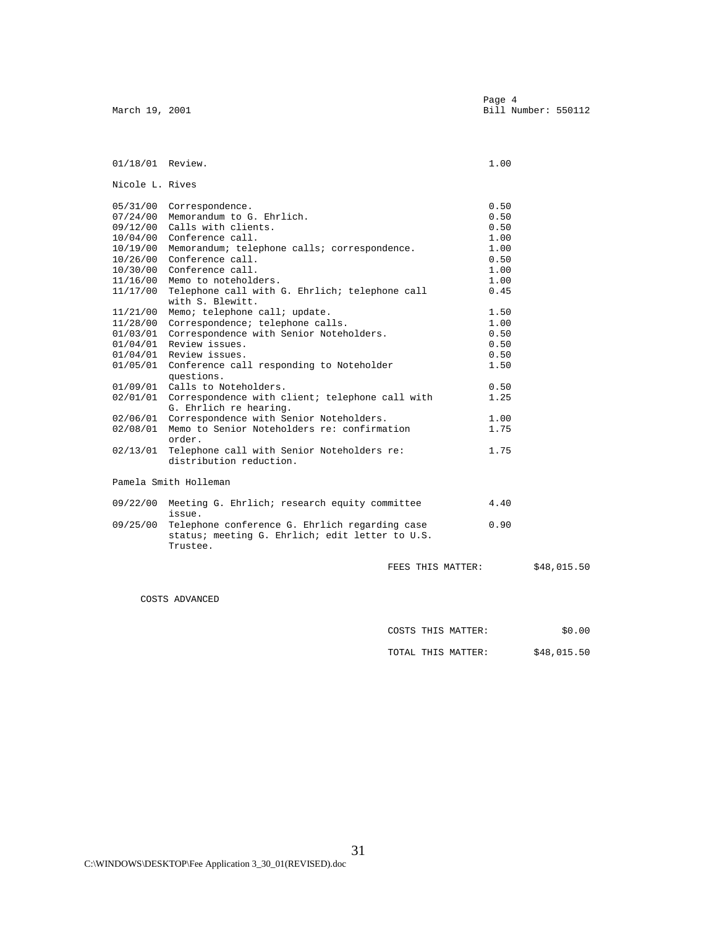| March 19, 2001   |                                                                                                                        |                    | Page 4<br>Bill Number: 550112 |
|------------------|------------------------------------------------------------------------------------------------------------------------|--------------------|-------------------------------|
|                  |                                                                                                                        |                    |                               |
| 01/18/01 Review. |                                                                                                                        |                    | 1.00                          |
| Nicole L. Rives  |                                                                                                                        |                    |                               |
|                  | 05/31/00 Correspondence.                                                                                               |                    | 0.50                          |
|                  | 07/24/00 Memorandum to G. Ehrlich.                                                                                     |                    | 0.50                          |
|                  | 09/12/00 Calls with clients.                                                                                           |                    | 0.50                          |
|                  | 10/04/00 Conference call.                                                                                              |                    | 1.00                          |
|                  | 10/19/00 Memorandum; telephone calls; correspondence.                                                                  |                    | 1.00                          |
|                  | $10/26/00$ Conference call.                                                                                            |                    | 0.50                          |
|                  | 10/30/00 Conference call.                                                                                              |                    | 1.00                          |
|                  | 11/16/00 Memo to noteholders.                                                                                          |                    | 1.00                          |
|                  | 11/17/00 Telephone call with G. Ehrlich; telephone call                                                                |                    | 0.45                          |
|                  | with S. Blewitt.                                                                                                       |                    |                               |
|                  | 11/21/00 Memo; telephone call; update.                                                                                 |                    | 1.50                          |
|                  | 11/28/00 Correspondence; telephone calls.                                                                              |                    | 1.00                          |
|                  | 01/03/01 Correspondence with Senior Noteholders.                                                                       |                    | 0.50                          |
|                  | 01/04/01 Review issues.                                                                                                |                    | 0.50                          |
|                  | 01/04/01 Review issues.                                                                                                |                    | 0.50                          |
|                  | 01/05/01 Conference call responding to Noteholder<br>questions.                                                        |                    | 1.50                          |
|                  | 01/09/01 Calls to Noteholders.                                                                                         |                    | 0.50                          |
|                  | 02/01/01 Correspondence with client; telephone call with<br>G. Ehrlich re hearing.                                     |                    | 1.25                          |
|                  | 02/06/01 Correspondence with Senior Noteholders.                                                                       |                    | 1.00                          |
|                  | 02/08/01 Memo to Senior Noteholders re: confirmation<br>order.                                                         |                    | 1.75                          |
|                  | 02/13/01 Telephone call with Senior Noteholders re:<br>distribution reduction.                                         |                    | 1.75                          |
|                  | Pamela Smith Holleman                                                                                                  |                    |                               |
|                  | 09/22/00 Meeting G. Ehrlich; research equity committee<br>issue.                                                       |                    | 4.40                          |
|                  | 09/25/00 Telephone conference G. Ehrlich regarding case<br>status; meeting G. Ehrlich; edit letter to U.S.<br>Trustee. |                    | 0.90                          |
|                  |                                                                                                                        | FEES THIS MATTER:  | \$48,015.50                   |
|                  | COSTS ADVANCED                                                                                                         |                    |                               |
|                  |                                                                                                                        |                    |                               |
|                  |                                                                                                                        | COSTS THIS MATTER: | \$0.00                        |

TOTAL THIS MATTER:  $$48,015.50$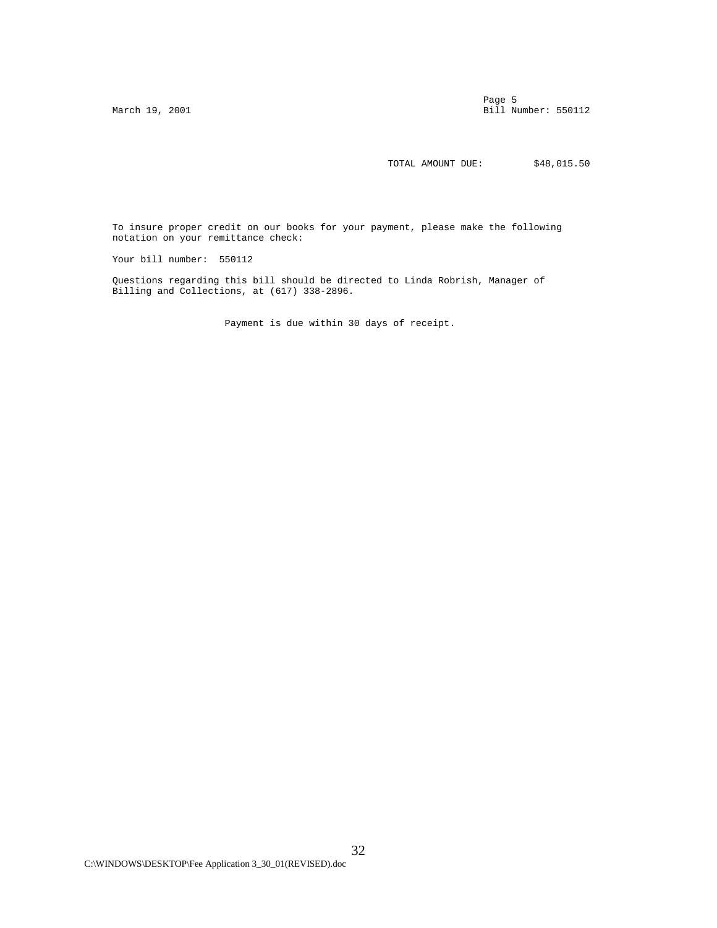Page 5 and 2012 to 2012 the contract of the contract of the contract of the contract of the contract of the contract of the contract of the contract of the contract of the contract of the contract of the contract of the co March 19, 2001 **Bill Number: 550112** 

TOTAL AMOUNT DUE:  $$48,015.50$ 

 To insure proper credit on our books for your payment, please make the following notation on your remittance check:

Your bill number: 550112

 Questions regarding this bill should be directed to Linda Robrish, Manager of Billing and Collections, at (617) 338-2896.

Payment is due within 30 days of receipt.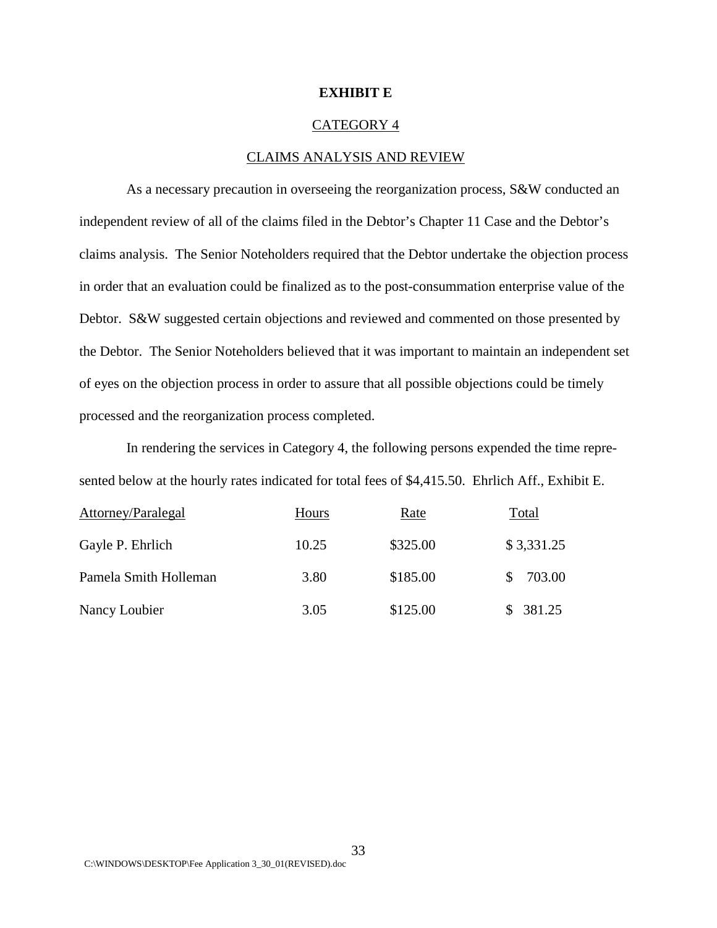#### **EXHIBIT E**

#### CATEGORY 4

#### CLAIMS ANALYSIS AND REVIEW

As a necessary precaution in overseeing the reorganization process, S&W conducted an independent review of all of the claims filed in the Debtor's Chapter 11 Case and the Debtor's claims analysis. The Senior Noteholders required that the Debtor undertake the objection process in order that an evaluation could be finalized as to the post-consummation enterprise value of the Debtor. S&W suggested certain objections and reviewed and commented on those presented by the Debtor. The Senior Noteholders believed that it was important to maintain an independent set of eyes on the objection process in order to assure that all possible objections could be timely processed and the reorganization process completed.

In rendering the services in Category 4, the following persons expended the time represented below at the hourly rates indicated for total fees of \$4,415.50. Ehrlich Aff., Exhibit E.

| Attorney/Paralegal    | Hours | Rate     | Total      |
|-----------------------|-------|----------|------------|
| Gayle P. Ehrlich      | 10.25 | \$325.00 | \$3,331.25 |
| Pamela Smith Holleman | 3.80  | \$185.00 | 703.00     |
| Nancy Loubier         | 3.05  | \$125.00 | \$381.25   |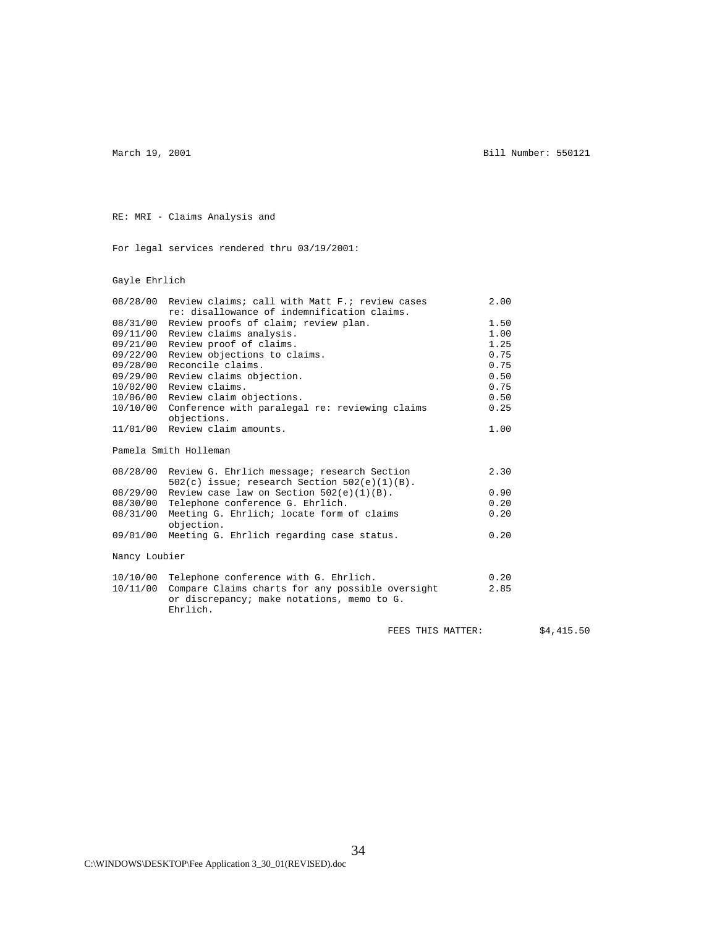March 19, 2001 **Bill Number: 550121** 

RE: MRI - Claims Analysis and

For legal services rendered thru 03/19/2001:

Gayle Ehrlich

|          | 08/28/00 Review claims; call with Matt F.; review cases | 2.00 |
|----------|---------------------------------------------------------|------|
|          | re: disallowance of indemnification claims.             |      |
| 08/31/00 | Review proofs of claim; review plan.                    | 1.50 |
|          | 09/11/00 Review claims analysis.                        | 1.00 |
| 09/21/00 | Review proof of claims.                                 | 1.25 |
| 09/22/00 | Review objections to claims.                            | 0.75 |
|          | 09/28/00 Reconcile claims.                              | 0.75 |
|          | 09/29/00 Review claims objection.                       | 0.50 |
|          | 10/02/00 Review claims.                                 | 0.75 |
|          | 10/06/00 Review claim objections.                       | 0.50 |
|          | 10/10/00 Conference with paralegal re: reviewing claims | 0.25 |
|          | objections.                                             |      |
|          | 11/01/00 Review claim amounts.                          | 1.00 |
|          | Pamela Smith Holleman                                   |      |
|          |                                                         |      |
|          | 0.0100(00, 0.00)                                        | ה כפ |

|               | 08/28/00 Review G. Enriich message; research Section    | 2.30 |
|---------------|---------------------------------------------------------|------|
|               | $502(c)$ issue; research Section $502(e)(1)(B)$ .       |      |
|               | $08/29/00$ Review case law on Section 502(e)(1)(B).     | 0.90 |
| 08/30/00      | Telephone conference G. Ehrlich.                        | 0.20 |
| 08/31/00      | Meeting G. Ehrlich; locate form of claims<br>objection. | 0.20 |
|               | 09/01/00 Meeting G. Ehrlich regarding case status.      | 0.20 |
| Nancy Loubier |                                                         |      |
| 10/10/00      | Telephone conference with G. Ehrlich.                   | 0.20 |

|  | 10/10/00 ICICPHONE CONTECTONCE WITH O. BHITICH.           | <u>v. 20</u> |
|--|-----------------------------------------------------------|--------------|
|  | 10/11/00 Compare Claims charts for any possible oversight | 2.85         |
|  | or discrepancy; make notations, memo to G.<br>Ehrlich.    |              |
|  |                                                           |              |

34

FEES THIS MATTER:  $$4,415.50$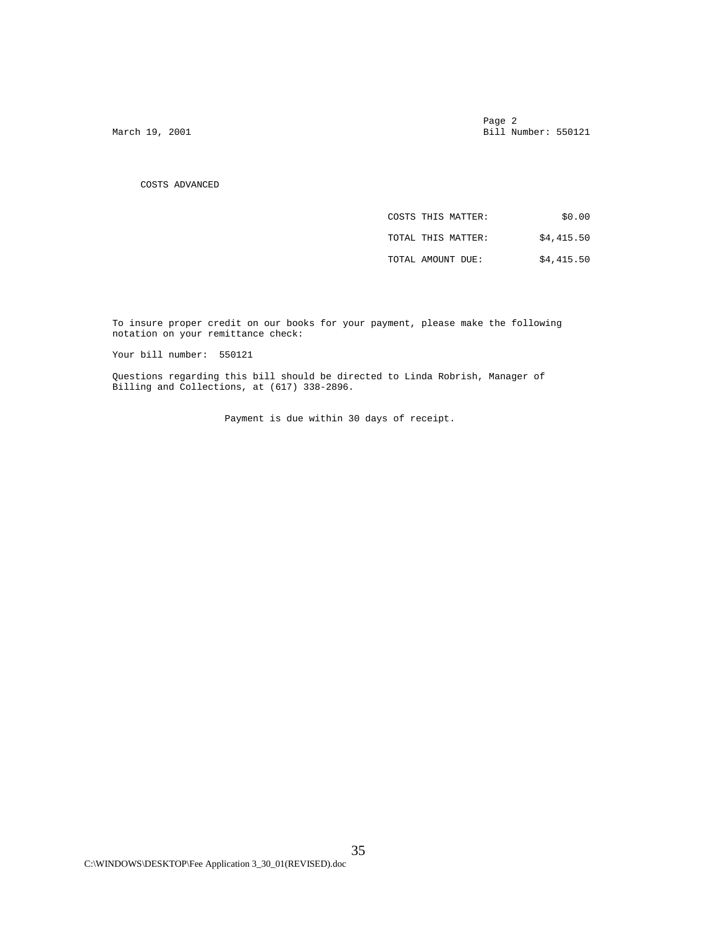Page 2 and 2 and 2 and 2 and 2 and 2 and 2 and 2 and 2 and 2 and 2 and 2 and 2 and 2 and 2 and 2 and 2 and 2 and 2 March 19, 2001 **Bill Number: 550121** 

COSTS ADVANCED

| \$0.00     | COSTS THIS MATTER: |
|------------|--------------------|
| \$4,415.50 | TOTAL THIS MATTER: |
| \$4,415.50 | TOTAL AMOUNT DUE:  |

 To insure proper credit on our books for your payment, please make the following notation on your remittance check:

Your bill number: 550121

 Questions regarding this bill should be directed to Linda Robrish, Manager of Billing and Collections, at (617) 338-2896.

Payment is due within 30 days of receipt.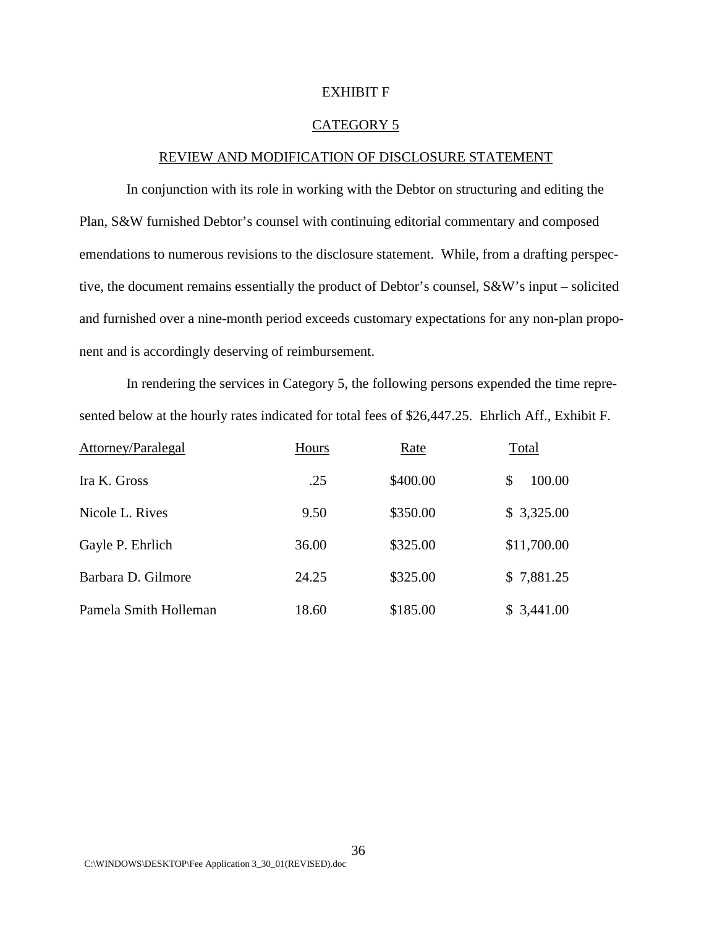#### EXHIBIT F

#### CATEGORY 5

# REVIEW AND MODIFICATION OF DISCLOSURE STATEMENT

In conjunction with its role in working with the Debtor on structuring and editing the Plan, S&W furnished Debtor's counsel with continuing editorial commentary and composed emendations to numerous revisions to the disclosure statement. While, from a drafting perspective, the document remains essentially the product of Debtor's counsel, S&W's input – solicited and furnished over a nine-month period exceeds customary expectations for any non-plan proponent and is accordingly deserving of reimbursement.

In rendering the services in Category 5, the following persons expended the time represented below at the hourly rates indicated for total fees of \$26,447.25. Ehrlich Aff., Exhibit F.

| Attorney/Paralegal    | Hours | Rate     | Total        |
|-----------------------|-------|----------|--------------|
| Ira K. Gross          | .25   | \$400.00 | 100.00<br>\$ |
| Nicole L. Rives       | 9.50  | \$350.00 | \$3,325.00   |
| Gayle P. Ehrlich      | 36.00 | \$325.00 | \$11,700.00  |
| Barbara D. Gilmore    | 24.25 | \$325.00 | \$7,881.25   |
| Pamela Smith Holleman | 18.60 | \$185.00 | \$3,441.00   |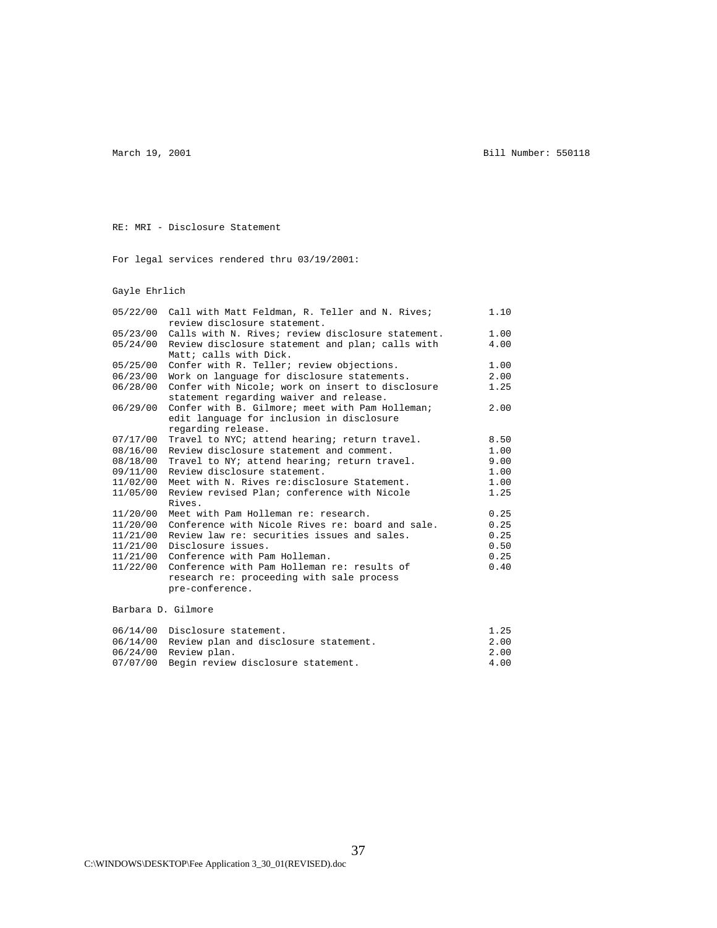March 19, 2001 **Bill Number: 550118** 

RE: MRI - Disclosure Statement

For legal services rendered thru 03/19/2001:

Gayle Ehrlich

| 05/22/00 | Call with Matt Feldman, R. Teller and N. Rives;   | 1.10 |
|----------|---------------------------------------------------|------|
|          | review disclosure statement.                      |      |
| 05/23/00 | Calls with N. Rives; review disclosure statement. | 1.00 |
| 05/24/00 | Review disclosure statement and plan; calls with  | 4.00 |
|          | Matt; calls with Dick.                            |      |
| 05/25/00 | Confer with R. Teller; review objections.         | 1.00 |
| 06/23/00 | Work on language for disclosure statements.       | 2.00 |
| 06/28/00 | Confer with Nicole; work on insert to disclosure  | 1.25 |
|          | statement regarding waiver and release.           |      |
| 06/29/00 | Confer with B. Gilmore; meet with Pam Holleman;   | 2.00 |
|          | edit language for inclusion in disclosure         |      |
|          | regarding release.                                |      |
| 07/17/00 | Travel to NYC; attend hearing; return travel.     | 8.50 |
| 08/16/00 | Review disclosure statement and comment.          | 1.00 |
| 08/18/00 | Travel to NY; attend hearing; return travel.      | 9.00 |
| 09/11/00 | Review disclosure statement.                      | 1.00 |
| 11/02/00 | Meet with N. Rives re:disclosure Statement.       | 1.00 |
| 11/05/00 | Review revised Plan; conference with Nicole       | 1.25 |
|          | Rives.                                            |      |
| 11/20/00 | Meet with Pam Holleman re: research.              | 0.25 |
| 11/20/00 | Conference with Nicole Rives re: board and sale.  | 0.25 |
| 11/21/00 | Review law re: securities issues and sales.       | 0.25 |
| 11/21/00 | Disclosure issues.                                | 0.50 |
| 11/21/00 | Conference with Pam Holleman.                     | 0.25 |
| 11/22/00 | Conference with Pam Holleman re: results of       | 0.40 |
|          | research re: proceeding with sale process         |      |
|          | pre-conference.                                   |      |

| 06/14/00 Disclosure statement.                 | 1.25 |
|------------------------------------------------|------|
| 06/14/00 Review plan and disclosure statement. | 2.00 |
| $06/24/00$ Review plan.                        | 2.00 |
| 07/07/00 Begin review disclosure statement.    | 4.00 |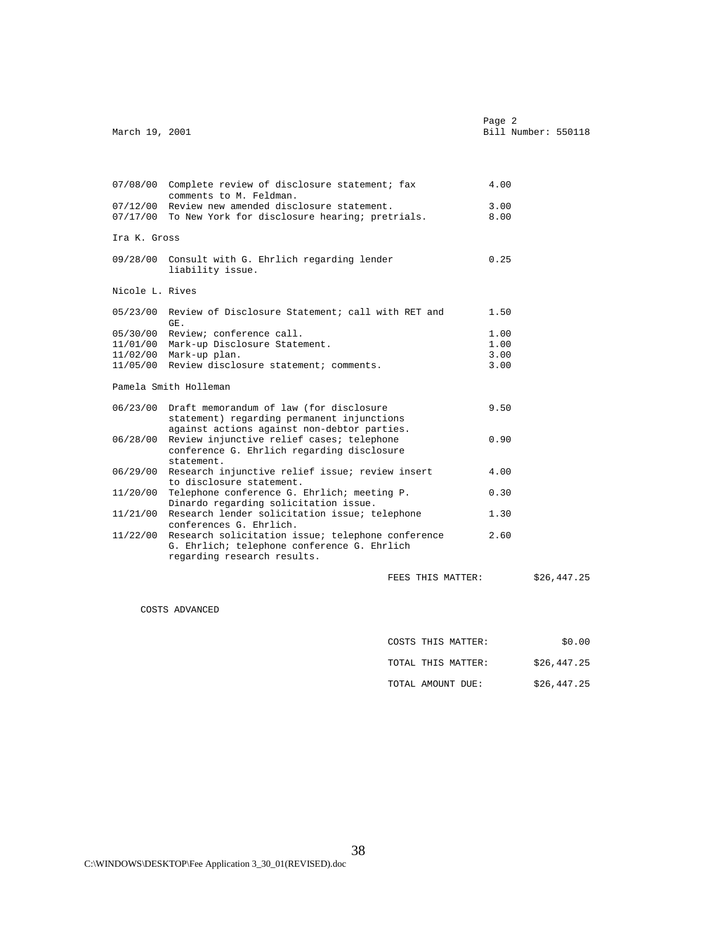|                | Page 2 |                     |  |
|----------------|--------|---------------------|--|
| March 19, 2001 |        | Bill Number: 550118 |  |
|                |        |                     |  |

|                 | 07/08/00 Complete review of disclosure statement; fax<br>comments to M. Feldman. | 4.00 |             |
|-----------------|----------------------------------------------------------------------------------|------|-------------|
|                 | 07/12/00 Review new amended disclosure statement.                                | 3.00 |             |
|                 | 07/17/00 To New York for disclosure hearing; pretrials.                          | 8.00 |             |
| Ira K. Gross    |                                                                                  |      |             |
|                 | 09/28/00 Consult with G. Ehrlich regarding lender<br>liability issue.            | 0.25 |             |
| Nicole L. Rives |                                                                                  |      |             |
|                 | 05/23/00 Review of Disclosure Statement; call with RET and<br>GE.                | 1.50 |             |
|                 | 05/30/00 Review; conference call.                                                | 1.00 |             |
|                 | 11/01/00 Mark-up Disclosure Statement.                                           | 1.00 |             |
|                 | 11/02/00 Mark-up plan.                                                           | 3.00 |             |
|                 | 11/05/00 Review disclosure statement; comments.                                  | 3.00 |             |
|                 | Pamela Smith Holleman                                                            |      |             |
|                 | 06/23/00 Draft memorandum of law (for disclosure                                 | 9.50 |             |
|                 | statement) regarding permanent injunctions                                       |      |             |
|                 | against actions against non-debtor parties.                                      |      |             |
| 06/28/00        | Review injunctive relief cases; telephone                                        | 0.90 |             |
|                 | conference G. Ehrlich regarding disclosure                                       |      |             |
| 06/29/00        | statement.<br>Research injunctive relief issue; review insert                    | 4.00 |             |
|                 | to disclosure statement.                                                         |      |             |
| 11/20/00        | Telephone conference G. Ehrlich; meeting P.                                      | 0.30 |             |
|                 | Dinardo regarding solicitation issue.                                            |      |             |
| 11/21/00        | Research lender solicitation issue; telephone                                    | 1.30 |             |
|                 | conferences G. Ehrlich.                                                          |      |             |
|                 | 11/22/00 Research solicitation issue; telephone conference                       | 2.60 |             |
|                 | G. Ehrlich; telephone conference G. Ehrlich                                      |      |             |
|                 | regarding research results.                                                      |      |             |
|                 |                                                                                  |      | \$26,447.25 |
|                 | FEES THIS MATTER:                                                                |      |             |

COSTS ADVANCED

| THIS MATTER:<br>COSTS<br>______<br>____ | $\sim$<br>. 00<br>ن ۱. |
|-----------------------------------------|------------------------|
|-----------------------------------------|------------------------|

|       |             | つに                             |
|-------|-------------|--------------------------------|
| TOTAL | THIS MATTER | \$26<br>44<br>ر ہے .<br>$\sim$ |

TOTAL AMOUNT DUE:  $$26,447.25$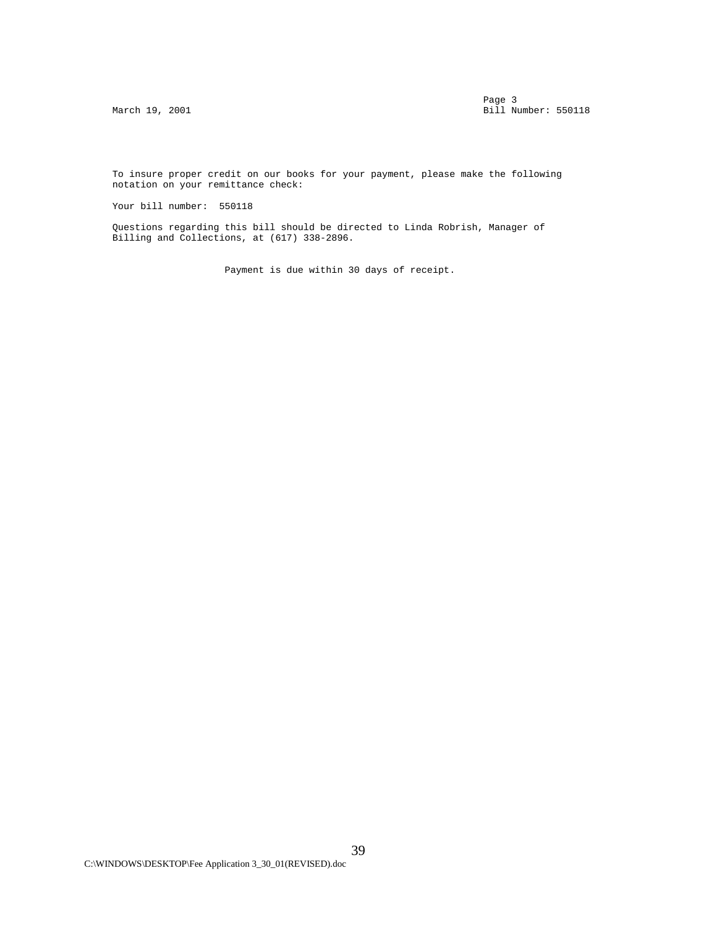Page 3 and 2012 to 2012 the set of the set of the set of the set of the set of the set of the set of the set of the set of the set of the set of the set of the set of the set of the set of the set of the set of the set of March 19, 2001 **Bill Number: 550118** 

 To insure proper credit on our books for your payment, please make the following notation on your remittance check:

Your bill number: 550118

 Questions regarding this bill should be directed to Linda Robrish, Manager of Billing and Collections, at (617) 338-2896.

Payment is due within 30 days of receipt.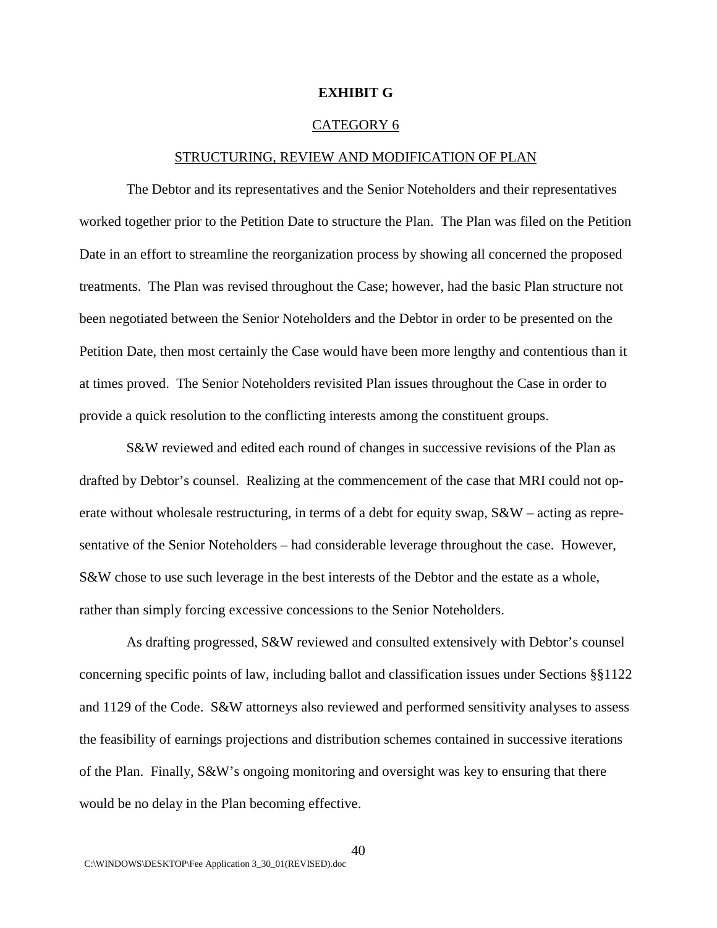#### **EXHIBIT G**

#### CATEGORY 6

#### STRUCTURING, REVIEW AND MODIFICATION OF PLAN

The Debtor and its representatives and the Senior Noteholders and their representatives worked together prior to the Petition Date to structure the Plan. The Plan was filed on the Petition Date in an effort to streamline the reorganization process by showing all concerned the proposed treatments. The Plan was revised throughout the Case; however, had the basic Plan structure not been negotiated between the Senior Noteholders and the Debtor in order to be presented on the Petition Date, then most certainly the Case would have been more lengthy and contentious than it at times proved. The Senior Noteholders revisited Plan issues throughout the Case in order to provide a quick resolution to the conflicting interests among the constituent groups.

S&W reviewed and edited each round of changes in successive revisions of the Plan as drafted by Debtor's counsel. Realizing at the commencement of the case that MRI could not operate without wholesale restructuring, in terms of a debt for equity swap,  $S\&W$  – acting as representative of the Senior Noteholders – had considerable leverage throughout the case. However, S&W chose to use such leverage in the best interests of the Debtor and the estate as a whole, rather than simply forcing excessive concessions to the Senior Noteholders.

As drafting progressed, S&W reviewed and consulted extensively with Debtor's counsel concerning specific points of law, including ballot and classification issues under Sections §§1122 and 1129 of the Code. S&W attorneys also reviewed and performed sensitivity analyses to assess the feasibility of earnings projections and distribution schemes contained in successive iterations of the Plan. Finally, S&W's ongoing monitoring and oversight was key to ensuring that there would be no delay in the Plan becoming effective.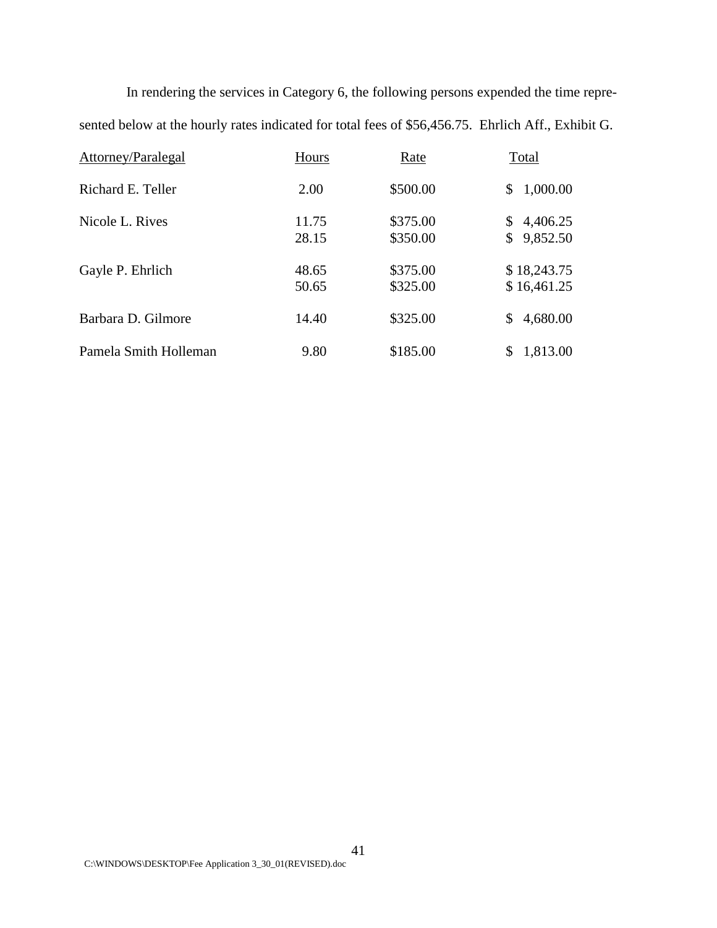In rendering the services in Category 6, the following persons expended the time represented below at the hourly rates indicated for total fees of \$56,456.75. Ehrlich Aff., Exhibit G.

| Attorney/Paralegal    | Hours          | Rate                 | Total                      |
|-----------------------|----------------|----------------------|----------------------------|
| Richard E. Teller     | 2.00           | \$500.00             | 1,000.00<br>\$             |
| Nicole L. Rives       | 11.75<br>28.15 | \$375.00<br>\$350.00 | 4,406.25<br>9,852.50       |
| Gayle P. Ehrlich      | 48.65<br>50.65 | \$375.00<br>\$325.00 | \$18,243.75<br>\$16,461.25 |
| Barbara D. Gilmore    | 14.40          | \$325.00             | 4,680.00                   |
| Pamela Smith Holleman | 9.80           | \$185.00             | 1,813.00                   |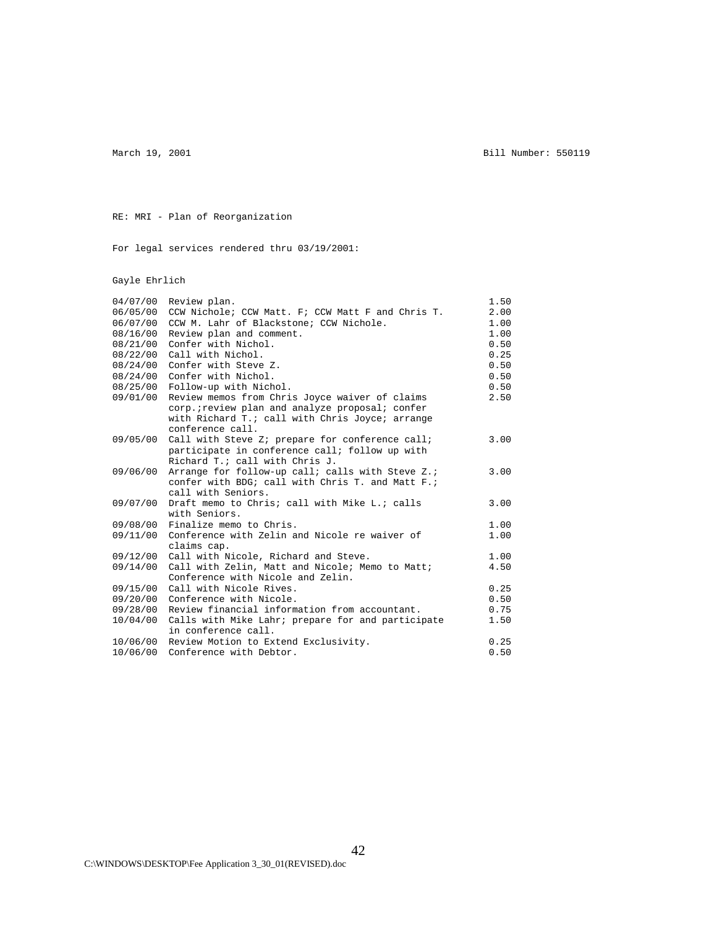March 19, 2001 **Bill Number: 550119** 

RE: MRI - Plan of Reorganization

For legal services rendered thru 03/19/2001:

Gayle Ehrlich

| 04/07/00 | Review plan.                                      | 1.50 |
|----------|---------------------------------------------------|------|
| 06/05/00 | CCW Nichole; CCW Matt. F; CCW Matt F and Chris T. | 2.00 |
| 06/07/00 | CCW M. Lahr of Blackstone; CCW Nichole.           | 1.00 |
| 08/16/00 | Review plan and comment.                          | 1.00 |
| 08/21/00 | Confer with Nichol.                               | 0.50 |
| 08/22/00 | Call with Nichol.                                 | 0.25 |
| 08/24/00 | Confer with Steve Z.                              | 0.50 |
| 08/24/00 | Confer with Nichol.                               | 0.50 |
| 08/25/00 | Follow-up with Nichol.                            | 0.50 |
| 09/01/00 | Review memos from Chris Joyce waiver of claims    | 2.50 |
|          | corp. : review plan and analyze proposal; confer  |      |
|          | with Richard T.; call with Chris Joyce; arrange   |      |
|          | conference call.                                  |      |
| 09/05/00 | Call with Steve Z; prepare for conference call;   | 3.00 |
|          | participate in conference call; follow up with    |      |
|          | Richard T.; call with Chris J.                    |      |
| 09/06/00 | Arrange for follow-up call; calls with Steve Z.;  | 3.00 |
|          | confer with BDG; call with Chris T. and Matt F.;  |      |
|          | call with Seniors.                                |      |
| 09/07/00 | Draft memo to Chris; call with Mike L.; calls     | 3.00 |
|          | with Seniors.                                     |      |
| 09/08/00 | Finalize memo to Chris.                           | 1.00 |
| 09/11/00 | Conference with Zelin and Nicole re waiver of     | 1.00 |
|          | claims cap.                                       |      |
| 09/12/00 | Call with Nicole, Richard and Steve.              | 1.00 |
| 09/14/00 | Call with Zelin, Matt and Nicole; Memo to Matt;   | 4.50 |
|          | Conference with Nicole and Zelin.                 |      |
| 09/15/00 | Call with Nicole Rives.                           | 0.25 |
| 09/20/00 | Conference with Nicole.                           | 0.50 |
| 09/28/00 | Review financial information from accountant.     | 0.75 |
| 10/04/00 | Calls with Mike Lahr; prepare for and participate | 1.50 |
|          | in conference call.                               |      |
| 10/06/00 | Review Motion to Extend Exclusivity.              | 0.25 |
| 10/06/00 | Conference with Debtor.                           | 0.50 |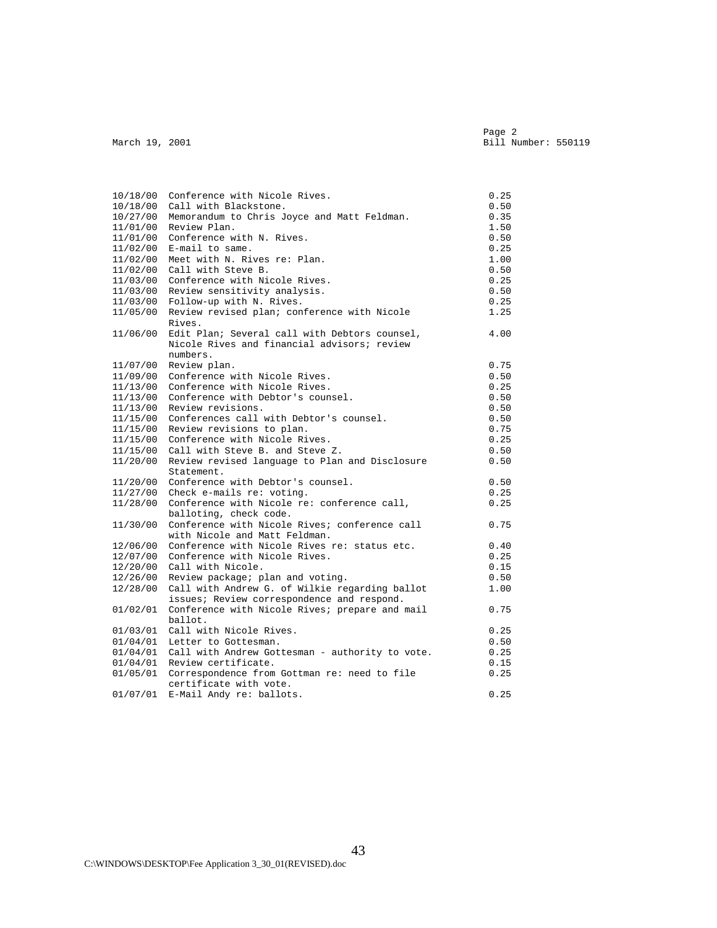Page 2 and 2 and 2 and 2 and 2 and 2 and 2 and 2 and 2 and 2 and 2 and 2 and 2 and 2 and 2 and 2 and 2 and 2 and 2 Page 2<br>March 19, 2001 Bill Number: 550119

| 10/18/00 | Conference with Nicole Rives.                   | 0.25 |
|----------|-------------------------------------------------|------|
| 10/18/00 | Call with Blackstone.                           | 0.50 |
| 10/27/00 | Memorandum to Chris Joyce and Matt Feldman.     | 0.35 |
| 11/01/00 | Review Plan.                                    | 1.50 |
| 11/01/00 | Conference with N. Rives.                       | 0.50 |
| 11/02/00 | E-mail to same.                                 | 0.25 |
| 11/02/00 | Meet with N. Rives re: Plan.                    | 1.00 |
| 11/02/00 | Call with Steve B.                              | 0.50 |
| 11/03/00 | Conference with Nicole Rives.                   | 0.25 |
| 11/03/00 | Review sensitivity analysis.                    | 0.50 |
| 11/03/00 | Follow-up with N. Rives.                        | 0.25 |
| 11/05/00 | Review revised plan; conference with Nicole     | 1.25 |
|          | Rives.                                          |      |
| 11/06/00 | Edit Plan; Several call with Debtors counsel,   | 4.00 |
|          | Nicole Rives and financial advisors; review     |      |
|          | numbers.                                        |      |
| 11/07/00 | Review plan.                                    | 0.75 |
| 11/09/00 | Conference with Nicole Rives.                   | 0.50 |
| 11/13/00 | Conference with Nicole Rives.                   | 0.25 |
| 11/13/00 | Conference with Debtor's counsel.               | 0.50 |
| 11/13/00 | Review revisions.                               | 0.50 |
| 11/15/00 | Conferences call with Debtor's counsel.         | 0.50 |
| 11/15/00 | Review revisions to plan.                       | 0.75 |
| 11/15/00 | Conference with Nicole Rives.                   | 0.25 |
| 11/15/00 | Call with Steve B. and Steve Z.                 | 0.50 |
| 11/20/00 | Review revised language to Plan and Disclosure  | 0.50 |
|          | Statement.                                      |      |
| 11/20/00 | Conference with Debtor's counsel.               | 0.50 |
| 11/27/00 | Check e-mails re: voting.                       | 0.25 |
| 11/28/00 | Conference with Nicole re: conference call,     | 0.25 |
|          | balloting, check code.                          |      |
| 11/30/00 | Conference with Nicole Rives; conference call   | 0.75 |
|          | with Nicole and Matt Feldman.                   |      |
| 12/06/00 | Conference with Nicole Rives re: status etc.    | 0.40 |
| 12/07/00 | Conference with Nicole Rives.                   | 0.25 |
| 12/20/00 | Call with Nicole.                               | 0.15 |
| 12/26/00 | Review package; plan and voting.                | 0.50 |
| 12/28/00 | Call with Andrew G. of Wilkie regarding ballot  | 1.00 |
|          | issues; Review correspondence and respond.      |      |
| 01/02/01 | Conference with Nicole Rives; prepare and mail  | 0.75 |
|          | ballot.                                         |      |
| 01/03/01 | Call with Nicole Rives.                         | 0.25 |
| 01/04/01 | Letter to Gottesman.                            | 0.50 |
| 01/04/01 | Call with Andrew Gottesman - authority to vote. | 0.25 |
| 01/04/01 | Review certificate.                             | 0.15 |
| 01/05/01 | Correspondence from Gottman re: need to file    | 0.25 |
|          | certificate with vote.                          |      |
| 01/07/01 | E-Mail Andy re: ballots.                        | 0.25 |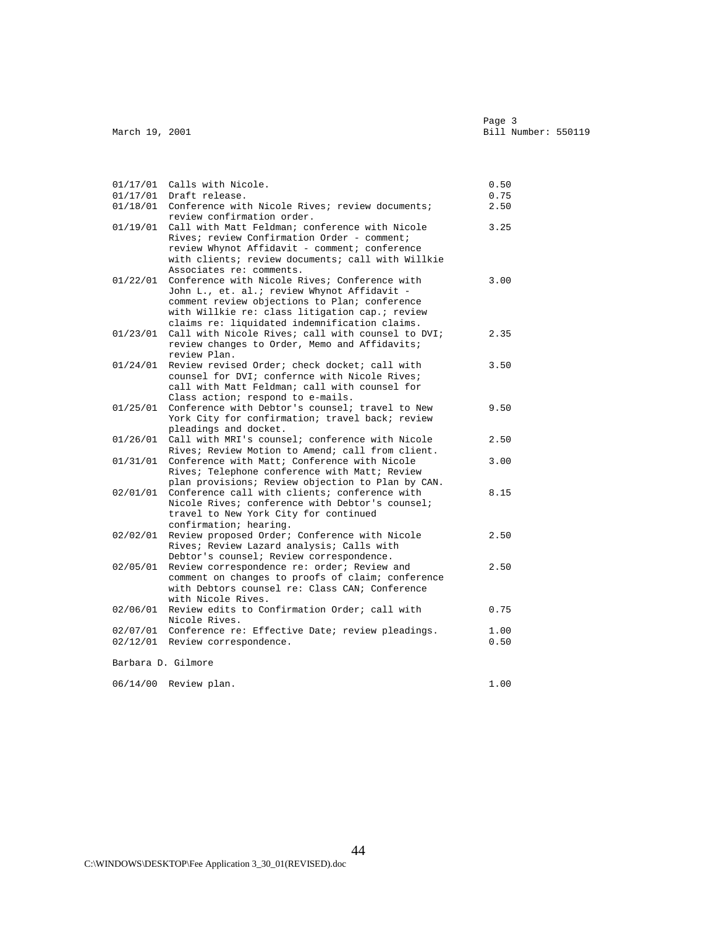|                    | 01/17/01 Calls with Nicole.<br>01/17/01 Draft release.                                                                                                                                                                                                        | 0.50<br>0.75 |
|--------------------|---------------------------------------------------------------------------------------------------------------------------------------------------------------------------------------------------------------------------------------------------------------|--------------|
|                    | 01/18/01 Conference with Nicole Rives; review documents;                                                                                                                                                                                                      | 2.50         |
| 01/19/01           | review confirmation order.<br>Call with Matt Feldman; conference with Nicole<br>Rives; review Confirmation Order - comment;<br>review Whynot Affidavit - comment; conference<br>with clients; review documents; call with Willkie<br>Associates re: comments. | 3.25         |
| 01/22/01           | Conference with Nicole Rives; Conference with<br>John L., et. al.; review Whynot Affidavit -<br>comment review objections to Plan; conference<br>with Willkie re: class litigation cap.; review<br>claims re: liquidated indemnification claims.              | 3.00         |
| 01/23/01           | Call with Nicole Rives; call with counsel to DVI;<br>review changes to Order, Memo and Affidavits;<br>review Plan.                                                                                                                                            | 2.35         |
| 01/24/01           | Review revised Order; check docket; call with<br>counsel for DVI; confernce with Nicole Rives;<br>call with Matt Feldman; call with counsel for<br>Class action; respond to e-mails.                                                                          | 3.50         |
| 01/25/01           | Conference with Debtor's counsel; travel to New<br>York City for confirmation; travel back; review<br>pleadings and docket.                                                                                                                                   | 9.50         |
| 01/26/01           | Call with MRI's counsel; conference with Nicole<br>Rives; Review Motion to Amend; call from client.                                                                                                                                                           | 2.50         |
| 01/31/01           | Conference with Matt; Conference with Nicole<br>Rives; Telephone conference with Matt; Review<br>plan provisions; Review objection to Plan by CAN.                                                                                                            | 3.00         |
| 02/01/01           | Conference call with clients; conference with<br>Nicole Rives; conference with Debtor's counsel;<br>travel to New York City for continued<br>confirmation; hearing.                                                                                           | 8.15         |
| 02/02/01           | Review proposed Order; Conference with Nicole<br>Rives; Review Lazard analysis; Calls with<br>Debtor's counsel; Review correspondence.                                                                                                                        | 2.50         |
| 02/05/01           | Review correspondence re: order; Review and<br>comment on changes to proofs of claim; conference<br>with Debtors counsel re: Class CAN; Conference<br>with Nicole Rives.                                                                                      | 2.50         |
| 02/06/01           | Review edits to Confirmation Order; call with<br>Nicole Rives.                                                                                                                                                                                                | 0.75         |
| 02/07/01           | Conference re: Effective Date; review pleadings.                                                                                                                                                                                                              | 1.00         |
|                    | 02/12/01 Review correspondence.                                                                                                                                                                                                                               | 0.50         |
| Barbara D. Gilmore |                                                                                                                                                                                                                                                               |              |
|                    | 06/14/00 Review plan.                                                                                                                                                                                                                                         | 1.00         |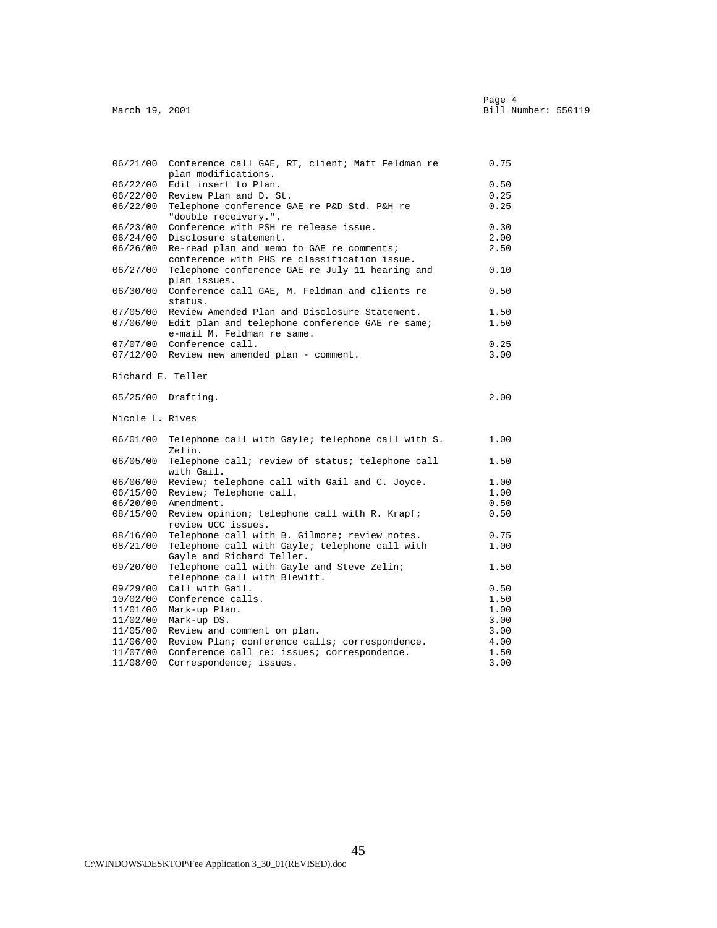| 06/21/00          | Conference call GAE, RT, client; Matt Feldman re<br>plan modifications. | 0.75 |
|-------------------|-------------------------------------------------------------------------|------|
| 06/22/00          | Edit insert to Plan.                                                    | 0.50 |
| 06/22/00          | Review Plan and D. St.                                                  | 0.25 |
| 06/22/00          | Telephone conference GAE re P&D Std. P&H re<br>"double receivery.".     | 0.25 |
| 06/23/00          | Conference with PSH re release issue.                                   | 0.30 |
| 06/24/00          | Disclosure statement.                                                   | 2.00 |
| 06/26/00          | Re-read plan and memo to GAE re comments;                               | 2.50 |
|                   | conference with PHS re classification issue.                            |      |
| 06/27/00          | Telephone conference GAE re July 11 hearing and<br>plan issues.         | 0.10 |
| 06/30/00          | Conference call GAE, M. Feldman and clients re<br>status.               | 0.50 |
| 07/05/00          | Review Amended Plan and Disclosure Statement.                           | 1.50 |
| 07/06/00          | Edit plan and telephone conference GAE re same;                         | 1.50 |
|                   | e-mail M. Feldman re same.                                              |      |
| 07/07/00          | Conference call.                                                        | 0.25 |
|                   | 07/12/00 Review new amended plan - comment.                             | 3.00 |
|                   |                                                                         |      |
| Richard E. Teller |                                                                         |      |
|                   | 05/25/00 Drafting.                                                      | 2.00 |
| Nicole L. Rives   |                                                                         |      |
| 06/01/00          | Telephone call with Gayle; telephone call with S.<br>Zelin.             | 1.00 |
| 06/05/00          | Telephone call; review of status; telephone call<br>with Gail.          | 1.50 |
| 06/06/00          | Review; telephone call with Gail and C. Joyce.                          | 1.00 |
| 06/15/00          | Review; Telephone call.                                                 | 1.00 |
| 06/20/00          | Amendment.                                                              | 0.50 |
| 08/15/00          | Review opinion; telephone call with R. Krapf;                           | 0.50 |
|                   | review UCC issues.                                                      |      |
| 08/16/00          | Telephone call with B. Gilmore; review notes.                           | 0.75 |
| 08/21/00          | Telephone call with Gayle; telephone call with                          | 1.00 |
|                   | Gayle and Richard Teller.                                               |      |
| 09/20/00          | Telephone call with Gayle and Steve Zelin;                              | 1.50 |
|                   | telephone call with Blewitt.                                            |      |
| 09/29/00          | Call with Gail.                                                         | 0.50 |
| 10/02/00          | Conference calls.                                                       | 1.50 |
| 11/01/00          | Mark-up Plan.                                                           | 1.00 |
| 11/02/00          | Mark-up DS.                                                             | 3.00 |
| 11/05/00          | Review and comment on plan.                                             | 3.00 |
| 11/06/00          | Review Plan; conference calls; correspondence.                          | 4.00 |
| 11/07/00          | Conference call re: issues; correspondence.                             | 1.50 |
| 11/08/00          | Correspondence; issues.                                                 | 3.00 |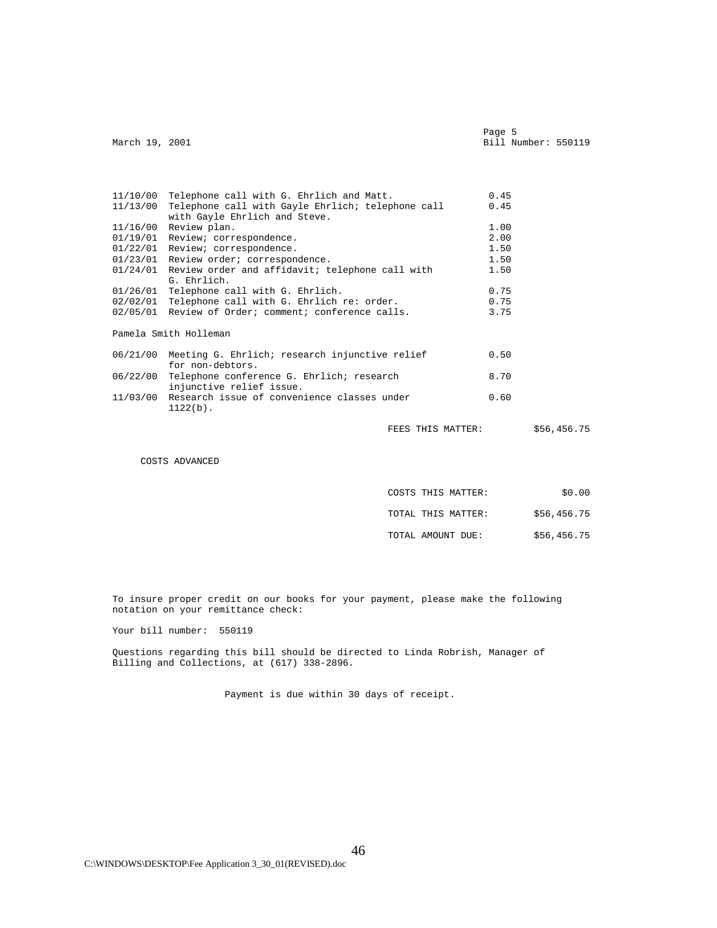Page 5 and the state of the state of the state of the state of the state of the state of the state of the state of the state of the state of the state of the state of the state of the state of the state of the state of the Page 5<br>March 19, 2001 Bill Number: 550119

|          | 11/10/00 Telephone call with G. Ehrlich and Matt.                           | 0.45 |             |
|----------|-----------------------------------------------------------------------------|------|-------------|
|          | 11/13/00 Telephone call with Gayle Ehrlich; telephone call                  | 0.45 |             |
|          | with Gayle Ehrlich and Steve.                                               |      |             |
|          | $11/16/00$ Review plan.                                                     | 1.00 |             |
|          | 01/19/01 Review; correspondence.                                            | 2.00 |             |
|          | 01/22/01 Review; correspondence.                                            | 1.50 |             |
|          | 01/23/01 Review order; correspondence.                                      | 1.50 |             |
|          | $01/24/01$ Review order and affidavit; telephone call with                  | 1.50 |             |
|          | G. Ehrlich.                                                                 |      |             |
|          | 01/26/01 Telephone call with G. Ehrlich.                                    | 0.75 |             |
|          | 02/02/01 Telephone call with G. Ehrlich re: order.                          | 0.75 |             |
|          | 02/05/01 Review of Order; comment; conference calls.                        | 3.75 |             |
|          | Pamela Smith Holleman                                                       |      |             |
|          | 06/21/00 Meeting G. Ehrlich; research injunctive relief<br>for non-debtors. | 0.50 |             |
| 06/22/00 | Telephone conference G. Ehrlich; research                                   | 8.70 |             |
|          | injunctive relief issue.                                                    |      |             |
|          | 11/03/00 Research issue of convenience classes under<br>$1122(b)$ .         | 0.60 |             |
|          | FEES THIS MATTER:                                                           |      | \$56,456.75 |
|          |                                                                             |      |             |

COSTS ADVANCED

| COSTS THIS MATTER: | \$0.00      |
|--------------------|-------------|
| TOTAL THIS MATTER: | \$56,456.75 |
| TOTAL AMOUNT DUE:  | \$56,456.75 |

 To insure proper credit on our books for your payment, please make the following notation on your remittance check:

Your bill number: 550119

 Questions regarding this bill should be directed to Linda Robrish, Manager of Billing and Collections, at (617) 338-2896.

Payment is due within 30 days of receipt.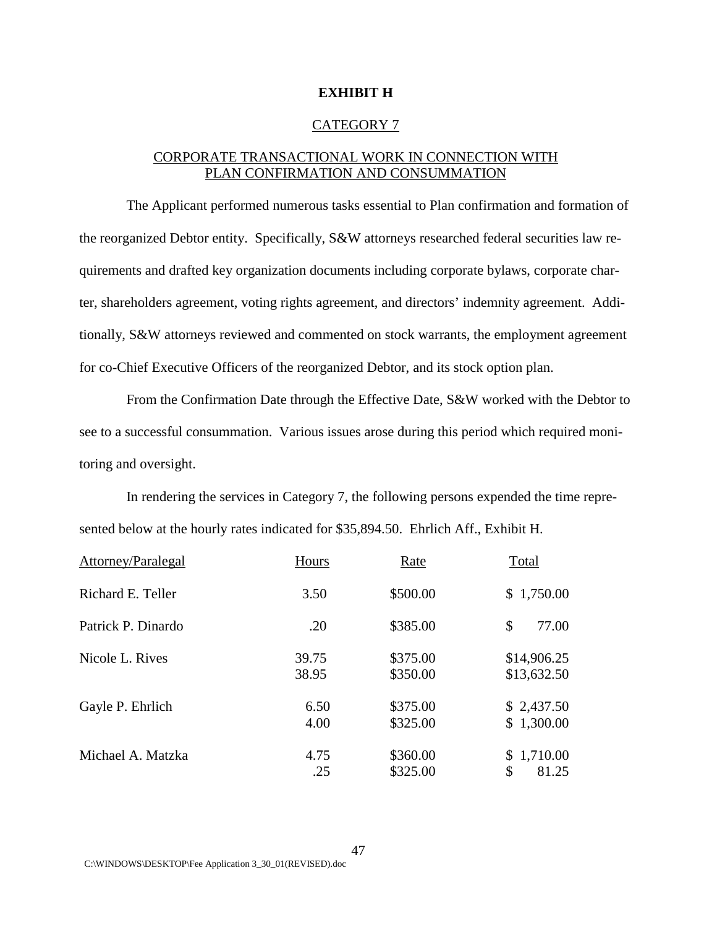# **EXHIBIT H**

#### CATEGORY 7

# CORPORATE TRANSACTIONAL WORK IN CONNECTION WITH PLAN CONFIRMATION AND CONSUMMATION

The Applicant performed numerous tasks essential to Plan confirmation and formation of the reorganized Debtor entity. Specifically, S&W attorneys researched federal securities law requirements and drafted key organization documents including corporate bylaws, corporate charter, shareholders agreement, voting rights agreement, and directors' indemnity agreement. Additionally, S&W attorneys reviewed and commented on stock warrants, the employment agreement for co-Chief Executive Officers of the reorganized Debtor, and its stock option plan.

From the Confirmation Date through the Effective Date, S&W worked with the Debtor to see to a successful consummation. Various issues arose during this period which required monitoring and oversight.

In rendering the services in Category 7, the following persons expended the time represented below at the hourly rates indicated for \$35,894.50. Ehrlich Aff., Exhibit H.

| Attorney/Paralegal | Hours          | Rate                 | Total                      |
|--------------------|----------------|----------------------|----------------------------|
| Richard E. Teller  | 3.50           | \$500.00             | \$1,750.00                 |
| Patrick P. Dinardo | .20            | \$385.00             | \$<br>77.00                |
| Nicole L. Rives    | 39.75<br>38.95 | \$375.00<br>\$350.00 | \$14,906.25<br>\$13,632.50 |
| Gayle P. Ehrlich   | 6.50<br>4.00   | \$375.00<br>\$325.00 | \$2,437.50<br>\$1,300.00   |
| Michael A. Matzka  | 4.75<br>.25    | \$360.00<br>\$325.00 | \$1,710.00<br>\$<br>81.25  |

C:\WINDOWS\DESKTOP\Fee Application 3\_30\_01(REVISED).doc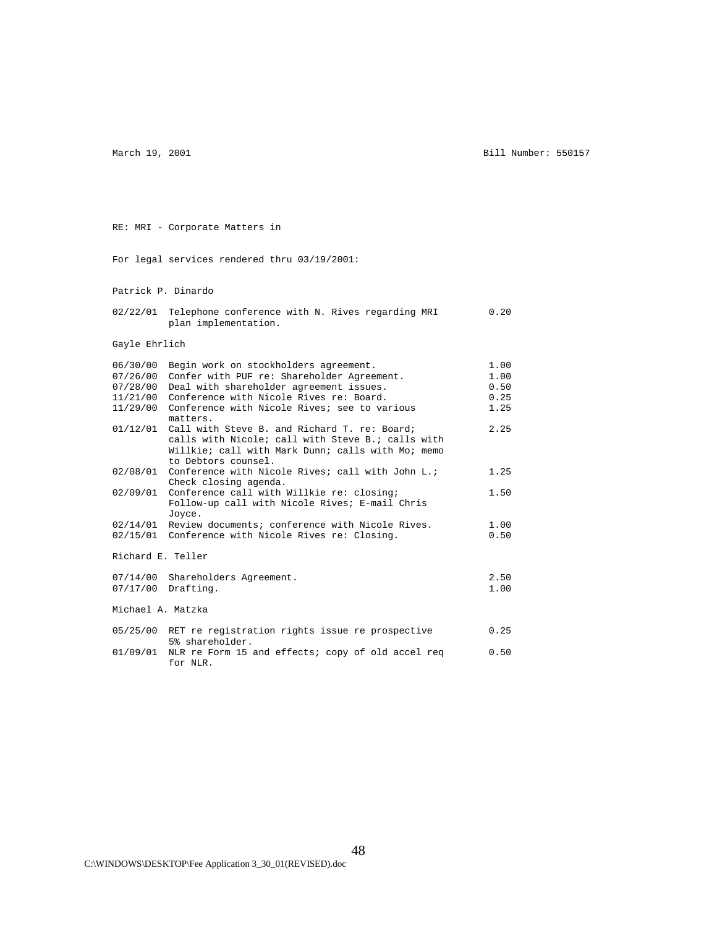RE: MRI - Corporate Matters in

March 19, 2001 **Bill Number: 550157** 

 For legal services rendered thru 03/19/2001: Patrick P. Dinardo 02/22/01 Telephone conference with N. Rives regarding MRI 0.20 plan implementation. Gayle Ehrlich 06/30/00 Begin work on stockholders agreement. 1.00 07/26/00 Confer with PUF re: Shareholder Agreement. 1.00<br>07/28/00 Deal with shareholder agreement issues. 0.50 07/28/00 Deal with shareholder agreement issues. 0.50<br>11/21/00 Conference with Nicole Rives re: Board. 0.25 11/21/00 Conference with Nicole Rives re: Board. 0.25<br>11/29/00 Conference with Nicole Rives; see to various 1.25  $11/29/00$  Conference with Nicole Rives; see to various matters. 01/12/01 Call with Steve B. and Richard T. re: Board; 2.25 calls with Nicole; call with Steve B.; calls with Willkie; call with Mark Dunn; calls with Mo; memo to Debtors counsel. 02/08/01 Conference with Nicole Rives; call with John L.;  $1.25$  Check closing agenda. 02/09/01 Conference call with Willkie re: closing; 1.50 Follow-up call with Nicole Rives; E-mail Chris Joyce. 02/14/01 Review documents; conference with Nicole Rives. 1.00<br>02/15/01 Conference with Nicole Rives re: Closing. 0.50 02/15/01 Conference with Nicole Rives re: Closing. Richard E. Teller 07/14/00 Shareholders Agreement. 2.50<br>07/17/00 Drafting. 1.00  $07/17/00$  Drafting. Michael A. Matzka 05/25/00 RET re registration rights issue re prospective 0.25 5% shareholder. 01/09/01 NLR re Form 15 and effects; copy of old accel req 0.50 for NLR.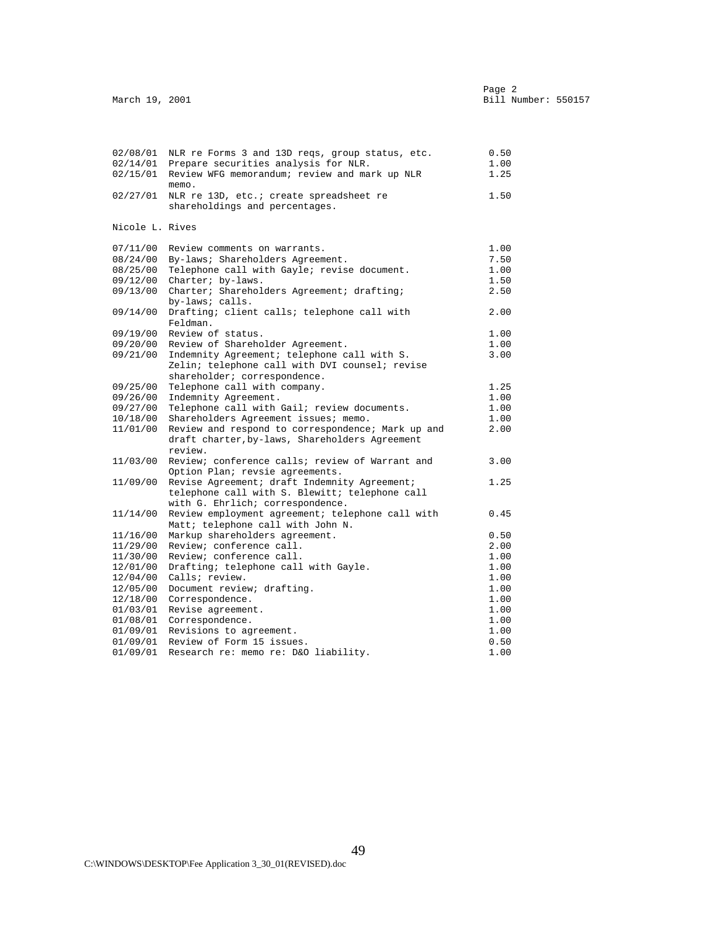| 02/08/01        | NLR re Forms 3 and 13D reqs, group status, etc.               | 0.50 |
|-----------------|---------------------------------------------------------------|------|
| 02/14/01        | Prepare securities analysis for NLR.                          | 1.00 |
| 02/15/01        | Review WFG memorandum; review and mark up NLR<br>memo.        | 1.25 |
| 02/27/01        | NLR re 13D, etc.; create spreadsheet re                       | 1.50 |
|                 | shareholdings and percentages.                                |      |
| Nicole L. Rives |                                                               |      |
| 07/11/00        | Review comments on warrants.                                  | 1.00 |
| 08/24/00        | By-laws; Shareholders Agreement.                              | 7.50 |
| 08/25/00        | Telephone call with Gayle; revise document.                   | 1.00 |
| 09/12/00        | Charter; by-laws.                                             | 1.50 |
| 09/13/00        | Charter; Shareholders Agreement; drafting;<br>by-laws; calls. | 2.50 |
| 09/14/00        | Drafting; client calls; telephone call with<br>Feldman.       | 2.00 |
| 09/19/00        | Review of status.                                             | 1.00 |
| 09/20/00        | Review of Shareholder Agreement.                              | 1.00 |
| 09/21/00        | Indemnity Agreement; telephone call with S.                   | 3.00 |
|                 | Zelin; telephone call with DVI counsel; revise                |      |
|                 | shareholder; correspondence.                                  |      |
| 09/25/00        | Telephone call with company.                                  | 1.25 |
| 09/26/00        | Indemnity Agreement.                                          | 1.00 |
| 09/27/00        | Telephone call with Gail; review documents.                   | 1.00 |
| 10/18/00        | Shareholders Agreement issues; memo.                          | 1.00 |
| 11/01/00        | Review and respond to correspondence; Mark up and             | 2.00 |
|                 | draft charter, by-laws, Shareholders Agreement<br>review.     |      |
| 11/03/00        | Review; conference calls; review of Warrant and               | 3.00 |
|                 | Option Plan; revsie agreements.                               |      |
| 11/09/00        | Revise Agreement; draft Indemnity Agreement;                  | 1.25 |
|                 | telephone call with S. Blewitt; telephone call                |      |
|                 | with G. Ehrlich; correspondence.                              |      |
| 11/14/00        | Review employment agreement; telephone call with              | 0.45 |
|                 | Matt; telephone call with John N.                             |      |
| 11/16/00        | Markup shareholders agreement.                                | 0.50 |
| 11/29/00        | Review; conference call.                                      | 2.00 |
| 11/30/00        | Review; conference call.                                      | 1.00 |
| 12/01/00        | Drafting; telephone call with Gayle.                          | 1.00 |
| 12/04/00        | Calls; review.                                                | 1.00 |
| 12/05/00        | Document review; drafting.                                    | 1.00 |
| 12/18/00        | Correspondence.                                               | 1.00 |
| 01/03/01        | Revise agreement.                                             | 1.00 |
|                 | 01/08/01 Correspondence.                                      | 1.00 |
| 01/09/01        | Revisions to agreement.                                       | 1.00 |
| 01/09/01        | Review of Form 15 issues.                                     | 0.50 |
| 01/09/01        | Research re: memo re: D&O liability.                          | 1.00 |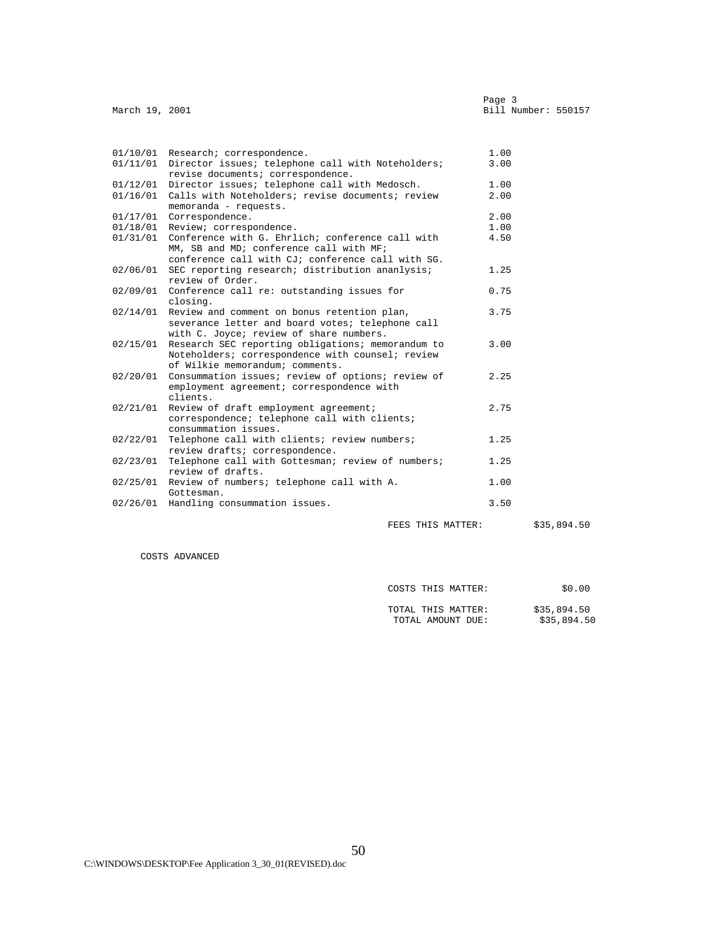| March 19, 2001 |                                                                                                                                                  | Page 3<br>Bill Number: 550157 |
|----------------|--------------------------------------------------------------------------------------------------------------------------------------------------|-------------------------------|
|                |                                                                                                                                                  |                               |
|                | 01/10/01 Research; correspondence.                                                                                                               | 1.00                          |
|                | 01/11/01 Director issues; telephone call with Noteholders;<br>revise documents; correspondence.                                                  | 3.00                          |
|                | 01/12/01 Director issues; telephone call with Medosch.                                                                                           | 1.00                          |
| 01/16/01       | Calls with Noteholders; revise documents; review<br>memoranda - requests.                                                                        | 2.00                          |
|                | 01/17/01 Correspondence.                                                                                                                         | 2.00                          |
| 01/18/01       | Review; correspondence.                                                                                                                          | 1.00                          |
| 01/31/01       | Conference with G. Ehrlich; conference call with<br>MM, SB and MD; conference call with MF;<br>conference call with CJ; conference call with SG. | 4.50                          |
| 02/06/01       | SEC reporting research; distribution ananlysis;<br>review of Order.                                                                              | 1.25                          |
|                | 02/09/01 Conference call re: outstanding issues for<br>closing.                                                                                  | 0.75                          |
| 02/14/01       | Review and comment on bonus retention plan,<br>severance letter and board votes; telephone call<br>with C. Joyce; review of share numbers.       | 3.75                          |
| 02/15/01       | Research SEC reporting obligations; memorandum to<br>Noteholders; correspondence with counsel; review<br>of Wilkie memorandum; comments.         | 3.00                          |
| 02/20/01       | Consummation issues; review of options; review of<br>employment agreement; correspondence with<br>clients.                                       | 2.25                          |
|                | 02/21/01 Review of draft employment agreement;<br>correspondence; telephone call with clients;<br>consummation issues.                           | 2.75                          |
| 02/22/01       | Telephone call with clients; review numbers;<br>restaurantes componendongo                                                                       | 1.25                          |

| review drafts; correspondence.                             |      |
|------------------------------------------------------------|------|
| 02/23/01 Telephone call with Gottesman; review of numbers; | 1.25 |
| review of drafts.                                          |      |
| 02/25/01 Review of numbers; telephone call with A.         | 1.00 |
| Gottesman.                                                 |      |
| 02/26/01 Handling consummation issues.                     | 3.50 |
|                                                            |      |

FEES THIS MATTER: \$35,894.50

COSTS ADVANCED

| COSTS THIS MATTER.<br>---- | .00<br>эu |
|----------------------------|-----------|

| TOTAL THIS MATTER: | \$35,894.50 |
|--------------------|-------------|
| TOTAL AMOUNT DUE:  | \$35,894.50 |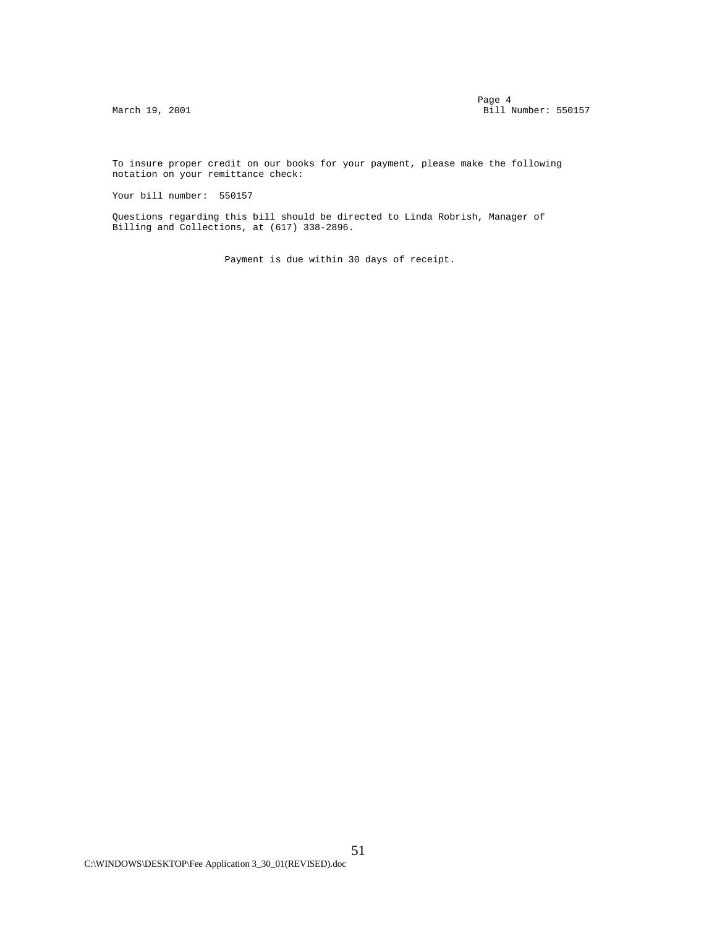To insure proper credit on our books for your payment, please make the following notation on your remittance check:

Your bill number: 550157

 Questions regarding this bill should be directed to Linda Robrish, Manager of Billing and Collections, at (617) 338-2896.

Payment is due within 30 days of receipt.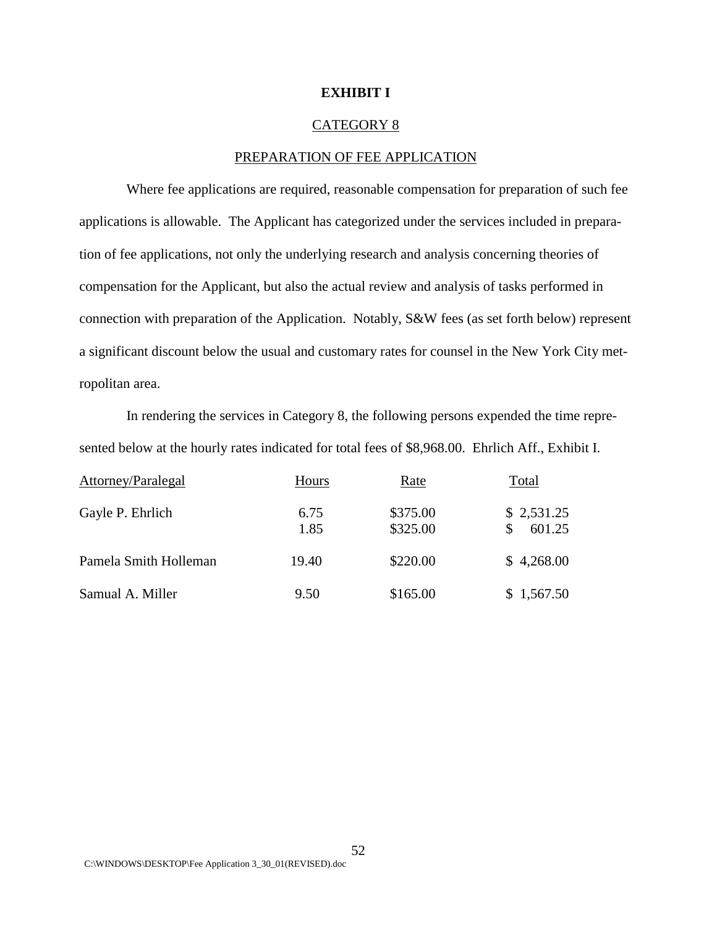## **EXHIBIT I**

#### CATEGORY 8

#### PREPARATION OF FEE APPLICATION

Where fee applications are required, reasonable compensation for preparation of such fee applications is allowable. The Applicant has categorized under the services included in preparation of fee applications, not only the underlying research and analysis concerning theories of compensation for the Applicant, but also the actual review and analysis of tasks performed in connection with preparation of the Application. Notably, S&W fees (as set forth below) represent a significant discount below the usual and customary rates for counsel in the New York City metropolitan area.

In rendering the services in Category 8, the following persons expended the time represented below at the hourly rates indicated for total fees of \$8,968.00. Ehrlich Aff., Exhibit I.

| Attorney/Paralegal    | Hours        | Rate                 | Total                |
|-----------------------|--------------|----------------------|----------------------|
| Gayle P. Ehrlich      | 6.75<br>1.85 | \$375.00<br>\$325.00 | \$2,531.25<br>601.25 |
| Pamela Smith Holleman | 19.40        | \$220.00             | \$4,268.00           |
| Samual A. Miller      | 9.50         | \$165.00             | \$1,567.50           |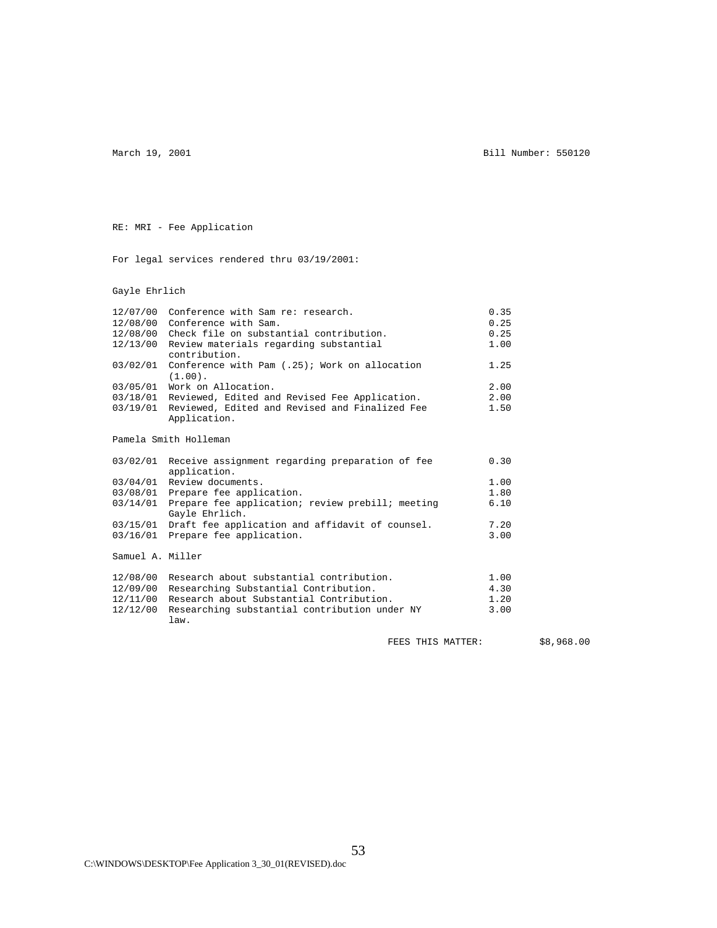March 19, 2001 **Bill Number: 550120** 

RE: MRI - Fee Application

For legal services rendered thru 03/19/2001:

Gayle Ehrlich

|                  | 12/07/00 Conference with Sam re: research.                               | 0.35 |            |
|------------------|--------------------------------------------------------------------------|------|------------|
|                  | 12/08/00 Conference with Sam.                                            | 0.25 |            |
|                  | 12/08/00 Check file on substantial contribution.                         | 0.25 |            |
|                  | 12/13/00 Review materials regarding substantial<br>contribution.         | 1.00 |            |
|                  | 03/02/01 Conference with Pam (.25); Work on allocation<br>$(1.00)$ .     | 1.25 |            |
|                  | 03/05/01 Work on Allocation.                                             | 2.00 |            |
|                  | 03/18/01 Reviewed, Edited and Revised Fee Application.                   | 2.00 |            |
|                  | 03/19/01 Reviewed, Edited and Revised and Finalized Fee                  | 1.50 |            |
|                  | Application.                                                             |      |            |
|                  | Pamela Smith Holleman                                                    |      |            |
|                  | 03/02/01 Receive assignment regarding preparation of fee<br>application. | 0.30 |            |
|                  | 03/04/01 Review documents.                                               | 1.00 |            |
|                  | 03/08/01 Prepare fee application.                                        | 1.80 |            |
|                  | 03/14/01 Prepare fee application; review prebill; meeting                | 6.10 |            |
|                  | Gayle Ehrlich.                                                           |      |            |
|                  | 03/15/01 Draft fee application and affidavit of counsel.                 | 7.20 |            |
|                  | 03/16/01 Prepare fee application.                                        | 3.00 |            |
| Samuel A. Miller |                                                                          |      |            |
|                  | 12/08/00 Research about substantial contribution.                        | 1.00 |            |
|                  | 12/09/00 Researching Substantial Contribution.                           | 4.30 |            |
| 12/11/00         | Research about Substantial Contribution.                                 | 1.20 |            |
| 12/12/00         | Researching substantial contribution under NY<br>law.                    | 3.00 |            |
|                  | FEES THIS MATTER:                                                        |      | \$8,968.00 |
|                  |                                                                          |      |            |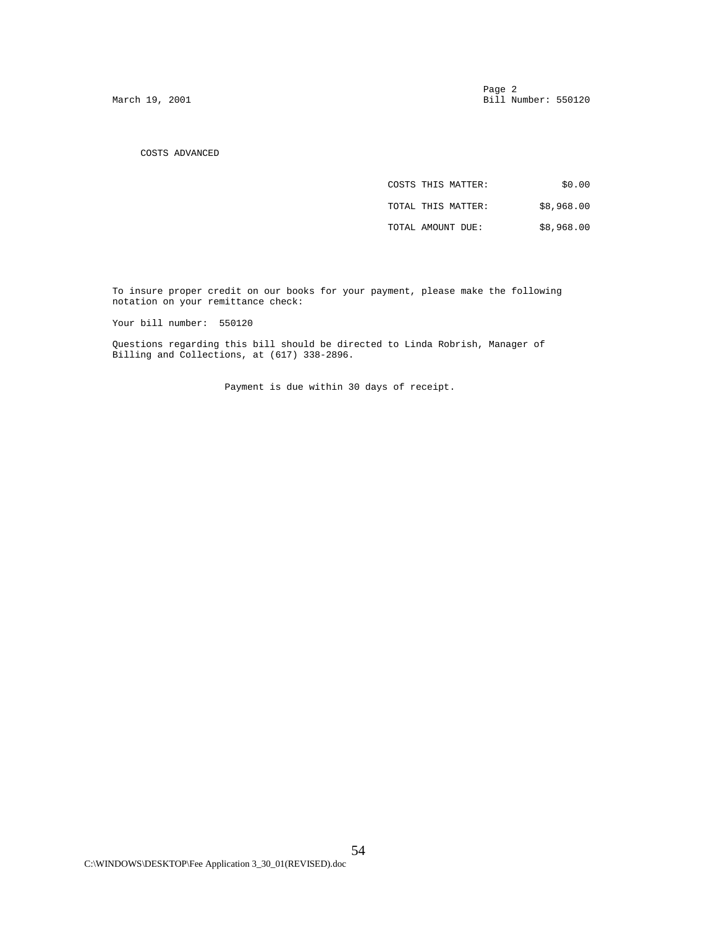Page 2 and 2 and 2 and 2 and 2 and 2 and 2 and 2 and 2 and 2 and 2 and 2 and 2 and 2 and 2 and 2 and 2 and 2 and 2 and 2 and 2 and 2 and 2 and 2 and 2 and 2 and 2 and 2 and 2 and 2 and 2 and 2 and 2 and 2 and 2 and 2 and 2 March 19, 2001 **Bill Number: 550120** 

COSTS ADVANCED

| \$0.00     | COSTS THIS MATTER: |
|------------|--------------------|
| \$8,968.00 | TOTAL THIS MATTER: |
| \$8,968.00 | TOTAL AMOUNT DUE:  |

 To insure proper credit on our books for your payment, please make the following notation on your remittance check:

Your bill number: 550120

 Questions regarding this bill should be directed to Linda Robrish, Manager of Billing and Collections, at (617) 338-2896.

Payment is due within 30 days of receipt.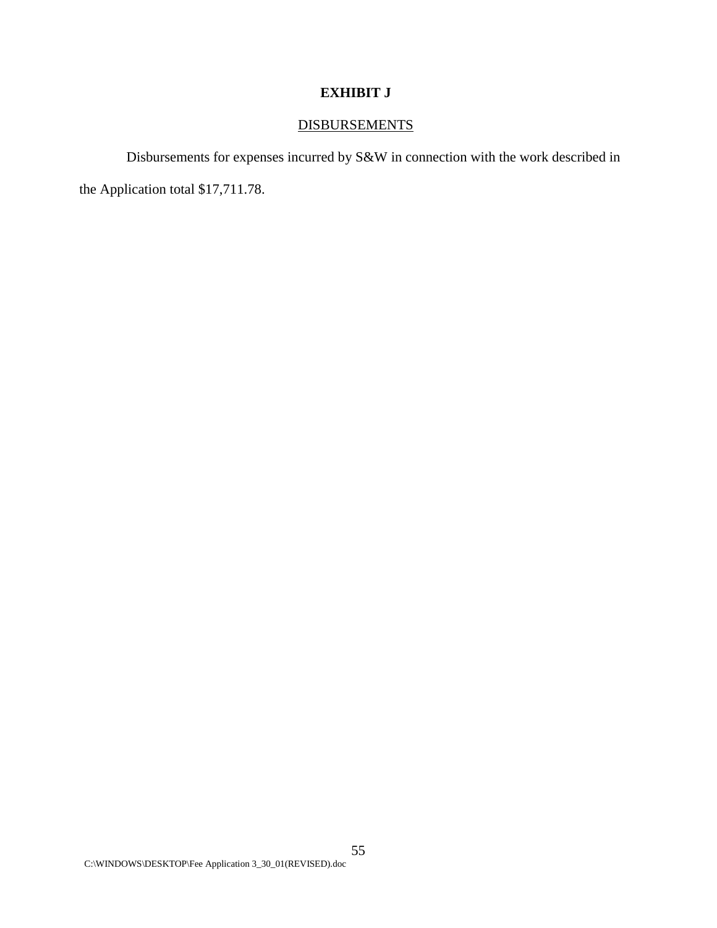# **EXHIBIT J**

# **DISBURSEMENTS**

Disbursements for expenses incurred by S&W in connection with the work described in

the Application total \$17,711.78.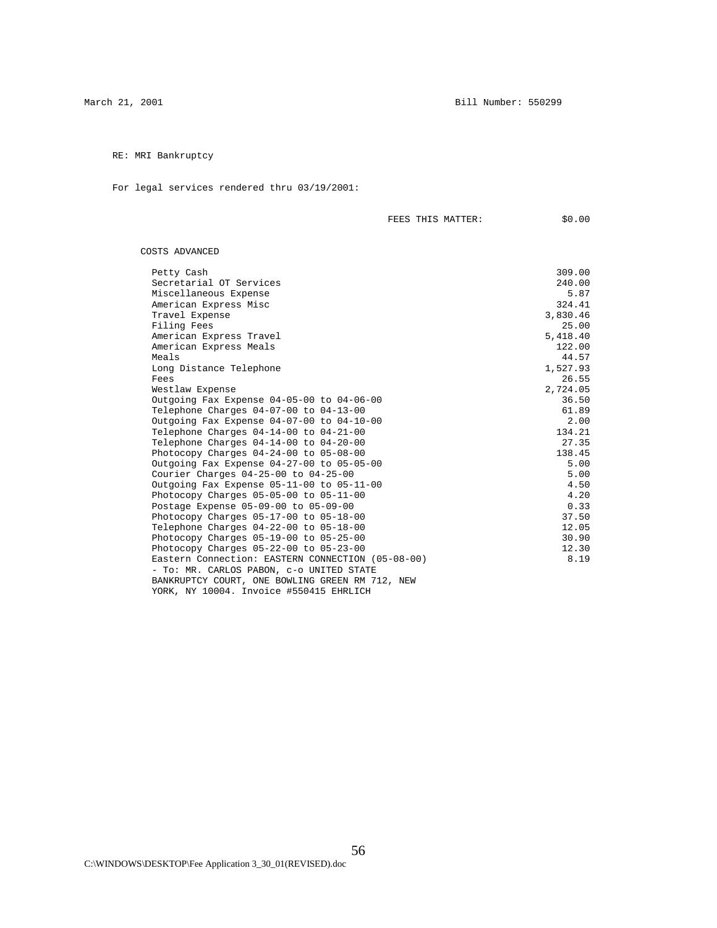RE: MRI Bankruptcy

For legal services rendered thru 03/19/2001:

| <b>TTIT C</b><br>MATTER<br>FEES<br>- 1<br>----<br>______ | $\sim$ $\sim$<br>71, |
|----------------------------------------------------------|----------------------|
|                                                          |                      |

COSTS ADVANCED

| Petty Cash                                        | 309.00   |
|---------------------------------------------------|----------|
| Secretarial OT Services                           | 240.00   |
| Miscellaneous Expense                             | 5.87     |
| American Express Misc                             | 324.41   |
| Travel Expense                                    | 3,830.46 |
| Filing Fees                                       | 25.00    |
| American Express Travel                           | 5,418.40 |
| American Express Meals                            | 122.00   |
| Meals                                             | 44.57    |
| Long Distance Telephone                           | 1,527.93 |
| Fees                                              | 26.55    |
| Westlaw Expense                                   | 2,724.05 |
| Outgoing Fax Expense 04-05-00 to 04-06-00         | 36.50    |
| Telephone Charges 04-07-00 to 04-13-00            | 61.89    |
| Outgoing Fax Expense 04-07-00 to 04-10-00         | 2.00     |
| Telephone Charges 04-14-00 to 04-21-00            | 134.21   |
| Telephone Charges 04-14-00 to 04-20-00            | 27.35    |
| Photocopy Charges 04-24-00 to 05-08-00            | 138.45   |
| Outgoing Fax Expense 04-27-00 to 05-05-00         | 5.00     |
| Courier Charges $04-25-00$ to $04-25-00$          | 5.00     |
| Outgoing Fax Expense 05-11-00 to 05-11-00         | 4.50     |
| Photocopy Charges $05-05-00$ to $05-11-00$        | 4.20     |
| Postage Expense 05-09-00 to 05-09-00              | 0.33     |
| Photocopy Charges $05-17-00$ to $05-18-00$        | 37.50    |
| Telephone Charges 04-22-00 to 05-18-00            | 12.05    |
| Photocopy Charges $05-19-00$ to $05-25-00$        | 30.90    |
| Photocopy Charges $05-22-00$ to $05-23-00$        | 12.30    |
| Eastern Connection: EASTERN CONNECTION (05-08-00) | 8.19     |
| - To: MR. CARLOS PABON, c-o UNITED STATE          |          |
| BANKRUPTCY COURT, ONE BOWLING GREEN RM 712, NEW   |          |
| YORK, NY 10004. Invoice #550415 EHRLICH           |          |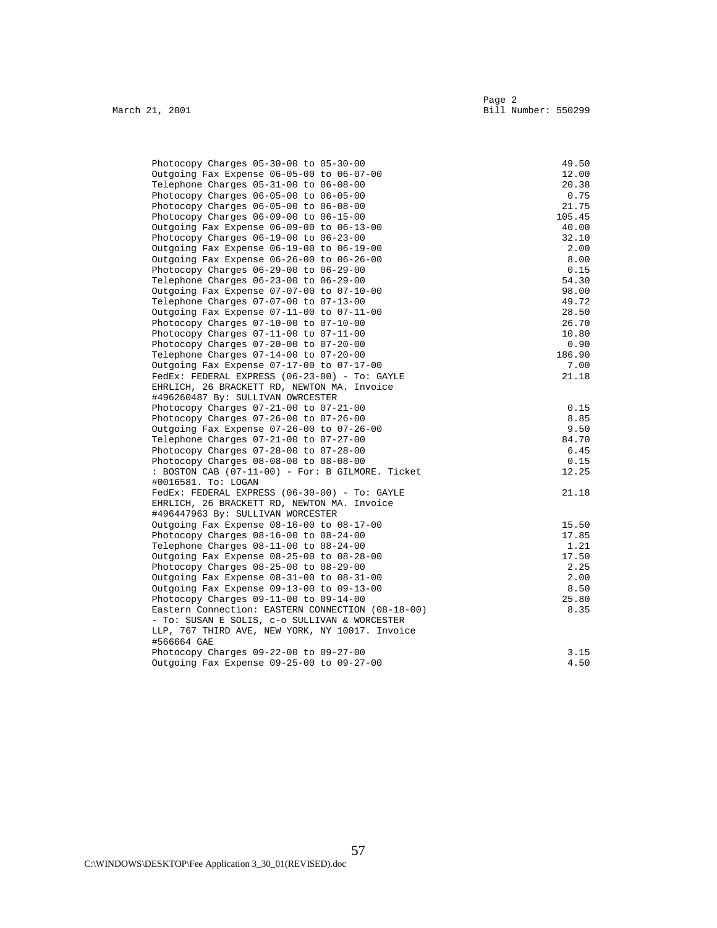| Photocopy Charges $05-30-00$ to $05-30-00$        | 49.50  |
|---------------------------------------------------|--------|
| Outgoing Fax Expense 06-05-00 to 06-07-00         | 12.00  |
| Telephone Charges 05-31-00 to 06-08-00            | 20.38  |
| Photocopy Charges $06-05-00$ to $06-05-00$        | 0.75   |
| Photocopy Charges 06-05-00 to 06-08-00            | 21.75  |
| Photocopy Charges $06-09-00$ to $06-15-00$        | 105.45 |
| Outgoing Fax Expense 06-09-00 to 06-13-00         | 40.00  |
| Photocopy Charges 06-19-00 to 06-23-00            | 32.10  |
| Outgoing Fax Expense 06-19-00 to 06-19-00         | 2.00   |
| Outgoing Fax Expense 06-26-00 to 06-26-00         | 8.00   |
| Photocopy Charges $06-29-00$ to $06-29-00$        | 0.15   |
| Telephone Charges 06-23-00 to 06-29-00            | 54.30  |
| Outgoing Fax Expense 07-07-00 to 07-10-00         | 98.00  |
| Telephone Charges 07-07-00 to 07-13-00            | 49.72  |
| Outgoing Fax Expense 07-11-00 to 07-11-00         | 28.50  |
| Photocopy Charges $07-10-00$ to $07-10-00$        | 26.70  |
| Photocopy Charges $07-11-00$ to $07-11-00$        | 10.80  |
| Photocopy Charges $07-20-00$ to $07-20-00$        | 0.90   |
| Telephone Charges 07-14-00 to 07-20-00            | 186.90 |
| Outgoing Fax Expense 07-17-00 to 07-17-00         | 7.00   |
| FedEx: FEDERAL EXPRESS (06-23-00) - To: GAYLE     | 21.18  |
| EHRLICH, 26 BRACKETT RD, NEWTON MA. Invoice       |        |
| #496260487 By: SULLIVAN OWRCESTER                 |        |
| Photocopy Charges $07-21-00$ to $07-21-00$        | 0.15   |
| Photocopy Charges $07-26-00$ to $07-26-00$        | 8.85   |
| Outgoing Fax Expense 07-26-00 to 07-26-00         | 9.50   |
| Telephone Charges 07-21-00 to 07-27-00            | 84.70  |
| Photocopy Charges 07-28-00 to 07-28-00            | 6.45   |
| Photocopy Charges $08-08-00$ to $08-08-00$        | 0.15   |
| : BOSTON CAB (07-11-00) - For: B GILMORE. Ticket  | 12.25  |
| #0016581. To: LOGAN                               |        |
| FedEx: FEDERAL EXPRESS (06-30-00) - To: GAYLE     | 21.18  |
| EHRLICH, 26 BRACKETT RD, NEWTON MA. Invoice       |        |
| #496447963 By: SULLIVAN WORCESTER                 |        |
| Outgoing Fax Expense 08-16-00 to 08-17-00         | 15.50  |
| Photocopy Charges $08-16-00$ to $08-24-00$        | 17.85  |
| Telephone Charges 08-11-00 to 08-24-00            | 1.21   |
| Outgoing Fax Expense 08-25-00 to 08-28-00         | 17.50  |
| Photocopy Charges $08-25-00$ to $08-29-00$        | 2.25   |
| Outgoing Fax Expense 08-31-00 to 08-31-00         | 2.00   |
| Outgoing Fax Expense 09-13-00 to 09-13-00         | 8.50   |
| Photocopy Charges $09-11-00$ to $09-14-00$        | 25.80  |
| Eastern Connection: EASTERN CONNECTION (08-18-00) | 8.35   |
| - To: SUSAN E SOLIS, c-o SULLIVAN & WORCESTER     |        |
| LLP, 767 THIRD AVE, NEW YORK, NY 10017. Invoice   |        |
| #566664 GAE                                       |        |
| Photocopy Charges 09-22-00 to 09-27-00            | 3.15   |
| Outgoing Fax Expense 09-25-00 to 09-27-00         | 4.50   |
|                                                   |        |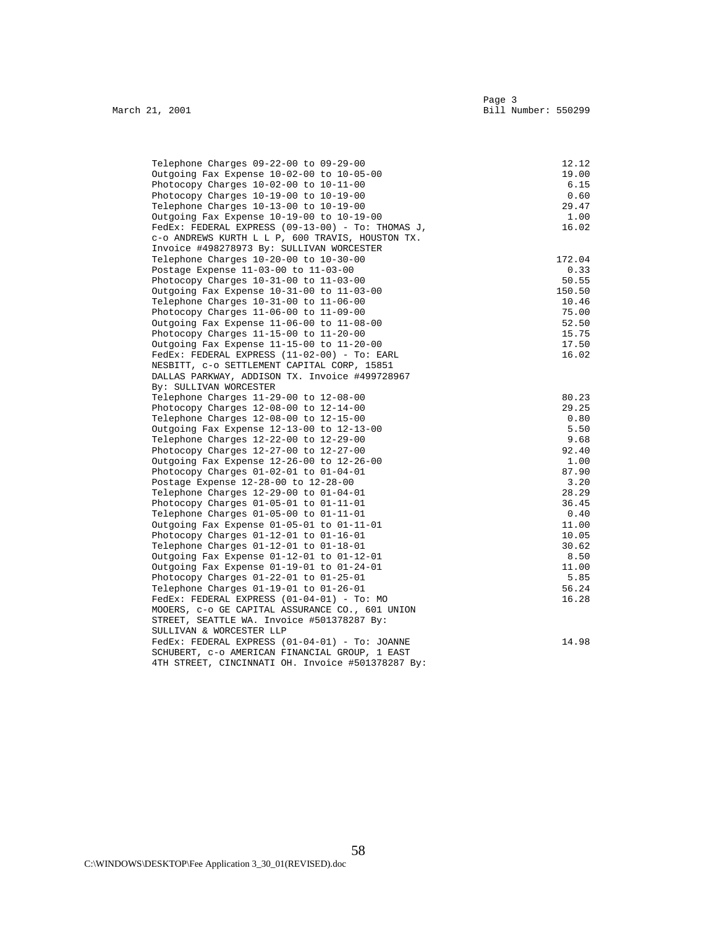| Telephone Charges 09-22-00 to 09-29-00            | 12.12  |
|---------------------------------------------------|--------|
| Outgoing Fax Expense 10-02-00 to 10-05-00         | 19.00  |
| Photocopy Charges $10-02-00$ to $10-11-00$        | 6.15   |
| Photocopy Charges 10-19-00 to 10-19-00            | 0.60   |
| Telephone Charges 10-13-00 to 10-19-00            | 29.47  |
| Outgoing Fax Expense 10-19-00 to 10-19-00         | 1.00   |
| FedEx: FEDERAL EXPRESS (09-13-00) - To: THOMAS J, | 16.02  |
| C-O ANDREWS KURTH L L P, 600 TRAVIS, HOUSTON TX.  |        |
| Invoice #498278973 By: SULLIVAN WORCESTER         |        |
| Telephone Charges 10-20-00 to 10-30-00            | 172.04 |
| Postage Expense 11-03-00 to 11-03-00              | 0.33   |
| Photocopy Charges $10-31-00$ to $11-03-00$        | 50.55  |
| Outgoing Fax Expense 10-31-00 to 11-03-00         | 150.50 |
| Telephone Charges 10-31-00 to 11-06-00            | 10.46  |
| Photocopy Charges 11-06-00 to 11-09-00            | 75.00  |
| Outgoing Fax Expense 11-06-00 to 11-08-00         | 52.50  |
| Photocopy Charges 11-15-00 to 11-20-00            | 15.75  |
| Outgoing Fax Expense 11-15-00 to 11-20-00         | 17.50  |
| FedEx: FEDERAL EXPRESS (11-02-00) - To: EARL      | 16.02  |
| NESBITT, C-O SETTLEMENT CAPITAL CORP, 15851       |        |
| DALLAS PARKWAY, ADDISON TX. Invoice #499728967    |        |
| By: SULLIVAN WORCESTER                            |        |
| Telephone Charges 11-29-00 to 12-08-00            | 80.23  |
| Photocopy Charges $12-08-00$ to $12-14-00$        | 29.25  |
| Telephone Charges 12-08-00 to 12-15-00            | 0.80   |
| Outgoing Fax Expense 12-13-00 to 12-13-00         | 5.50   |
| Telephone Charges 12-22-00 to 12-29-00            | 9.68   |
| Photocopy Charges 12-27-00 to 12-27-00            | 92.40  |
| Outgoing Fax Expense 12-26-00 to 12-26-00         | 1.00   |
| Photocopy Charges $01-02-01$ to $01-04-01$        | 87.90  |
| Postage Expense 12-28-00 to 12-28-00              | 3.20   |
| Telephone Charges 12-29-00 to 01-04-01            | 28.29  |
| Photocopy Charges 01-05-01 to 01-11-01            | 36.45  |
| Telephone Charges $01-05-00$ to $01-11-01$        | 0.40   |
| Outgoing Fax Expense 01-05-01 to 01-11-01         | 11.00  |
| Photocopy Charges 01-12-01 to 01-16-01            | 10.05  |
| Telephone Charges 01-12-01 to 01-18-01            | 30.62  |
| Outgoing Fax Expense 01-12-01 to 01-12-01         | 8.50   |
| Outgoing Fax Expense 01-19-01 to 01-24-01         | 11.00  |
| Photocopy Charges $01-22-01$ to $01-25-01$        | 5.85   |
| Telephone Charges $01-19-01$ to $01-26-01$        | 56.24  |
| $FedEx: FEDERAL EXPRESS (01-04-01) - To: MO$      | 16.28  |
| MOOERS, C-O GE CAPITAL ASSURANCE CO., 601 UNION   |        |
| STREET, SEATTLE WA. Invoice #501378287 By:        |        |
| SULLIVAN & WORCESTER LLP                          |        |
| FedEx: FEDERAL EXPRESS (01-04-01) - To: JOANNE    | 14.98  |
| SCHUBERT, C-O AMERICAN FINANCIAL GROUP, 1 EAST    |        |
| 4TH STREET, CINCINNATI OH. Invoice #501378287 By: |        |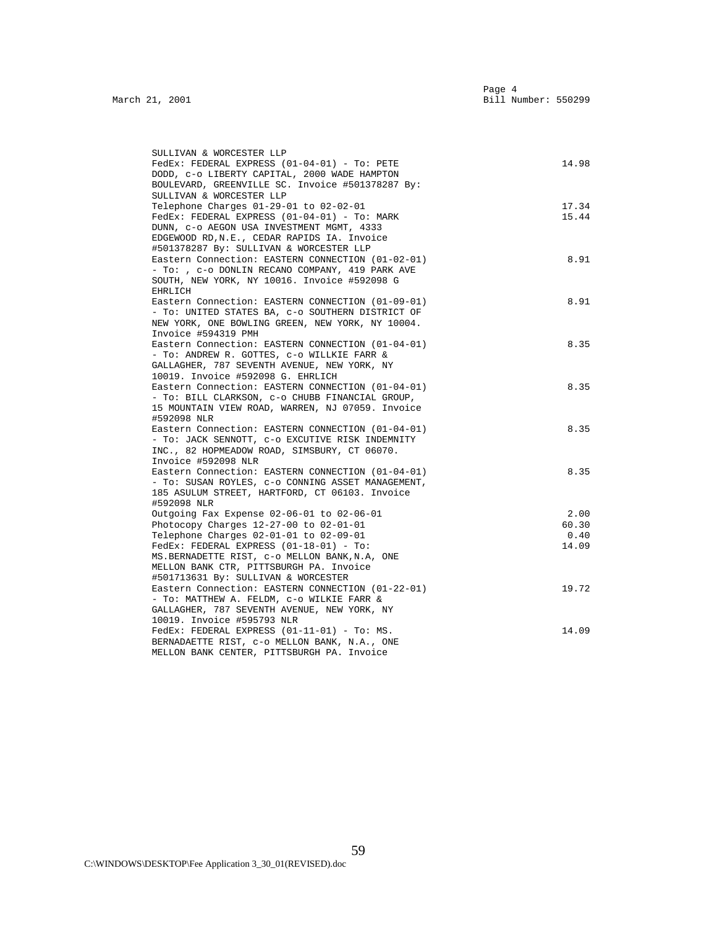| SULLIVAN & WORCESTER LLP                                                                    |       |
|---------------------------------------------------------------------------------------------|-------|
| FedEx: FEDERAL EXPRESS (01-04-01) - To: PETE                                                | 14.98 |
| DODD, C-O LIBERTY CAPITAL, 2000 WADE HAMPTON                                                |       |
| BOULEVARD, GREENVILLE SC. Invoice #501378287 By:                                            |       |
| SULLIVAN & WORCESTER LLP                                                                    |       |
| Telephone Charges 01-29-01 to 02-02-01                                                      | 17.34 |
| FedEx: FEDERAL EXPRESS (01-04-01) - To: MARK                                                | 15.44 |
| DUNN, C-O AEGON USA INVESTMENT MGMT, 4333                                                   |       |
| EDGEWOOD RD, N.E., CEDAR RAPIDS IA. Invoice                                                 |       |
| #501378287 By: SULLIVAN & WORCESTER LLP                                                     |       |
| Eastern Connection: EASTERN CONNECTION (01-02-01)                                           | 8.91  |
| - To: , c-o DONLIN RECANO COMPANY, 419 PARK AVE                                             |       |
| SOUTH, NEW YORK, NY 10016. Invoice #592098 G                                                |       |
| EHRLICH                                                                                     |       |
| Eastern Connection: EASTERN CONNECTION (01-09-01)                                           | 8.91  |
| - To: UNITED STATES BA, c-o SOUTHERN DISTRICT OF                                            |       |
| NEW YORK, ONE BOWLING GREEN, NEW YORK, NY 10004.                                            |       |
| Invoice #594319 PMH<br>Eastern Connection: EASTERN CONNECTION (01-04-01)                    | 8.35  |
| - To: ANDREW R. GOTTES, c-o WILLKIE FARR &                                                  |       |
| GALLAGHER, 787 SEVENTH AVENUE, NEW YORK, NY                                                 |       |
| 10019. Invoice #592098 G. EHRLICH                                                           |       |
| Eastern Connection: EASTERN CONNECTION (01-04-01)                                           | 8.35  |
| - To: BILL CLARKSON, c-o CHUBB FINANCIAL GROUP,                                             |       |
| 15 MOUNTAIN VIEW ROAD, WARREN, NJ 07059. Invoice                                            |       |
| #592098 NLR                                                                                 |       |
| Eastern Connection: EASTERN CONNECTION (01-04-01)                                           | 8.35  |
| - TO: JACK SENNOTT, C-O EXCUTIVE RISK INDEMNITY                                             |       |
| INC., 82 HOPMEADOW ROAD, SIMSBURY, CT 06070.                                                |       |
| Invoice #592098 NLR                                                                         |       |
| Eastern Connection: EASTERN CONNECTION (01-04-01)                                           | 8.35  |
| - To: SUSAN ROYLES, c-o CONNING ASSET MANAGEMENT,                                           |       |
| 185 ASULUM STREET, HARTFORD, CT 06103. Invoice                                              |       |
| #592098 NLR                                                                                 |       |
| Outgoing Fax Expense 02-06-01 to 02-06-01                                                   | 2.00  |
| Photocopy Charges $12-27-00$ to $02-01-01$                                                  | 60.30 |
| Telephone Charges 02-01-01 to 02-09-01                                                      | 0.40  |
| $FedEx: FEDERAL EXPRESS (01-18-01) - To:$<br>MS. BERNADETTE RIST, C-O MELLON BANK, N.A. ONE | 14.09 |
| MELLON BANK CTR, PITTSBURGH PA. Invoice                                                     |       |
| #501713631 By: SULLIVAN & WORCESTER                                                         |       |
| Eastern Connection: EASTERN CONNECTION (01-22-01)                                           | 19.72 |
| - To: MATTHEW A. FELDM, C-O WILKIE FARR &                                                   |       |
| GALLAGHER, 787 SEVENTH AVENUE, NEW YORK, NY                                                 |       |
| 10019. Invoice #595793 NLR                                                                  |       |
| FedEx: FEDERAL EXPRESS (01-11-01) - To: MS.                                                 | 14.09 |
| BERNADAETTE RIST, C-O MELLON BANK, N.A., ONE                                                |       |
| MELLON BANK CENTER, PITTSBURGH PA. Invoice                                                  |       |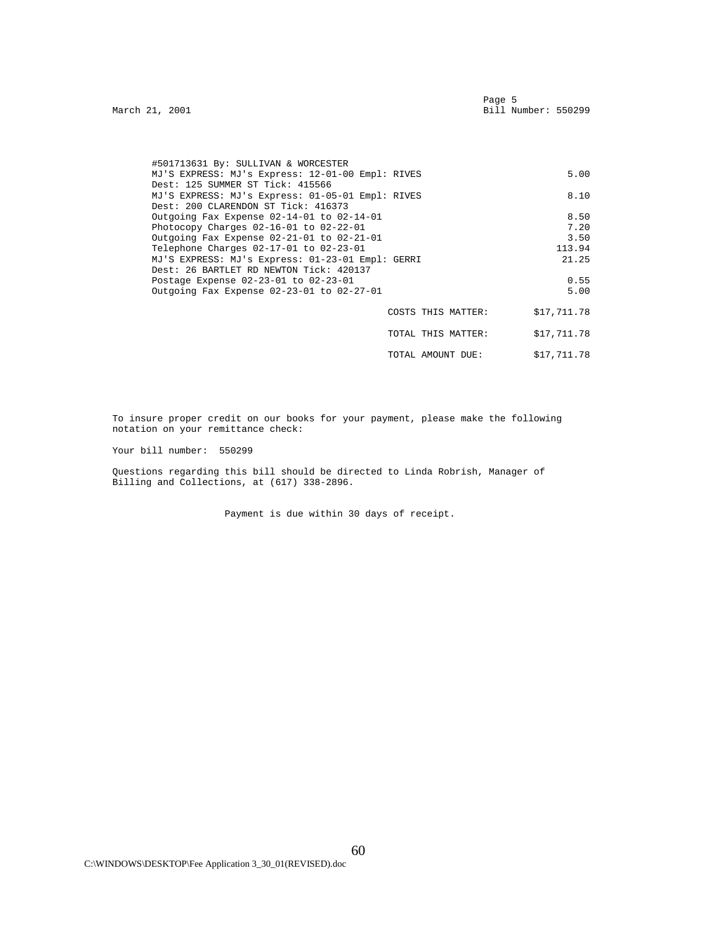| #501713631 By: SULLIVAN & WORCESTER                                                     |                    |             |
|-----------------------------------------------------------------------------------------|--------------------|-------------|
| MJ'S EXPRESS: MJ's Express: 12-01-00 Empl: RIVES<br>Dest: 125 SUMMER ST Tick: 415566    |                    | 5.00        |
| MJ'S EXPRESS: MJ's Express: 01-05-01 Empl: RIVES<br>Dest: 200 CLARENDON ST Tick: 416373 |                    | 8.10        |
| Outgoing Fax Expense 02-14-01 to 02-14-01                                               |                    | 8.50        |
| Photocopy Charges $02-16-01$ to $02-22-01$                                              |                    | 7.20        |
| Outgoing Fax Expense 02-21-01 to 02-21-01                                               |                    | 3.50        |
| Telephone Charges 02-17-01 to 02-23-01                                                  |                    | 113.94      |
| MJ'S EXPRESS: MJ's Express: 01-23-01 Empl: GERRI                                        |                    | 21.25       |
| Dest: 26 BARTLET RD NEWTON Tick: 420137                                                 |                    |             |
| Postage Expense 02-23-01 to 02-23-01                                                    |                    | 0.55        |
| Outgoing Fax Expense 02-23-01 to 02-27-01                                               |                    | 5.00        |
|                                                                                         |                    |             |
|                                                                                         | COSTS THIS MATTER: | \$17,711.78 |
|                                                                                         |                    |             |

 TOTAL THIS MATTER: \$17,711.78 TOTAL AMOUNT DUE: \$17,711.78

 To insure proper credit on our books for your payment, please make the following notation on your remittance check:

Your bill number: 550299

 Questions regarding this bill should be directed to Linda Robrish, Manager of Billing and Collections, at (617) 338-2896.

Payment is due within 30 days of receipt.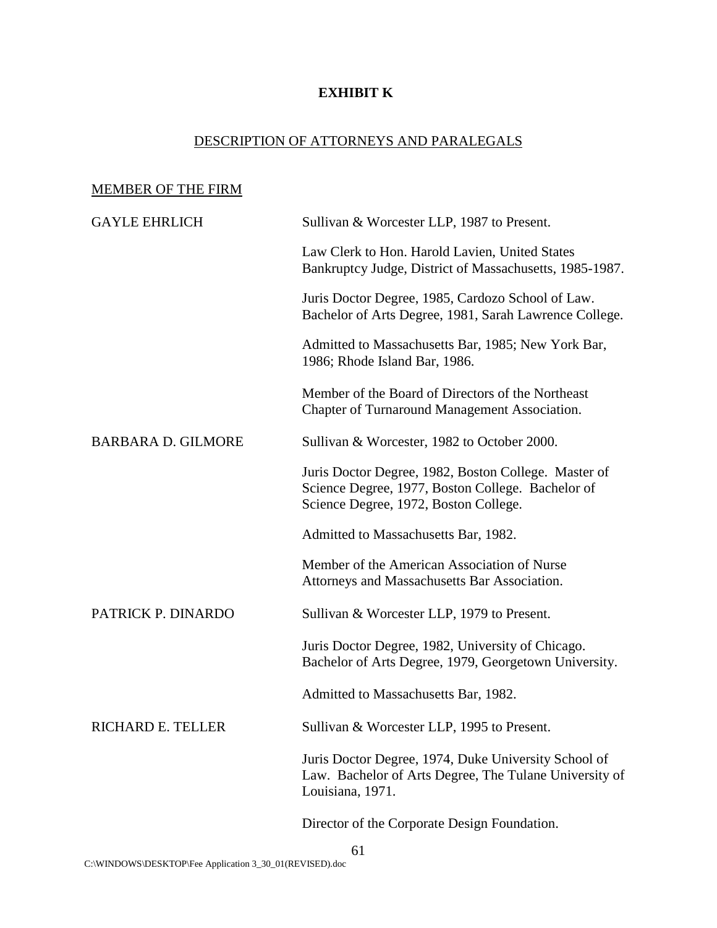# **EXHIBIT K**

# DESCRIPTION OF ATTORNEYS AND PARALEGALS

# MEMBER OF THE FIRM GAYLE EHRLICH Sullivan & Worcester LLP, 1987 to Present. Law Clerk to Hon. Harold Lavien, United States Bankruptcy Judge, District of Massachusetts, 1985-1987. Juris Doctor Degree, 1985, Cardozo School of Law. Bachelor of Arts Degree, 1981, Sarah Lawrence College. Admitted to Massachusetts Bar, 1985; New York Bar, 1986; Rhode Island Bar, 1986. Member of the Board of Directors of the Northeast Chapter of Turnaround Management Association. BARBARA D. GILMORE Sullivan & Worcester, 1982 to October 2000. Juris Doctor Degree, 1982, Boston College. Master of Science Degree, 1977, Boston College. Bachelor of Science Degree, 1972, Boston College. Admitted to Massachusetts Bar, 1982. Member of the American Association of Nurse Attorneys and Massachusetts Bar Association. PATRICK P. DINARDO Sullivan & Worcester LLP, 1979 to Present. Juris Doctor Degree, 1982, University of Chicago. Bachelor of Arts Degree, 1979, Georgetown University. Admitted to Massachusetts Bar, 1982. RICHARD E. TELLER Sullivan & Worcester LLP, 1995 to Present. Juris Doctor Degree, 1974, Duke University School of Law. Bachelor of Arts Degree, The Tulane University of Louisiana, 1971. Director of the Corporate Design Foundation.